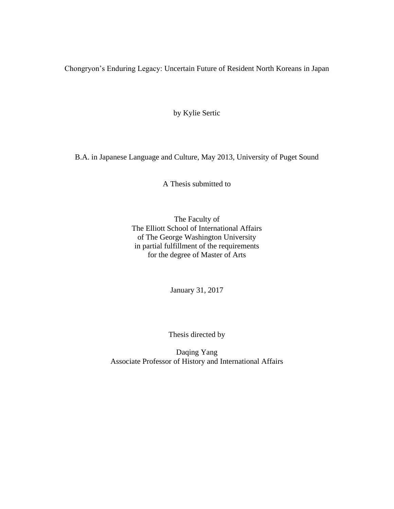Chongryon's Enduring Legacy: Uncertain Future of Resident North Koreans in Japan

by Kylie Sertic

B.A. in Japanese Language and Culture, May 2013, University of Puget Sound

A Thesis submitted to

The Faculty of The Elliott School of International Affairs of The George Washington University in partial fulfillment of the requirements for the degree of Master of Arts

January 31, 2017

Thesis directed by

Daqing Yang Associate Professor of History and International Affairs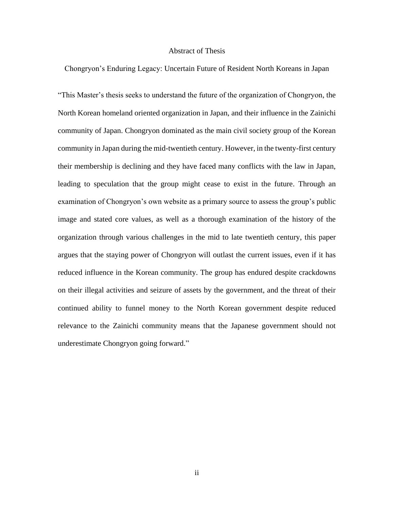## Abstract of Thesis

Chongryon's Enduring Legacy: Uncertain Future of Resident North Koreans in Japan

"This Master's thesis seeks to understand the future of the organization of Chongryon, the North Korean homeland oriented organization in Japan, and their influence in the Zainichi community of Japan. Chongryon dominated as the main civil society group of the Korean community in Japan during the mid-twentieth century. However, in the twenty-first century their membership is declining and they have faced many conflicts with the law in Japan, leading to speculation that the group might cease to exist in the future. Through an examination of Chongryon's own website as a primary source to assess the group's public image and stated core values, as well as a thorough examination of the history of the organization through various challenges in the mid to late twentieth century, this paper argues that the staying power of Chongryon will outlast the current issues, even if it has reduced influence in the Korean community. The group has endured despite crackdowns on their illegal activities and seizure of assets by the government, and the threat of their continued ability to funnel money to the North Korean government despite reduced relevance to the Zainichi community means that the Japanese government should not underestimate Chongryon going forward."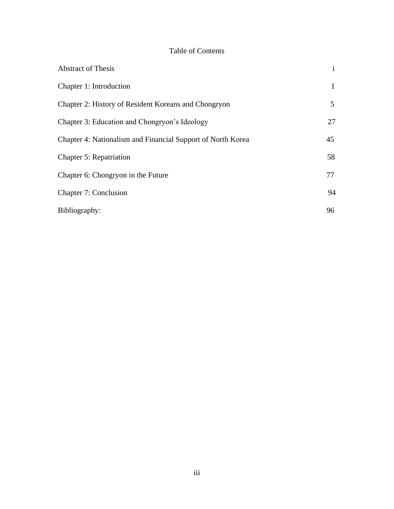# Table of Contents

| <b>Abstract of Thesis</b>                                   | $\mathbf{i}$ |
|-------------------------------------------------------------|--------------|
| Chapter 1: Introduction                                     | $\mathbf{1}$ |
| Chapter 2: History of Resident Koreans and Chongryon        | 5            |
| Chapter 3: Education and Chongryon's Ideology               | 27           |
| Chapter 4: Nationalism and Financial Support of North Korea | 45           |
| <b>Chapter 5: Repatriation</b>                              | 58           |
| Chapter 6: Chongryon in the Future                          | 77           |
| <b>Chapter 7: Conclusion</b>                                | 94           |
| Bibliography:                                               | 96           |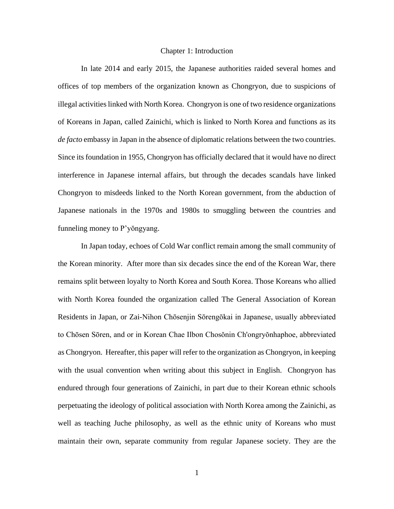#### Chapter 1: Introduction

In late 2014 and early 2015, the Japanese authorities raided several homes and offices of top members of the organization known as Chongryon, due to suspicions of illegal activities linked with North Korea. Chongryon is one of two residence organizations of Koreans in Japan, called Zainichi, which is linked to North Korea and functions as its *de facto* embassy in Japan in the absence of diplomatic relations between the two countries. Since its foundation in 1955, Chongryon has officially declared that it would have no direct interference in Japanese internal affairs, but through the decades scandals have linked Chongryon to misdeeds linked to the North Korean government, from the abduction of Japanese nationals in the 1970s and 1980s to smuggling between the countries and funneling money to P'yŏngyang.

In Japan today, echoes of Cold War conflict remain among the small community of the Korean minority. After more than six decades since the end of the Korean War, there remains split between loyalty to North Korea and South Korea. Those Koreans who allied with North Korea founded the organization called The General Association of Korean Residents in Japan, or Zai-Nihon Chōsenjin Sōrengōkai in Japanese, usually abbreviated to Chōsen Sōren, and or in Korean Chae Ilbon Chosŏnin Ch'ongryŏnhaphoe, abbreviated as Chongryon. Hereafter, this paper will refer to the organization as Chongryon, in keeping with the usual convention when writing about this subject in English. Chongryon has endured through four generations of Zainichi, in part due to their Korean ethnic schools perpetuating the ideology of political association with North Korea among the Zainichi, as well as teaching Juche philosophy, as well as the ethnic unity of Koreans who must maintain their own, separate community from regular Japanese society. They are the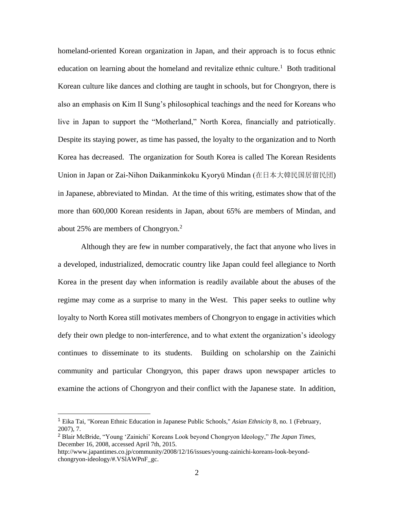homeland-oriented Korean organization in Japan, and their approach is to focus ethnic education on learning about the homeland and revitalize ethnic culture.<sup>1</sup> Both traditional Korean culture like dances and clothing are taught in schools, but for Chongryon, there is also an emphasis on Kim Il Sung's philosophical teachings and the need for Koreans who live in Japan to support the "Motherland," North Korea, financially and patriotically. Despite its staying power, as time has passed, the loyalty to the organization and to North Korea has decreased. The organization for South Korea is called The Korean Residents Union in Japan or Zai-Nihon Daikanminkoku Kyoryū Mindan (在日本大韓民国居留民団) in Japanese, abbreviated to Mindan. At the time of this writing, estimates show that of the more than 600,000 Korean residents in Japan, about 65% are members of Mindan, and about 25% are members of Chongryon. $2$ 

Although they are few in number comparatively, the fact that anyone who lives in a developed, industrialized, democratic country like Japan could feel allegiance to North Korea in the present day when information is readily available about the abuses of the regime may come as a surprise to many in the West. This paper seeks to outline why loyalty to North Korea still motivates members of Chongryon to engage in activities which defy their own pledge to non-interference, and to what extent the organization's ideology continues to disseminate to its students. Building on scholarship on the Zainichi community and particular Chongryon, this paper draws upon newspaper articles to examine the actions of Chongryon and their conflict with the Japanese state. In addition,

<sup>1</sup> Eika Tai, "Korean Ethnic Education in Japanese Public Schools," *Asian Ethnicity* 8, no. 1 (February, 2007), 7.

<sup>2</sup> Blair McBride, "Young 'Zainichi' Koreans Look beyond Chongryon Ideology," *The Japan Times*, December 16, 2008, accessed April 7th, 2015.

http://www.japantimes.co.jp/community/2008/12/16/issues/young-zainichi-koreans-look-beyondchongryon-ideology/#.VSlAWPnF\_gc.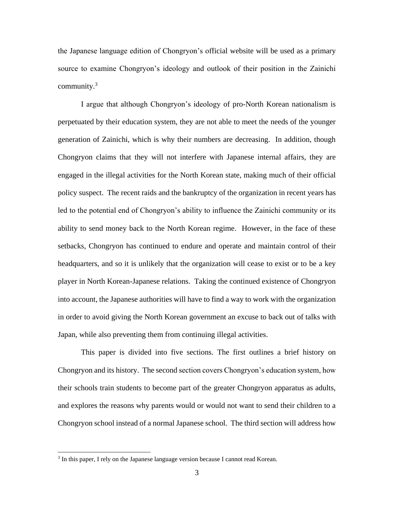the Japanese language edition of Chongryon's official website will be used as a primary source to examine Chongryon's ideology and outlook of their position in the Zainichi community. $3$ 

I argue that although Chongryon's ideology of pro-North Korean nationalism is perpetuated by their education system, they are not able to meet the needs of the younger generation of Zainichi, which is why their numbers are decreasing. In addition, though Chongryon claims that they will not interfere with Japanese internal affairs, they are engaged in the illegal activities for the North Korean state, making much of their official policy suspect. The recent raids and the bankruptcy of the organization in recent years has led to the potential end of Chongryon's ability to influence the Zainichi community or its ability to send money back to the North Korean regime. However, in the face of these setbacks, Chongryon has continued to endure and operate and maintain control of their headquarters, and so it is unlikely that the organization will cease to exist or to be a key player in North Korean-Japanese relations. Taking the continued existence of Chongryon into account, the Japanese authorities will have to find a way to work with the organization in order to avoid giving the North Korean government an excuse to back out of talks with Japan, while also preventing them from continuing illegal activities.

This paper is divided into five sections. The first outlines a brief history on Chongryon and its history. The second section covers Chongryon's education system, how their schools train students to become part of the greater Chongryon apparatus as adults, and explores the reasons why parents would or would not want to send their children to a Chongryon school instead of a normal Japanese school. The third section will address how

<sup>&</sup>lt;sup>3</sup> In this paper, I rely on the Japanese language version because I cannot read Korean.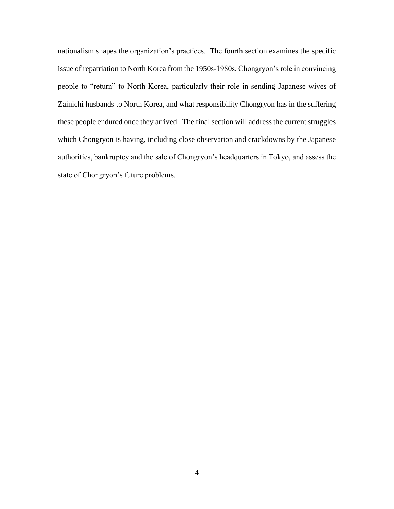nationalism shapes the organization's practices. The fourth section examines the specific issue of repatriation to North Korea from the 1950s-1980s, Chongryon's role in convincing people to "return" to North Korea, particularly their role in sending Japanese wives of Zainichi husbands to North Korea, and what responsibility Chongryon has in the suffering these people endured once they arrived. The final section will address the current struggles which Chongryon is having, including close observation and crackdowns by the Japanese authorities, bankruptcy and the sale of Chongryon's headquarters in Tokyo, and assess the state of Chongryon's future problems.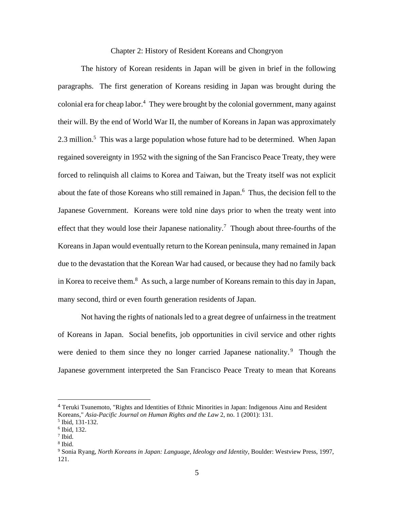## Chapter 2: History of Resident Koreans and Chongryon

The history of Korean residents in Japan will be given in brief in the following paragraphs. The first generation of Koreans residing in Japan was brought during the colonial era for cheap labor.<sup>4</sup> They were brought by the colonial government, many against their will. By the end of World War II, the number of Koreans in Japan was approximately 2.3 million.<sup>5</sup> This was a large population whose future had to be determined. When Japan regained sovereignty in 1952 with the signing of the San Francisco Peace Treaty, they were forced to relinquish all claims to Korea and Taiwan, but the Treaty itself was not explicit about the fate of those Koreans who still remained in Japan.<sup>6</sup> Thus, the decision fell to the Japanese Government. Koreans were told nine days prior to when the treaty went into effect that they would lose their Japanese nationality.<sup>7</sup> Though about three-fourths of the Koreans in Japan would eventually return to the Korean peninsula, many remained in Japan due to the devastation that the Korean War had caused, or because they had no family back in Korea to receive them.<sup>8</sup> As such, a large number of Koreans remain to this day in Japan, many second, third or even fourth generation residents of Japan.

Not having the rights of nationals led to a great degree of unfairness in the treatment of Koreans in Japan. Social benefits, job opportunities in civil service and other rights were denied to them since they no longer carried Japanese nationality.<sup>9</sup> Though the Japanese government interpreted the San Francisco Peace Treaty to mean that Koreans

<sup>4</sup> Teruki Tsunemoto, "Rights and Identities of Ethnic Minorities in Japan: Indigenous Ainu and Resident Koreans," *Asia-Pacific Journal on Human Rights and the Law* 2, no. 1 (2001): 131.

<sup>5</sup> Ibid, 131-132.

<sup>6</sup> Ibid, 132.

<sup>7</sup> Ibid.

<sup>8</sup> Ibid.

<sup>9</sup> Sonia Ryang, *North Koreans in Japan: Language, Ideology and Identity*, Boulder: Westview Press, 1997, 121.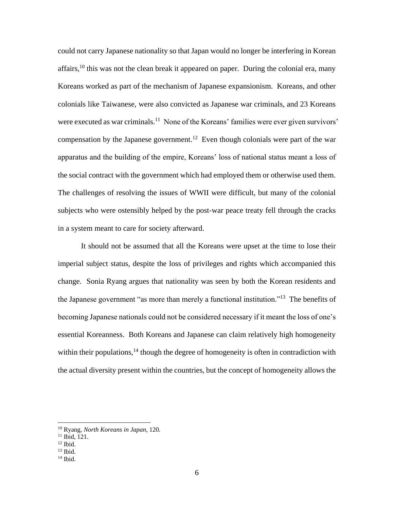could not carry Japanese nationality so that Japan would no longer be interfering in Korean affairs,<sup>10</sup> this was not the clean break it appeared on paper. During the colonial era, many Koreans worked as part of the mechanism of Japanese expansionism. Koreans, and other colonials like Taiwanese, were also convicted as Japanese war criminals, and 23 Koreans were executed as war criminals.<sup>11</sup> None of the Koreans' families were ever given survivors' compensation by the Japanese government.<sup>12</sup> Even though colonials were part of the war apparatus and the building of the empire, Koreans' loss of national status meant a loss of the social contract with the government which had employed them or otherwise used them. The challenges of resolving the issues of WWII were difficult, but many of the colonial subjects who were ostensibly helped by the post-war peace treaty fell through the cracks in a system meant to care for society afterward.

It should not be assumed that all the Koreans were upset at the time to lose their imperial subject status, despite the loss of privileges and rights which accompanied this change. Sonia Ryang argues that nationality was seen by both the Korean residents and the Japanese government "as more than merely a functional institution."<sup>13</sup> The benefits of becoming Japanese nationals could not be considered necessary if it meant the loss of one's essential Koreanness. Both Koreans and Japanese can claim relatively high homogeneity within their populations,  $^{14}$  though the degree of homogeneity is often in contradiction with the actual diversity present within the countries, but the concept of homogeneity allows the

<sup>10</sup> Ryang, *North Koreans in Japan*, 120.

<sup>11</sup> Ibid, 121.

 $12$  Ibid.

 $13$  Ibid.

 $14$  Ibid.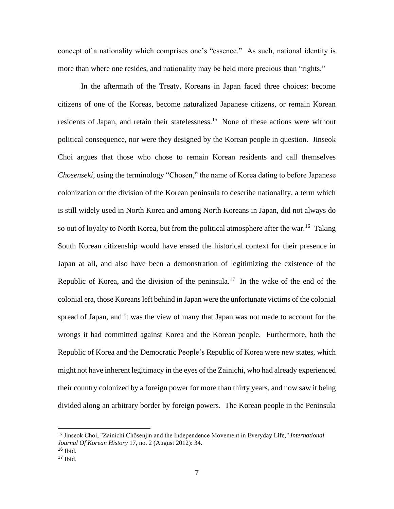concept of a nationality which comprises one's "essence." As such, national identity is more than where one resides, and nationality may be held more precious than "rights."

In the aftermath of the Treaty, Koreans in Japan faced three choices: become citizens of one of the Koreas, become naturalized Japanese citizens, or remain Korean residents of Japan, and retain their statelessness.<sup>15</sup> None of these actions were without political consequence, nor were they designed by the Korean people in question. Jinseok Choi argues that those who chose to remain Korean residents and call themselves *Chosenseki*, using the terminology "Chosen," the name of Korea dating to before Japanese colonization or the division of the Korean peninsula to describe nationality, a term which is still widely used in North Korea and among North Koreans in Japan, did not always do so out of loyalty to North Korea, but from the political atmosphere after the war.<sup>16</sup> Taking South Korean citizenship would have erased the historical context for their presence in Japan at all, and also have been a demonstration of legitimizing the existence of the Republic of Korea, and the division of the peninsula.<sup>17</sup> In the wake of the end of the colonial era, those Koreans left behind in Japan were the unfortunate victims of the colonial spread of Japan, and it was the view of many that Japan was not made to account for the wrongs it had committed against Korea and the Korean people. Furthermore, both the Republic of Korea and the Democratic People's Republic of Korea were new states, which might not have inherent legitimacy in the eyes of the Zainichi, who had already experienced their country colonized by a foreign power for more than thirty years, and now saw it being divided along an arbitrary border by foreign powers. The Korean people in the Peninsula

 $\overline{a}$ 

<sup>15</sup> Jinseok Choi, "Zainichi Chōsenjin and the Independence Movement in Everyday Life*," International Journal Of Korean History* 17, no. 2 (August 2012): 34.

 $16$  Ibid.

 $17$  Ibid.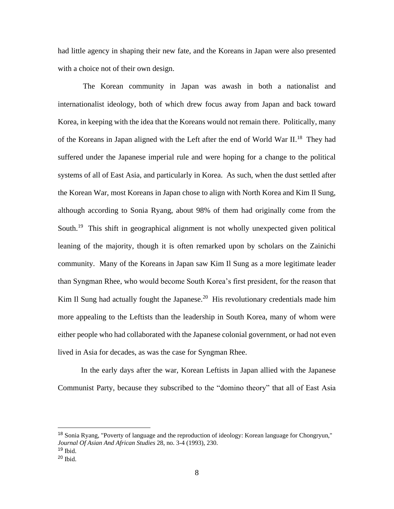had little agency in shaping their new fate, and the Koreans in Japan were also presented with a choice not of their own design.

The Korean community in Japan was awash in both a nationalist and internationalist ideology, both of which drew focus away from Japan and back toward Korea, in keeping with the idea that the Koreans would not remain there. Politically, many of the Koreans in Japan aligned with the Left after the end of World War II.<sup>18</sup> They had suffered under the Japanese imperial rule and were hoping for a change to the political systems of all of East Asia, and particularly in Korea. As such, when the dust settled after the Korean War, most Koreans in Japan chose to align with North Korea and Kim Il Sung, although according to Sonia Ryang, about 98% of them had originally come from the South.<sup>19</sup> This shift in geographical alignment is not wholly unexpected given political leaning of the majority, though it is often remarked upon by scholars on the Zainichi community. Many of the Koreans in Japan saw Kim Il Sung as a more legitimate leader than Syngman Rhee, who would become South Korea's first president, for the reason that Kim Il Sung had actually fought the Japanese.<sup>20</sup> His revolutionary credentials made him more appealing to the Leftists than the leadership in South Korea, many of whom were either people who had collaborated with the Japanese colonial government, or had not even lived in Asia for decades, as was the case for Syngman Rhee.

In the early days after the war, Korean Leftists in Japan allied with the Japanese Communist Party, because they subscribed to the "domino theory" that all of East Asia

 $\overline{a}$ 

<sup>18</sup> Sonia Ryang, "Poverty of language and the reproduction of ideology: Korean language for Chongryun," *Journal Of Asian And African Studies* 28, no. 3-4 (1993), 230.

 $19$  Ibid.

<sup>20</sup> Ibid.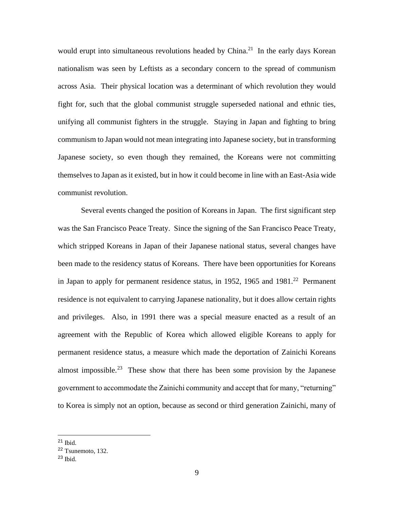would erupt into simultaneous revolutions headed by China.<sup>21</sup> In the early days Korean nationalism was seen by Leftists as a secondary concern to the spread of communism across Asia. Their physical location was a determinant of which revolution they would fight for, such that the global communist struggle superseded national and ethnic ties, unifying all communist fighters in the struggle. Staying in Japan and fighting to bring communism to Japan would not mean integrating into Japanese society, but in transforming Japanese society, so even though they remained, the Koreans were not committing themselves to Japan as it existed, but in how it could become in line with an East-Asia wide communist revolution.

Several events changed the position of Koreans in Japan. The first significant step was the San Francisco Peace Treaty. Since the signing of the San Francisco Peace Treaty, which stripped Koreans in Japan of their Japanese national status, several changes have been made to the residency status of Koreans. There have been opportunities for Koreans in Japan to apply for permanent residence status, in 1952, 1965 and  $1981<sup>22</sup>$  Permanent residence is not equivalent to carrying Japanese nationality, but it does allow certain rights and privileges. Also, in 1991 there was a special measure enacted as a result of an agreement with the Republic of Korea which allowed eligible Koreans to apply for permanent residence status, a measure which made the deportation of Zainichi Koreans almost impossible.<sup>23</sup> These show that there has been some provision by the Japanese government to accommodate the Zainichi community and accept that for many, "returning" to Korea is simply not an option, because as second or third generation Zainichi, many of

 $21$  Ibid.

<sup>22</sup> Tsunemoto, 132.

 $23$  Ibid.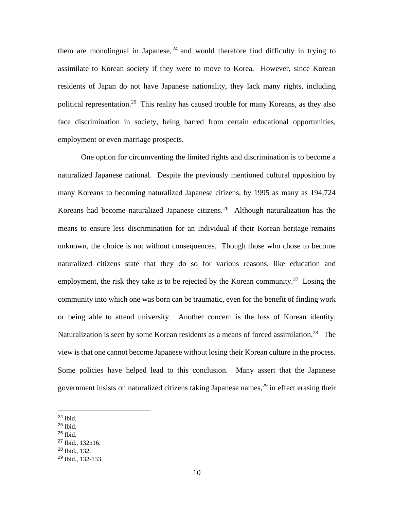them are monolingual in Japanese,  $24$  and would therefore find difficulty in trying to assimilate to Korean society if they were to move to Korea. However, since Korean residents of Japan do not have Japanese nationality, they lack many rights, including political representation.<sup>25</sup> This reality has caused trouble for many Koreans, as they also face discrimination in society, being barred from certain educational opportunities, employment or even marriage prospects.

One option for circumventing the limited rights and discrimination is to become a naturalized Japanese national. Despite the previously mentioned cultural opposition by many Koreans to becoming naturalized Japanese citizens, by 1995 as many as 194,724 Koreans had become naturalized Japanese citizens.<sup>26</sup> Although naturalization has the means to ensure less discrimination for an individual if their Korean heritage remains unknown, the choice is not without consequences. Though those who chose to become naturalized citizens state that they do so for various reasons, like education and employment, the risk they take is to be rejected by the Korean community.<sup>27</sup> Losing the community into which one was born can be traumatic, even for the benefit of finding work or being able to attend university. Another concern is the loss of Korean identity. Naturalization is seen by some Korean residents as a means of forced assimilation.<sup>28</sup> The view is that one cannot become Japanese without losing their Korean culture in the process. Some policies have helped lead to this conclusion. Many assert that the Japanese government insists on naturalized citizens taking Japanese names, <sup>29</sup> in effect erasing their

<sup>25</sup> Ibid.

<sup>28</sup> Ibid., 132.

 $24$  Ibid.

 $26$  Ibid.

<sup>27</sup> Ibid., 132n16.

<sup>29</sup> Ibid., 132-133.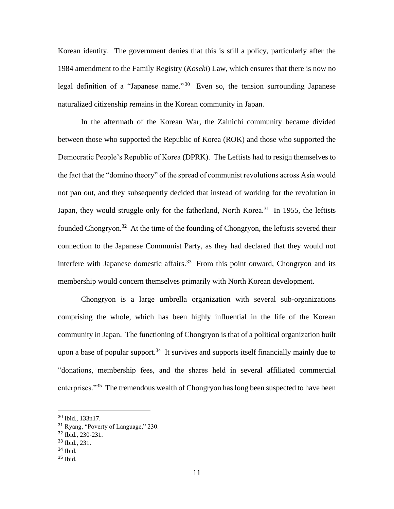Korean identity. The government denies that this is still a policy, particularly after the 1984 amendment to the Family Registry (*Koseki*) Law, which ensures that there is now no legal definition of a "Japanese name."<sup>30</sup> Even so, the tension surrounding Japanese naturalized citizenship remains in the Korean community in Japan.

In the aftermath of the Korean War, the Zainichi community became divided between those who supported the Republic of Korea (ROK) and those who supported the Democratic People's Republic of Korea (DPRK). The Leftists had to resign themselves to the fact that the "domino theory" of the spread of communist revolutions across Asia would not pan out, and they subsequently decided that instead of working for the revolution in Japan, they would struggle only for the fatherland, North Korea.<sup>31</sup> In 1955, the leftists founded Chongryon.<sup>32</sup> At the time of the founding of Chongryon, the leftists severed their connection to the Japanese Communist Party, as they had declared that they would not interfere with Japanese domestic affairs.<sup>33</sup> From this point onward, Chongryon and its membership would concern themselves primarily with North Korean development.

Chongryon is a large umbrella organization with several sub-organizations comprising the whole, which has been highly influential in the life of the Korean community in Japan. The functioning of Chongryon is that of a political organization built upon a base of popular support.<sup>34</sup> It survives and supports itself financially mainly due to "donations, membership fees, and the shares held in several affiliated commercial enterprises."<sup>35</sup> The tremendous wealth of Chongryon has long been suspected to have been

<sup>30</sup> Ibid., 133n17.

<sup>31</sup> Ryang, "Poverty of Language," 230.

<sup>32</sup> Ibid., 230-231.

<sup>33</sup> Ibid., 231.

<sup>34</sup> Ibid.

 $35$  Ibid.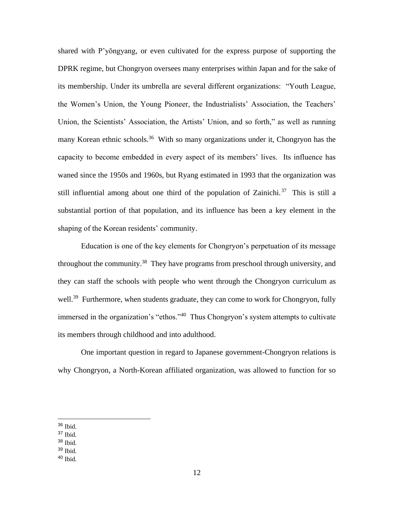shared with P'yŏngyang, or even cultivated for the express purpose of supporting the DPRK regime, but Chongryon oversees many enterprises within Japan and for the sake of its membership. Under its umbrella are several different organizations: "Youth League, the Women's Union, the Young Pioneer, the Industrialists' Association, the Teachers' Union, the Scientists' Association, the Artists' Union, and so forth," as well as running many Korean ethnic schools.<sup>36</sup> With so many organizations under it, Chongryon has the capacity to become embedded in every aspect of its members' lives. Its influence has waned since the 1950s and 1960s, but Ryang estimated in 1993 that the organization was still influential among about one third of the population of Zainichi.<sup>37</sup> This is still a substantial portion of that population, and its influence has been a key element in the shaping of the Korean residents' community.

Education is one of the key elements for Chongryon's perpetuation of its message throughout the community.<sup>38</sup> They have programs from preschool through university, and they can staff the schools with people who went through the Chongryon curriculum as well.<sup>39</sup> Furthermore, when students graduate, they can come to work for Chongryon, fully immersed in the organization's "ethos."<sup>40</sup> Thus Chongryon's system attempts to cultivate its members through childhood and into adulthood.

One important question in regard to Japanese government-Chongryon relations is why Chongryon, a North-Korean affiliated organization, was allowed to function for so

- <sup>37</sup> Ibid.
- <sup>38</sup> Ibid.
- <sup>39</sup> Ibid.
- $40$  Ibid.

<sup>36</sup> Ibid.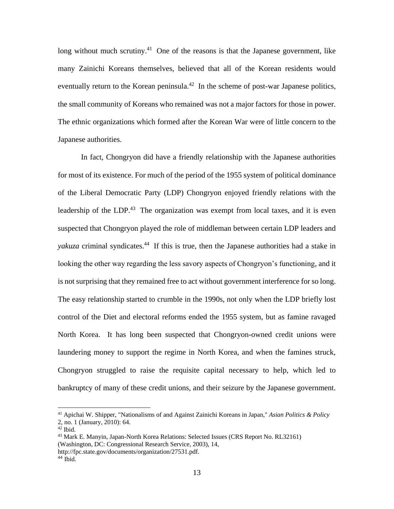long without much scrutiny.<sup>41</sup> One of the reasons is that the Japanese government, like many Zainichi Koreans themselves, believed that all of the Korean residents would eventually return to the Korean peninsula.<sup>42</sup> In the scheme of post-war Japanese politics, the small community of Koreans who remained was not a major factors for those in power. The ethnic organizations which formed after the Korean War were of little concern to the Japanese authorities.

In fact, Chongryon did have a friendly relationship with the Japanese authorities for most of its existence. For much of the period of the 1955 system of political dominance of the Liberal Democratic Party (LDP) Chongryon enjoyed friendly relations with the leadership of the LDP.<sup>43</sup> The organization was exempt from local taxes, and it is even suspected that Chongryon played the role of middleman between certain LDP leaders and yakuza criminal syndicates.<sup>44</sup> If this is true, then the Japanese authorities had a stake in looking the other way regarding the less savory aspects of Chongryon's functioning, and it is not surprising that they remained free to act without government interference for so long. The easy relationship started to crumble in the 1990s, not only when the LDP briefly lost control of the Diet and electoral reforms ended the 1955 system, but as famine ravaged North Korea. It has long been suspected that Chongryon-owned credit unions were laundering money to support the regime in North Korea, and when the famines struck, Chongryon struggled to raise the requisite capital necessary to help, which led to bankruptcy of many of these credit unions, and their seizure by the Japanese government.

<sup>41</sup> Apichai W. Shipper, "Nationalisms of and Against Zainichi Koreans in Japan," *Asian Politics & Policy* 2, no. 1 (January, 2010): 64.

<sup>42</sup> Ibid.

<sup>43</sup> Mark E. Manyin, Japan-North Korea Relations: Selected Issues (CRS Report No. RL32161) (Washington, DC: Congressional Research Service, 2003), 14, http://fpc.state.gov/documents/organization/27531.pdf.

 $44$  Ibid.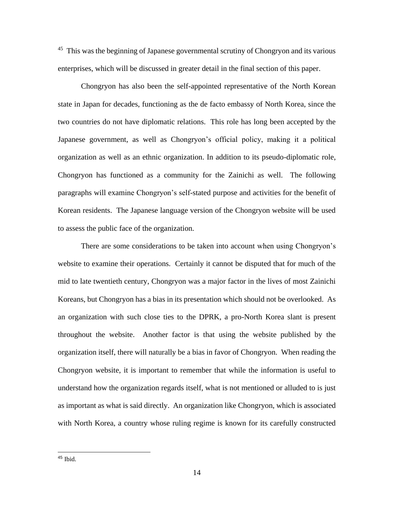<sup>45</sup> This was the beginning of Japanese governmental scrutiny of Chongryon and its various enterprises, which will be discussed in greater detail in the final section of this paper.

Chongryon has also been the self-appointed representative of the North Korean state in Japan for decades, functioning as the de facto embassy of North Korea, since the two countries do not have diplomatic relations. This role has long been accepted by the Japanese government, as well as Chongryon's official policy, making it a political organization as well as an ethnic organization. In addition to its pseudo-diplomatic role, Chongryon has functioned as a community for the Zainichi as well. The following paragraphs will examine Chongryon's self-stated purpose and activities for the benefit of Korean residents. The Japanese language version of the Chongryon website will be used to assess the public face of the organization.

There are some considerations to be taken into account when using Chongryon's website to examine their operations. Certainly it cannot be disputed that for much of the mid to late twentieth century, Chongryon was a major factor in the lives of most Zainichi Koreans, but Chongryon has a bias in its presentation which should not be overlooked. As an organization with such close ties to the DPRK, a pro-North Korea slant is present throughout the website. Another factor is that using the website published by the organization itself, there will naturally be a bias in favor of Chongryon. When reading the Chongryon website, it is important to remember that while the information is useful to understand how the organization regards itself, what is not mentioned or alluded to is just as important as what is said directly. An organization like Chongryon, which is associated with North Korea, a country whose ruling regime is known for its carefully constructed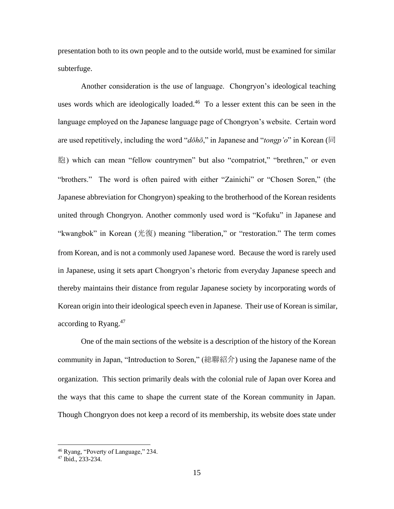presentation both to its own people and to the outside world, must be examined for similar subterfuge.

Another consideration is the use of language. Chongryon's ideological teaching uses words which are ideologically loaded.<sup>46</sup> To a lesser extent this can be seen in the language employed on the Japanese language page of Chongryon's website. Certain word are used repetitively, including the word "*dōhō*," in Japanese and "*tongp'o*" in Korean (同 胞) which can mean "fellow countrymen" but also "compatriot," "brethren," or even "brothers." The word is often paired with either "Zainichi" or "Chosen Soren," (the Japanese abbreviation for Chongryon) speaking to the brotherhood of the Korean residents united through Chongryon. Another commonly used word is "Kofuku" in Japanese and "kwangbok" in Korean (光復) meaning "liberation," or "restoration." The term comes from Korean, and is not a commonly used Japanese word. Because the word is rarely used in Japanese, using it sets apart Chongryon's rhetoric from everyday Japanese speech and thereby maintains their distance from regular Japanese society by incorporating words of Korean origin into their ideological speech even in Japanese. Their use of Korean is similar, according to Ryang.<sup>47</sup>

One of the main sections of the website is a description of the history of the Korean community in Japan, "Introduction to Soren," (総聯紹介) using the Japanese name of the organization. This section primarily deals with the colonial rule of Japan over Korea and the ways that this came to shape the current state of the Korean community in Japan. Though Chongryon does not keep a record of its membership, its website does state under

<sup>46</sup> Ryang, "Poverty of Language," 234.

<sup>47</sup> Ibid., 233-234.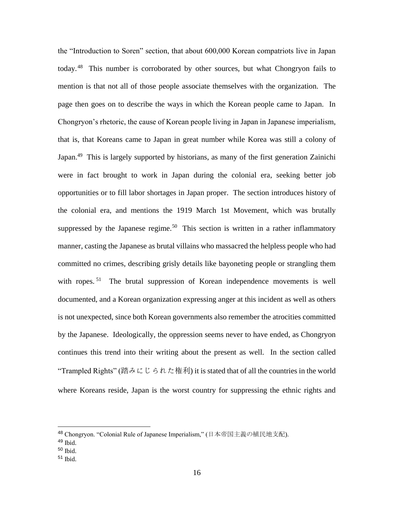the "Introduction to Soren" section, that about 600,000 Korean compatriots live in Japan today.<sup>48</sup> This number is corroborated by other sources, but what Chongryon fails to mention is that not all of those people associate themselves with the organization. The page then goes on to describe the ways in which the Korean people came to Japan. In Chongryon's rhetoric, the cause of Korean people living in Japan in Japanese imperialism, that is, that Koreans came to Japan in great number while Korea was still a colony of Japan.<sup>49</sup> This is largely supported by historians, as many of the first generation Zainichi were in fact brought to work in Japan during the colonial era, seeking better job opportunities or to fill labor shortages in Japan proper. The section introduces history of the colonial era, and mentions the 1919 March 1st Movement, which was brutally suppressed by the Japanese regime.<sup>50</sup> This section is written in a rather inflammatory manner, casting the Japanese as brutal villains who massacred the helpless people who had committed no crimes, describing grisly details like bayoneting people or strangling them with ropes.<sup>51</sup> The brutal suppression of Korean independence movements is well documented, and a Korean organization expressing anger at this incident as well as others is not unexpected, since both Korean governments also remember the atrocities committed by the Japanese. Ideologically, the oppression seems never to have ended, as Chongryon continues this trend into their writing about the present as well. In the section called "Trampled Rights" (踏みにじられた権利) it is stated that of all the countries in the world where Koreans reside, Japan is the worst country for suppressing the ethnic rights and

<sup>48</sup> Chongryon. "Colonial Rule of Japanese Imperialism," (日本帝国主義の植民地支配).

<sup>49</sup> Ibid.

<sup>50</sup> Ibid.

<sup>51</sup> Ibid.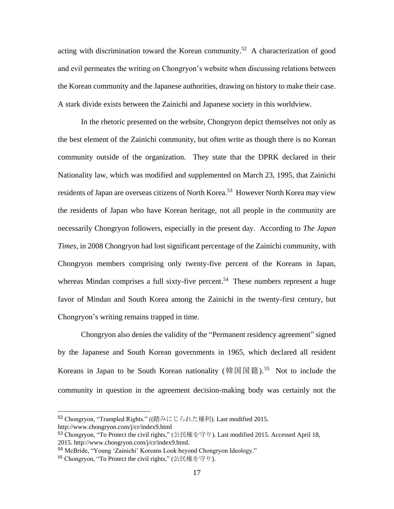acting with discrimination toward the Korean community.<sup>52</sup> A characterization of good and evil permeates the writing on Chongryon's website when discussing relations between the Korean community and the Japanese authorities, drawing on history to make their case. A stark divide exists between the Zainichi and Japanese society in this worldview.

In the rhetoric presented on the website, Chongryon depict themselves not only as the best element of the Zainichi community, but often write as though there is no Korean community outside of the organization. They state that the DPRK declared in their Nationality law, which was modified and supplemented on March 23, 1995, that Zainichi residents of Japan are overseas citizens of North Korea.<sup>53</sup> However North Korea may view the residents of Japan who have Korean heritage, not all people in the community are necessarily Chongryon followers, especially in the present day. According to *The Japan Times*, in 2008 Chongryon had lost significant percentage of the Zainichi community, with Chongryon members comprising only twenty-five percent of the Koreans in Japan, whereas Mindan comprises a full sixty-five percent.<sup>54</sup> These numbers represent a huge favor of Mindan and South Korea among the Zainichi in the twenty-first century, but Chongryon's writing remains trapped in time.

Chongryon also denies the validity of the "Permanent residency agreement" signed by the Japanese and South Korean governments in 1965, which declared all resident Koreans in Japan to be South Korean nationality (韓国国籍).<sup>55</sup> Not to include the community in question in the agreement decision-making body was certainly not the

 $\overline{a}$ 

<sup>52</sup> Chongryon, "Trampled Rights." ((踏みにじられた権利). Last modified 2015. http://www.chongryon.com/j/cr/index9.html

<sup>53</sup> Chongryon, "To Protect the civil rights," (公民権を守り). Last modified 2015. Accessed April 18,

<sup>2015.</sup> http://www.chongryon.com/j/cr/index9.html.

<sup>54</sup> McBride, "Young 'Zainichi' Koreans Look beyond Chongryon Ideology."

<sup>55</sup> Chongryon, "To Protect the civil rights," (公民権を守り).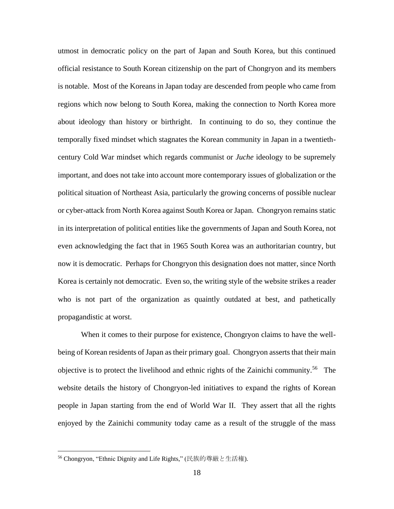utmost in democratic policy on the part of Japan and South Korea, but this continued official resistance to South Korean citizenship on the part of Chongryon and its members is notable. Most of the Koreans in Japan today are descended from people who came from regions which now belong to South Korea, making the connection to North Korea more about ideology than history or birthright. In continuing to do so, they continue the temporally fixed mindset which stagnates the Korean community in Japan in a twentiethcentury Cold War mindset which regards communist or *Juche* ideology to be supremely important, and does not take into account more contemporary issues of globalization or the political situation of Northeast Asia, particularly the growing concerns of possible nuclear or cyber-attack from North Korea against South Korea or Japan. Chongryon remains static in its interpretation of political entities like the governments of Japan and South Korea, not even acknowledging the fact that in 1965 South Korea was an authoritarian country, but now it is democratic. Perhaps for Chongryon this designation does not matter, since North Korea is certainly not democratic. Even so, the writing style of the website strikes a reader who is not part of the organization as quaintly outdated at best, and pathetically propagandistic at worst.

When it comes to their purpose for existence, Chongryon claims to have the wellbeing of Korean residents of Japan as their primary goal. Chongryon asserts that their main objective is to protect the livelihood and ethnic rights of the Zainichi community.<sup>56</sup> The website details the history of Chongryon-led initiatives to expand the rights of Korean people in Japan starting from the end of World War II. They assert that all the rights enjoyed by the Zainichi community today came as a result of the struggle of the mass

<sup>56</sup> Chongryon, "Ethnic Dignity and Life Rights," (民族的尊厳と生活権).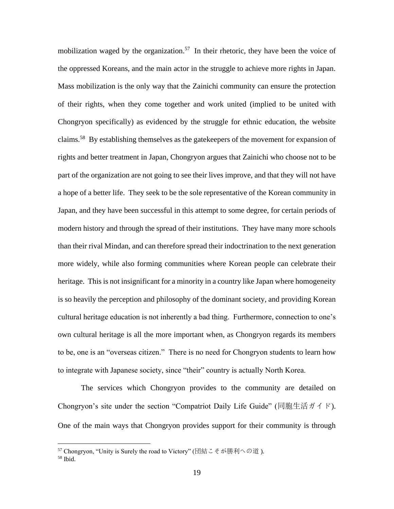mobilization waged by the organization.<sup>57</sup> In their rhetoric, they have been the voice of the oppressed Koreans, and the main actor in the struggle to achieve more rights in Japan. Mass mobilization is the only way that the Zainichi community can ensure the protection of their rights, when they come together and work united (implied to be united with Chongryon specifically) as evidenced by the struggle for ethnic education, the website claims.<sup>58</sup> By establishing themselves as the gatekeepers of the movement for expansion of rights and better treatment in Japan, Chongryon argues that Zainichi who choose not to be part of the organization are not going to see their lives improve, and that they will not have a hope of a better life. They seek to be the sole representative of the Korean community in Japan, and they have been successful in this attempt to some degree, for certain periods of modern history and through the spread of their institutions. They have many more schools than their rival Mindan, and can therefore spread their indoctrination to the next generation more widely, while also forming communities where Korean people can celebrate their heritage. This is not insignificant for a minority in a country like Japan where homogeneity is so heavily the perception and philosophy of the dominant society, and providing Korean cultural heritage education is not inherently a bad thing. Furthermore, connection to one's own cultural heritage is all the more important when, as Chongryon regards its members to be, one is an "overseas citizen." There is no need for Chongryon students to learn how to integrate with Japanese society, since "their" country is actually North Korea.

The services which Chongryon provides to the community are detailed on Chongryon's site under the section "Compatriot Daily Life Guide" (同胞生活ガイド). One of the main ways that Chongryon provides support for their community is through

<sup>57</sup> Chongryon, "Unity is Surely the road to Victory" (団結こそが勝利への道 ).

<sup>58</sup> Ibid.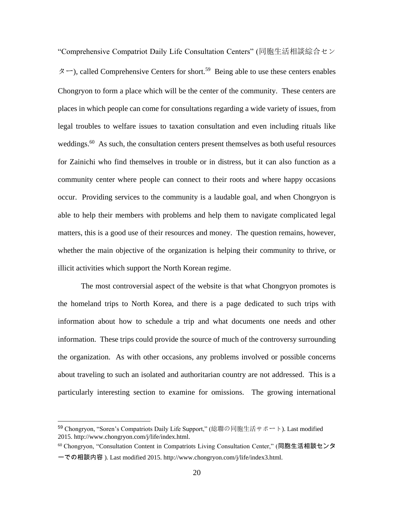"Comprehensive Compatriot Daily Life Consultation Centers" (同胞生活相談綜合セン  $\beta$  –), called Comprehensive Centers for short.<sup>59</sup> Being able to use these centers enables Chongryon to form a place which will be the center of the community. These centers are places in which people can come for consultations regarding a wide variety of issues, from legal troubles to welfare issues to taxation consultation and even including rituals like weddings.<sup>60</sup> As such, the consultation centers present themselves as both useful resources for Zainichi who find themselves in trouble or in distress, but it can also function as a community center where people can connect to their roots and where happy occasions occur. Providing services to the community is a laudable goal, and when Chongryon is able to help their members with problems and help them to navigate complicated legal matters, this is a good use of their resources and money. The question remains, however, whether the main objective of the organization is helping their community to thrive, or illicit activities which support the North Korean regime.

The most controversial aspect of the website is that what Chongryon promotes is the homeland trips to North Korea, and there is a page dedicated to such trips with information about how to schedule a trip and what documents one needs and other information. These trips could provide the source of much of the controversy surrounding the organization. As with other occasions, any problems involved or possible concerns about traveling to such an isolated and authoritarian country are not addressed. This is a particularly interesting section to examine for omissions. The growing international

<sup>59</sup> Chongryon, "Soren's Compatriots Daily Life Support," (総聯の同胞生活サポート). Last modified 2015. http://www.chongryon.com/j/life/index.html.

<sup>60</sup> Chongryon, "Consultation Content in Compatriots Living Consultation Center," (同胞生活相談センタ ーでの相談内容 ). Last modified 2015. http://www.chongryon.com/j/life/index3.html.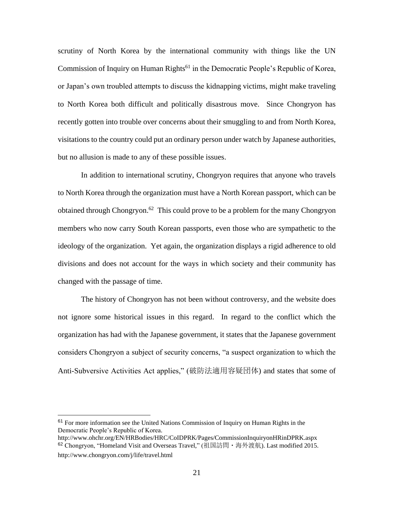scrutiny of North Korea by the international community with things like the UN Commission of Inquiry on Human Rights<sup>61</sup> in the Democratic People's Republic of Korea, or Japan's own troubled attempts to discuss the kidnapping victims, might make traveling to North Korea both difficult and politically disastrous move. Since Chongryon has recently gotten into trouble over concerns about their smuggling to and from North Korea, visitations to the country could put an ordinary person under watch by Japanese authorities, but no allusion is made to any of these possible issues.

In addition to international scrutiny, Chongryon requires that anyone who travels to North Korea through the organization must have a North Korean passport, which can be obtained through Chongryon.<sup>62</sup> This could prove to be a problem for the many Chongryon members who now carry South Korean passports, even those who are sympathetic to the ideology of the organization. Yet again, the organization displays a rigid adherence to old divisions and does not account for the ways in which society and their community has changed with the passage of time.

The history of Chongryon has not been without controversy, and the website does not ignore some historical issues in this regard. In regard to the conflict which the organization has had with the Japanese government, it states that the Japanese government considers Chongryon a subject of security concerns, "a suspect organization to which the Anti-Subversive Activities Act applies," (破防法適用容疑団体) and states that some of

<sup>61</sup> For more information see the United Nations Commission of Inquiry on Human Rights in the Democratic People's Republic of Korea.

http://www.ohchr.org/EN/HRBodies/HRC/CoIDPRK/Pages/CommissionInquiryonHRinDPRK.aspx <sup>62</sup> Chongryon, "Homeland Visit and Overseas Travel," (祖国訪問・海外渡航). Last modified 2015. http://www.chongryon.com/j/life/travel.html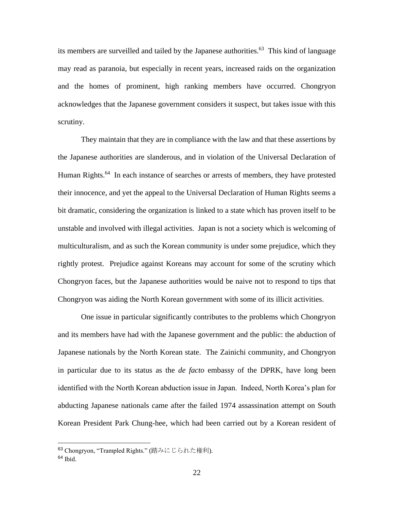its members are surveilled and tailed by the Japanese authorities.<sup>63</sup> This kind of language may read as paranoia, but especially in recent years, increased raids on the organization and the homes of prominent, high ranking members have occurred. Chongryon acknowledges that the Japanese government considers it suspect, but takes issue with this scrutiny.

They maintain that they are in compliance with the law and that these assertions by the Japanese authorities are slanderous, and in violation of the Universal Declaration of Human Rights.<sup>64</sup> In each instance of searches or arrests of members, they have protested their innocence, and yet the appeal to the Universal Declaration of Human Rights seems a bit dramatic, considering the organization is linked to a state which has proven itself to be unstable and involved with illegal activities. Japan is not a society which is welcoming of multiculturalism, and as such the Korean community is under some prejudice, which they rightly protest. Prejudice against Koreans may account for some of the scrutiny which Chongryon faces, but the Japanese authorities would be naive not to respond to tips that Chongryon was aiding the North Korean government with some of its illicit activities.

One issue in particular significantly contributes to the problems which Chongryon and its members have had with the Japanese government and the public: the abduction of Japanese nationals by the North Korean state. The Zainichi community, and Chongryon in particular due to its status as the *de facto* embassy of the DPRK, have long been identified with the North Korean abduction issue in Japan. Indeed, North Korea's plan for abducting Japanese nationals came after the failed 1974 assassination attempt on South Korean President Park Chung-hee, which had been carried out by a Korean resident of

 $\overline{a}$ 

<sup>63</sup> Chongryon, "Trampled Rights." (踏みにじられた権利).

 $64$  Ibid.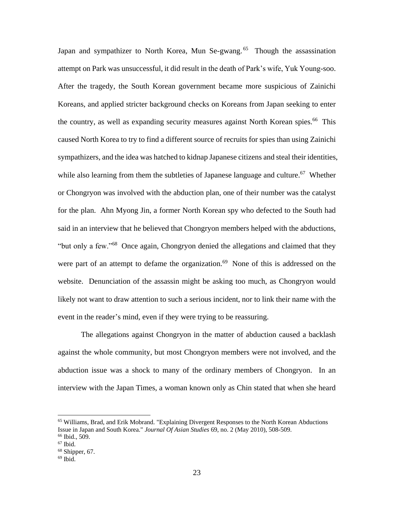Japan and sympathizer to North Korea, Mun Se-gwang.<sup>65</sup> Though the assassination attempt on Park was unsuccessful, it did result in the death of Park's wife, Yuk Young-soo. After the tragedy, the South Korean government became more suspicious of Zainichi Koreans, and applied stricter background checks on Koreans from Japan seeking to enter the country, as well as expanding security measures against North Korean spies.<sup>66</sup> This caused North Korea to try to find a different source of recruits for spies than using Zainichi sympathizers, and the idea was hatched to kidnap Japanese citizens and steal their identities, while also learning from them the subtleties of Japanese language and culture.<sup>67</sup> Whether or Chongryon was involved with the abduction plan, one of their number was the catalyst for the plan. Ahn Myong Jin, a former North Korean spy who defected to the South had said in an interview that he believed that Chongryon members helped with the abductions, "but only a few."<sup>68</sup> Once again, Chongryon denied the allegations and claimed that they were part of an attempt to defame the organization.<sup>69</sup> None of this is addressed on the website. Denunciation of the assassin might be asking too much, as Chongryon would likely not want to draw attention to such a serious incident, nor to link their name with the event in the reader's mind, even if they were trying to be reassuring.

The allegations against Chongryon in the matter of abduction caused a backlash against the whole community, but most Chongryon members were not involved, and the abduction issue was a shock to many of the ordinary members of Chongryon. In an interview with the Japan Times, a woman known only as Chin stated that when she heard

 $\overline{a}$ 

<sup>65</sup> Williams, Brad, and Erik Mobrand. "Explaining Divergent Responses to the North Korean Abductions Issue in Japan and South Korea." *Journal Of Asian Studies* 69, no. 2 (May 2010), 508-509.

<sup>66</sup> Ibid., 509.

 $67$  Ibid.

 $68$  Shipper, 67.

 $69$  Ibid.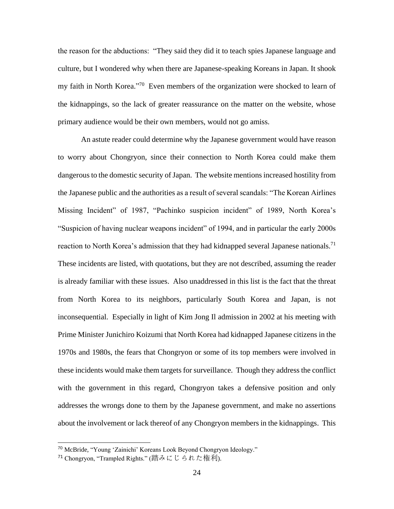the reason for the abductions: "They said they did it to teach spies Japanese language and culture, but I wondered why when there are Japanese-speaking Koreans in Japan. It shook my faith in North Korea."<sup>70</sup> Even members of the organization were shocked to learn of the kidnappings, so the lack of greater reassurance on the matter on the website, whose primary audience would be their own members, would not go amiss.

An astute reader could determine why the Japanese government would have reason to worry about Chongryon, since their connection to North Korea could make them dangerous to the domestic security of Japan. The website mentions increased hostility from the Japanese public and the authorities as a result of several scandals: "The Korean Airlines Missing Incident" of 1987, "Pachinko suspicion incident" of 1989, North Korea's "Suspicion of having nuclear weapons incident" of 1994, and in particular the early 2000s reaction to North Korea's admission that they had kidnapped several Japanese nationals.<sup>71</sup> These incidents are listed, with quotations, but they are not described, assuming the reader is already familiar with these issues. Also unaddressed in this list is the fact that the threat from North Korea to its neighbors, particularly South Korea and Japan, is not inconsequential. Especially in light of Kim Jong Il admission in 2002 at his meeting with Prime Minister Junichiro Koizumi that North Korea had kidnapped Japanese citizens in the 1970s and 1980s, the fears that Chongryon or some of its top members were involved in these incidents would make them targets for surveillance. Though they address the conflict with the government in this regard, Chongryon takes a defensive position and only addresses the wrongs done to them by the Japanese government, and make no assertions about the involvement or lack thereof of any Chongryon members in the kidnappings. This

<sup>70</sup> McBride, "Young 'Zainichi' Koreans Look Beyond Chongryon Ideology."

<sup>71</sup> Chongryon, "Trampled Rights." (踏みにじられた権利).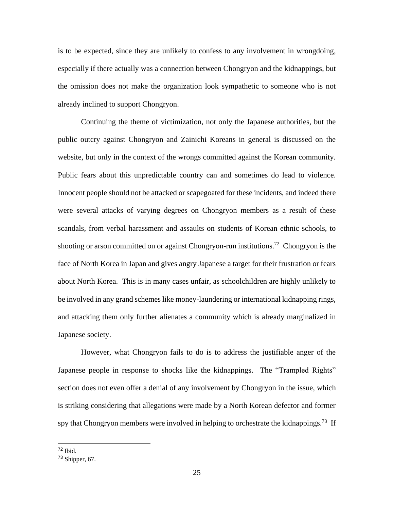is to be expected, since they are unlikely to confess to any involvement in wrongdoing, especially if there actually was a connection between Chongryon and the kidnappings, but the omission does not make the organization look sympathetic to someone who is not already inclined to support Chongryon.

Continuing the theme of victimization, not only the Japanese authorities, but the public outcry against Chongryon and Zainichi Koreans in general is discussed on the website, but only in the context of the wrongs committed against the Korean community. Public fears about this unpredictable country can and sometimes do lead to violence. Innocent people should not be attacked or scapegoated for these incidents, and indeed there were several attacks of varying degrees on Chongryon members as a result of these scandals, from verbal harassment and assaults on students of Korean ethnic schools, to shooting or arson committed on or against Chongryon-run institutions.<sup>72</sup> Chongryon is the face of North Korea in Japan and gives angry Japanese a target for their frustration or fears about North Korea. This is in many cases unfair, as schoolchildren are highly unlikely to be involved in any grand schemes like money-laundering or international kidnapping rings, and attacking them only further alienates a community which is already marginalized in Japanese society.

However, what Chongryon fails to do is to address the justifiable anger of the Japanese people in response to shocks like the kidnappings. The "Trampled Rights" section does not even offer a denial of any involvement by Chongryon in the issue, which is striking considering that allegations were made by a North Korean defector and former spy that Chongryon members were involved in helping to orchestrate the kidnappings.<sup>73</sup> If

<sup>72</sup> Ibid.

<sup>73</sup> Shipper, 67.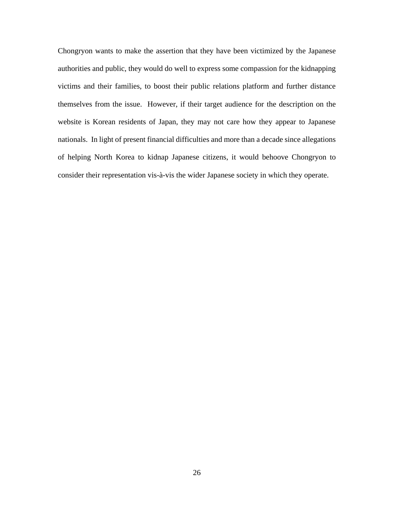Chongryon wants to make the assertion that they have been victimized by the Japanese authorities and public, they would do well to express some compassion for the kidnapping victims and their families, to boost their public relations platform and further distance themselves from the issue. However, if their target audience for the description on the website is Korean residents of Japan, they may not care how they appear to Japanese nationals. In light of present financial difficulties and more than a decade since allegations of helping North Korea to kidnap Japanese citizens, it would behoove Chongryon to consider their representation vis-à-vis the wider Japanese society in which they operate.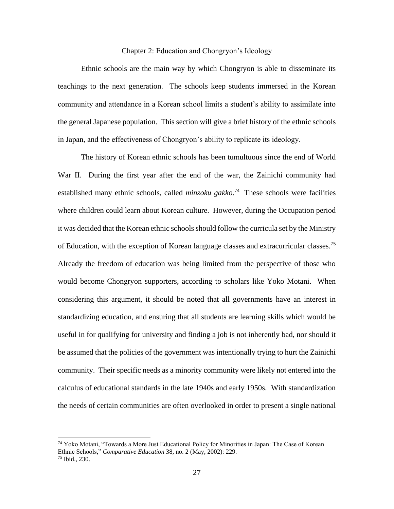## Chapter 2: Education and Chongryon's Ideology

Ethnic schools are the main way by which Chongryon is able to disseminate its teachings to the next generation. The schools keep students immersed in the Korean community and attendance in a Korean school limits a student's ability to assimilate into the general Japanese population. This section will give a brief history of the ethnic schools in Japan, and the effectiveness of Chongryon's ability to replicate its ideology.

The history of Korean ethnic schools has been tumultuous since the end of World War II. During the first year after the end of the war, the Zainichi community had established many ethnic schools, called *minzoku gakko*. 74 These schools were facilities where children could learn about Korean culture. However, during the Occupation period it was decided that the Korean ethnic schools should follow the curricula set by the Ministry of Education, with the exception of Korean language classes and extracurricular classes.<sup>75</sup> Already the freedom of education was being limited from the perspective of those who would become Chongryon supporters, according to scholars like Yoko Motani. When considering this argument, it should be noted that all governments have an interest in standardizing education, and ensuring that all students are learning skills which would be useful in for qualifying for university and finding a job is not inherently bad, nor should it be assumed that the policies of the government was intentionally trying to hurt the Zainichi community. Their specific needs as a minority community were likely not entered into the calculus of educational standards in the late 1940s and early 1950s. With standardization the needs of certain communities are often overlooked in order to present a single national

 $\overline{a}$ 

<sup>&</sup>lt;sup>74</sup> Yoko Motani, "Towards a More Just Educational Policy for Minorities in Japan: The Case of Korean Ethnic Schools," *Comparative Education* 38, no. 2 (May, 2002): 229. <sup>75</sup> Ibid., 230.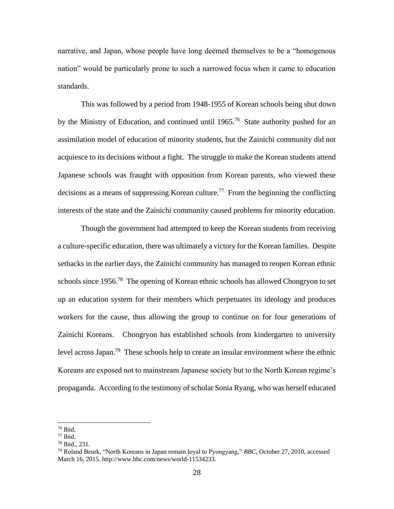narrative, and Japan, whose people have long deemed themselves to be a "homogenous nation" would be particularly prone to such a narrowed focus when it came to education standards.

This was followed by a period from 1948-1955 of Korean schools being shut down by the Ministry of Education, and continued until 1965.<sup>76</sup> State authority pushed for an assimilation model of education of minority students, but the Zainichi community did not acquiesce to its decisions without a fight. The struggle to make the Korean students attend Japanese schools was fraught with opposition from Korean parents, who viewed these decisions as a means of suppressing Korean culture.<sup>77</sup> From the beginning the conflicting interests of the state and the Zainichi community caused problems for minority education.

Though the government had attempted to keep the Korean students from receiving a culture-specific education, there was ultimately a victory for the Korean families. Despite setbacks in the earlier days, the Zainichi community has managed to reopen Korean ethnic schools since 1956.<sup>78</sup> The opening of Korean ethnic schools has allowed Chongryon to set up an education system for their members which perpetuates its ideology and produces workers for the cause, thus allowing the group to continue on for four generations of Zainichi Koreans. Chongryon has established schools from kindergarten to university level across Japan.<sup>79</sup> These schools help to create an insular environment where the ethnic Koreans are exposed not to mainstream Japanese society but to the North Korean regime's propaganda. According to the testimony of scholar Sonia Ryang, who was herself educated

<sup>76</sup> Ibid.

 $77$  Ibid.

<sup>78</sup> Ibid., 231.

<sup>79</sup> Roland Beurk, "North Koreans in Japan remain loyal to Pyongyang," *BBC*, October 27, 2010, accessed March 16, 2015. http://www.bbc.com/news/world-11534233.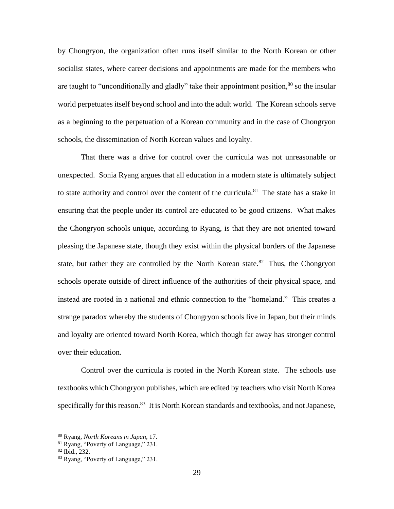by Chongryon, the organization often runs itself similar to the North Korean or other socialist states, where career decisions and appointments are made for the members who are taught to "unconditionally and gladly" take their appointment position,  $80$  so the insular world perpetuates itself beyond school and into the adult world. The Korean schools serve as a beginning to the perpetuation of a Korean community and in the case of Chongryon schools, the dissemination of North Korean values and loyalty.

That there was a drive for control over the curricula was not unreasonable or unexpected. Sonia Ryang argues that all education in a modern state is ultimately subject to state authority and control over the content of the curricula.<sup>81</sup> The state has a stake in ensuring that the people under its control are educated to be good citizens. What makes the Chongryon schools unique, according to Ryang, is that they are not oriented toward pleasing the Japanese state, though they exist within the physical borders of the Japanese state, but rather they are controlled by the North Korean state.<sup>82</sup> Thus, the Chongryon schools operate outside of direct influence of the authorities of their physical space, and instead are rooted in a national and ethnic connection to the "homeland." This creates a strange paradox whereby the students of Chongryon schools live in Japan, but their minds and loyalty are oriented toward North Korea, which though far away has stronger control over their education.

Control over the curricula is rooted in the North Korean state. The schools use textbooks which Chongryon publishes, which are edited by teachers who visit North Korea specifically for this reason.<sup>83</sup> It is North Korean standards and textbooks, and not Japanese,

<sup>80</sup> Ryang, *North Koreans in Japan*, 17.

<sup>81</sup> Ryang, "Poverty of Language," 231.

<sup>82</sup> Ibid., 232.

<sup>83</sup> Ryang, "Poverty of Language," 231.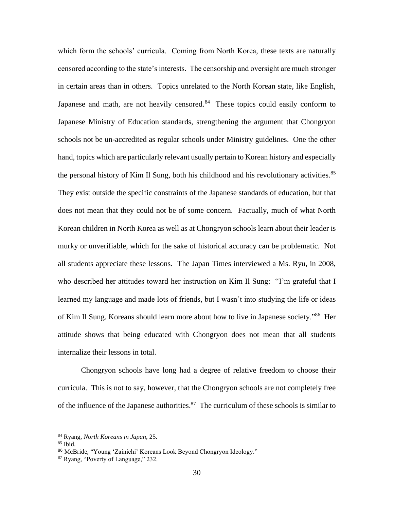which form the schools' curricula. Coming from North Korea, these texts are naturally censored according to the state's interests. The censorship and oversight are much stronger in certain areas than in others. Topics unrelated to the North Korean state, like English, Japanese and math, are not heavily censored.<sup>84</sup> These topics could easily conform to Japanese Ministry of Education standards, strengthening the argument that Chongryon schools not be un-accredited as regular schools under Ministry guidelines. One the other hand, topics which are particularly relevant usually pertain to Korean history and especially the personal history of Kim Il Sung, both his childhood and his revolutionary activities.<sup>85</sup> They exist outside the specific constraints of the Japanese standards of education, but that does not mean that they could not be of some concern. Factually, much of what North Korean children in North Korea as well as at Chongryon schools learn about their leader is murky or unverifiable, which for the sake of historical accuracy can be problematic. Not all students appreciate these lessons. The Japan Times interviewed a Ms. Ryu, in 2008, who described her attitudes toward her instruction on Kim Il Sung: "I'm grateful that I learned my language and made lots of friends, but I wasn't into studying the life or ideas of Kim Il Sung. Koreans should learn more about how to live in Japanese society."<sup>86</sup> Her attitude shows that being educated with Chongryon does not mean that all students internalize their lessons in total.

Chongryon schools have long had a degree of relative freedom to choose their curricula. This is not to say, however, that the Chongryon schools are not completely free of the influence of the Japanese authorities. $87$  The curriculum of these schools is similar to

<sup>84</sup> Ryang, *North Koreans in Japan*, 25.

 $85$  Ibid.

<sup>86</sup> McBride, "Young 'Zainichi' Koreans Look Beyond Chongryon Ideology."

<sup>87</sup> Ryang, "Poverty of Language," 232.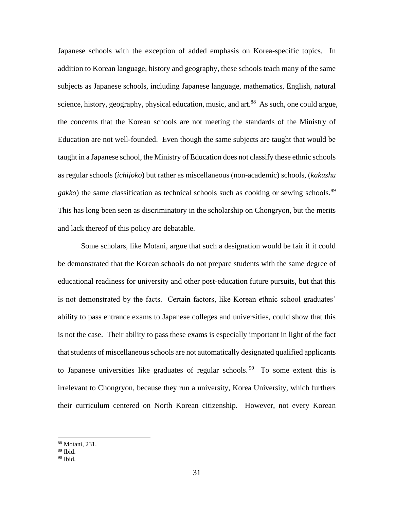Japanese schools with the exception of added emphasis on Korea-specific topics. In addition to Korean language, history and geography, these schools teach many of the same subjects as Japanese schools, including Japanese language, mathematics, English, natural science, history, geography, physical education, music, and art.<sup>88</sup> As such, one could argue, the concerns that the Korean schools are not meeting the standards of the Ministry of Education are not well-founded. Even though the same subjects are taught that would be taught in a Japanese school, the Ministry of Education does not classify these ethnic schools as regular schools (*ichijoko*) but rather as miscellaneous (non-academic) schools, (*kakushu*  gakko) the same classification as technical schools such as cooking or sewing schools.<sup>89</sup> This has long been seen as discriminatory in the scholarship on Chongryon, but the merits and lack thereof of this policy are debatable.

Some scholars, like Motani, argue that such a designation would be fair if it could be demonstrated that the Korean schools do not prepare students with the same degree of educational readiness for university and other post-education future pursuits, but that this is not demonstrated by the facts. Certain factors, like Korean ethnic school graduates' ability to pass entrance exams to Japanese colleges and universities, could show that this is not the case. Their ability to pass these exams is especially important in light of the fact that students of miscellaneous schools are not automatically designated qualified applicants to Japanese universities like graduates of regular schools.<sup>90</sup> To some extent this is irrelevant to Chongryon, because they run a university, Korea University, which furthers their curriculum centered on North Korean citizenship. However, not every Korean

 $\overline{a}$ 

<sup>88</sup> Motani, 231.

 $89$  Ibid.

 $90$  Ibid.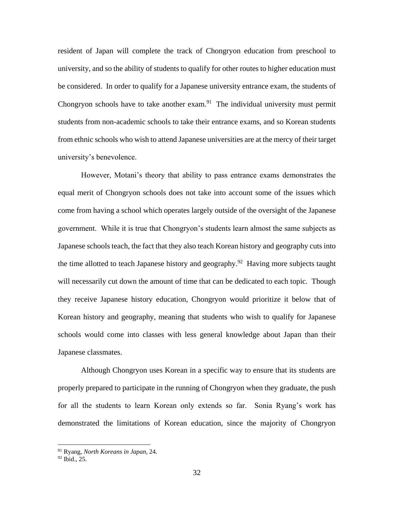resident of Japan will complete the track of Chongryon education from preschool to university, and so the ability of students to qualify for other routes to higher education must be considered. In order to qualify for a Japanese university entrance exam, the students of Chongryon schools have to take another  $exam$ <sup>91</sup>. The individual university must permit students from non-academic schools to take their entrance exams, and so Korean students from ethnic schools who wish to attend Japanese universities are at the mercy of their target university's benevolence.

However, Motani's theory that ability to pass entrance exams demonstrates the equal merit of Chongryon schools does not take into account some of the issues which come from having a school which operates largely outside of the oversight of the Japanese government. While it is true that Chongryon's students learn almost the same subjects as Japanese schools teach, the fact that they also teach Korean history and geography cuts into the time allotted to teach Japanese history and geography.<sup>92</sup> Having more subjects taught will necessarily cut down the amount of time that can be dedicated to each topic. Though they receive Japanese history education, Chongryon would prioritize it below that of Korean history and geography, meaning that students who wish to qualify for Japanese schools would come into classes with less general knowledge about Japan than their Japanese classmates.

Although Chongryon uses Korean in a specific way to ensure that its students are properly prepared to participate in the running of Chongryon when they graduate, the push for all the students to learn Korean only extends so far. Sonia Ryang's work has demonstrated the limitations of Korean education, since the majority of Chongryon

<sup>91</sup> Ryang, *North Koreans in Japan*, 24.

 $92$  Ibid., 25.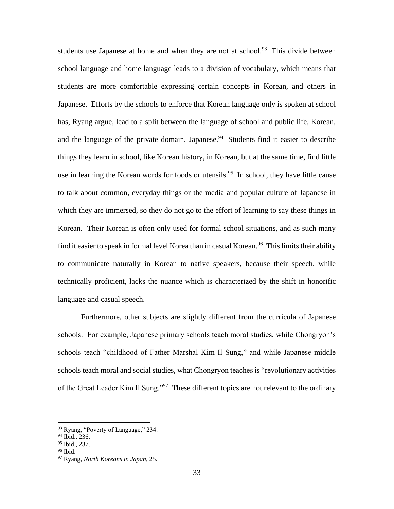students use Japanese at home and when they are not at school.<sup>93</sup> This divide between school language and home language leads to a division of vocabulary, which means that students are more comfortable expressing certain concepts in Korean, and others in Japanese. Efforts by the schools to enforce that Korean language only is spoken at school has, Ryang argue, lead to a split between the language of school and public life, Korean, and the language of the private domain, Japanese. $94$  Students find it easier to describe things they learn in school, like Korean history, in Korean, but at the same time, find little use in learning the Korean words for foods or utensils.<sup>95</sup> In school, they have little cause to talk about common, everyday things or the media and popular culture of Japanese in which they are immersed, so they do not go to the effort of learning to say these things in Korean. Their Korean is often only used for formal school situations, and as such many find it easier to speak in formal level Korea than in casual Korean.<sup>96</sup> This limits their ability to communicate naturally in Korean to native speakers, because their speech, while technically proficient, lacks the nuance which is characterized by the shift in honorific language and casual speech.

Furthermore, other subjects are slightly different from the curricula of Japanese schools. For example, Japanese primary schools teach moral studies, while Chongryon's schools teach "childhood of Father Marshal Kim Il Sung," and while Japanese middle schools teach moral and social studies, what Chongryon teaches is "revolutionary activities of the Great Leader Kim Il Sung."<sup>97</sup> These different topics are not relevant to the ordinary

<sup>&</sup>lt;sup>93</sup> Ryang, "Poverty of Language," 234.

<sup>&</sup>lt;sup>94</sup> Ibid., 236.

<sup>95</sup> Ibid., 237.

<sup>96</sup> Ibid.

<sup>97</sup> Ryang, *North Koreans in Japan*, 25.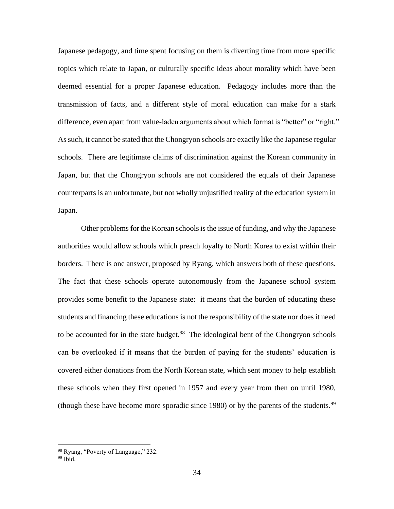Japanese pedagogy, and time spent focusing on them is diverting time from more specific topics which relate to Japan, or culturally specific ideas about morality which have been deemed essential for a proper Japanese education. Pedagogy includes more than the transmission of facts, and a different style of moral education can make for a stark difference, even apart from value-laden arguments about which format is "better" or "right." As such, it cannot be stated that the Chongryon schools are exactly like the Japanese regular schools. There are legitimate claims of discrimination against the Korean community in Japan, but that the Chongryon schools are not considered the equals of their Japanese counterparts is an unfortunate, but not wholly unjustified reality of the education system in Japan.

Other problems for the Korean schools is the issue of funding, and why the Japanese authorities would allow schools which preach loyalty to North Korea to exist within their borders. There is one answer, proposed by Ryang, which answers both of these questions. The fact that these schools operate autonomously from the Japanese school system provides some benefit to the Japanese state: it means that the burden of educating these students and financing these educations is not the responsibility of the state nor does it need to be accounted for in the state budget.<sup>98</sup> The ideological bent of the Chongryon schools can be overlooked if it means that the burden of paying for the students' education is covered either donations from the North Korean state, which sent money to help establish these schools when they first opened in 1957 and every year from then on until 1980, (though these have become more sporadic since 1980) or by the parents of the students.<sup>99</sup>

<sup>98</sup> Ryang, "Poverty of Language," 232.

<sup>99</sup> Ibid.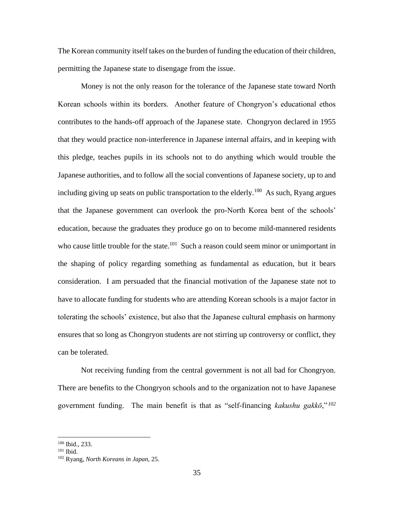The Korean community itself takes on the burden of funding the education of their children, permitting the Japanese state to disengage from the issue.

Money is not the only reason for the tolerance of the Japanese state toward North Korean schools within its borders. Another feature of Chongryon's educational ethos contributes to the hands-off approach of the Japanese state. Chongryon declared in 1955 that they would practice non-interference in Japanese internal affairs, and in keeping with this pledge, teaches pupils in its schools not to do anything which would trouble the Japanese authorities, and to follow all the social conventions of Japanese society, up to and including giving up seats on public transportation to the elderly.<sup>100</sup> As such, Ryang argues that the Japanese government can overlook the pro-North Korea bent of the schools' education, because the graduates they produce go on to become mild-mannered residents who cause little trouble for the state.<sup>101</sup> Such a reason could seem minor or unimportant in the shaping of policy regarding something as fundamental as education, but it bears consideration. I am persuaded that the financial motivation of the Japanese state not to have to allocate funding for students who are attending Korean schools is a major factor in tolerating the schools' existence, but also that the Japanese cultural emphasis on harmony ensures that so long as Chongryon students are not stirring up controversy or conflict, they can be tolerated.

Not receiving funding from the central government is not all bad for Chongryon. There are benefits to the Chongryon schools and to the organization not to have Japanese government funding. The main benefit is that as "self-financing *kakushu gakkō*," *<sup>102</sup>*

<sup>100</sup> Ibid., 233.

<sup>101</sup> Ibid.

<sup>102</sup> Ryang, *North Koreans in Japan*, 25.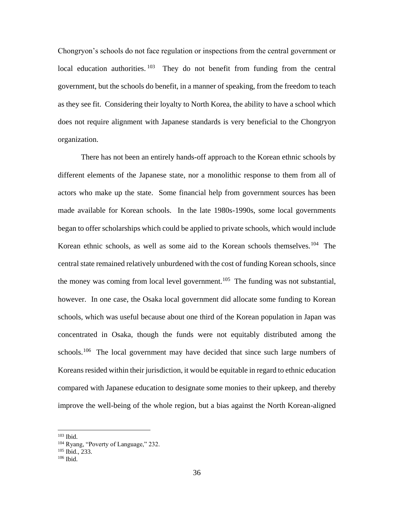Chongryon's schools do not face regulation or inspections from the central government or local education authorities.<sup>103</sup> They do not benefit from funding from the central government, but the schools do benefit, in a manner of speaking, from the freedom to teach as they see fit. Considering their loyalty to North Korea, the ability to have a school which does not require alignment with Japanese standards is very beneficial to the Chongryon organization.

There has not been an entirely hands-off approach to the Korean ethnic schools by different elements of the Japanese state, nor a monolithic response to them from all of actors who make up the state. Some financial help from government sources has been made available for Korean schools. In the late 1980s-1990s, some local governments began to offer scholarships which could be applied to private schools, which would include Korean ethnic schools, as well as some aid to the Korean schools themselves.<sup>104</sup> The central state remained relatively unburdened with the cost of funding Korean schools, since the money was coming from local level government.<sup>105</sup> The funding was not substantial, however. In one case, the Osaka local government did allocate some funding to Korean schools, which was useful because about one third of the Korean population in Japan was concentrated in Osaka, though the funds were not equitably distributed among the schools.<sup>106</sup> The local government may have decided that since such large numbers of Koreans resided within their jurisdiction, it would be equitable in regard to ethnic education compared with Japanese education to designate some monies to their upkeep, and thereby improve the well-being of the whole region, but a bias against the North Korean-aligned

<sup>103</sup> Ibid.

<sup>&</sup>lt;sup>104</sup> Ryang, "Poverty of Language," 232.

<sup>105</sup> Ibid., 233.

<sup>106</sup> Ibid.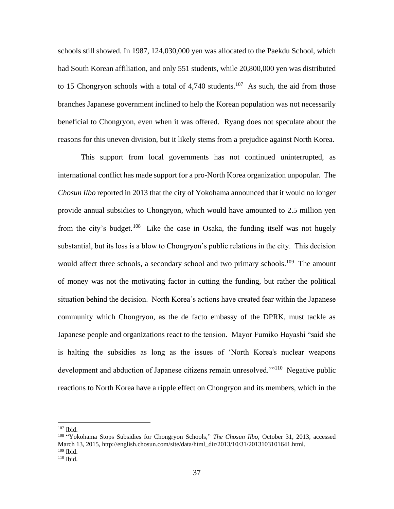schools still showed. In 1987, 124,030,000 yen was allocated to the Paekdu School, which had South Korean affiliation, and only 551 students, while 20,800,000 yen was distributed to 15 Chongryon schools with a total of  $4,740$  students.<sup>107</sup> As such, the aid from those branches Japanese government inclined to help the Korean population was not necessarily beneficial to Chongryon, even when it was offered. Ryang does not speculate about the reasons for this uneven division, but it likely stems from a prejudice against North Korea.

This support from local governments has not continued uninterrupted, as international conflict has made support for a pro-North Korea organization unpopular. The *Chosun Ilbo* reported in 2013 that the city of Yokohama announced that it would no longer provide annual subsidies to Chongryon, which would have amounted to 2.5 million yen from the city's budget.<sup>108</sup> Like the case in Osaka, the funding itself was not hugely substantial, but its loss is a blow to Chongryon's public relations in the city. This decision would affect three schools, a secondary school and two primary schools.<sup>109</sup> The amount of money was not the motivating factor in cutting the funding, but rather the political situation behind the decision. North Korea's actions have created fear within the Japanese community which Chongryon, as the de facto embassy of the DPRK, must tackle as Japanese people and organizations react to the tension. Mayor Fumiko Hayashi "said she is halting the subsidies as long as the issues of 'North Korea's nuclear weapons development and abduction of Japanese citizens remain unresolved."<sup>110</sup> Negative public reactions to North Korea have a ripple effect on Chongryon and its members, which in the

<sup>107</sup> Ibid.

<sup>108</sup> "Yokohama Stops Subsidies for Chongryon Schools," *The Chosun Ilbo*, October 31, 2013, accessed March 13, 2015, http://english.chosun.com/site/data/html\_dir/2013/10/31/2013103101641.html.  $109$  Ibid.

<sup>110</sup> Ibid.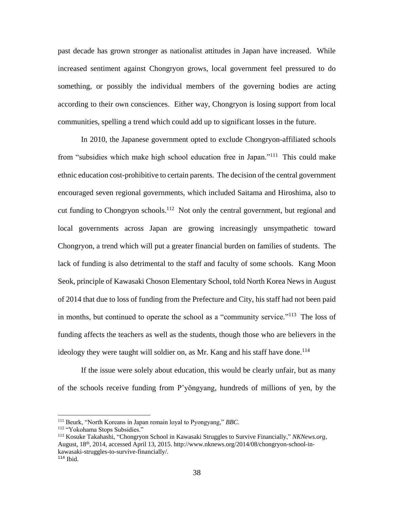past decade has grown stronger as nationalist attitudes in Japan have increased. While increased sentiment against Chongryon grows, local government feel pressured to do something, or possibly the individual members of the governing bodies are acting according to their own consciences. Either way, Chongryon is losing support from local communities, spelling a trend which could add up to significant losses in the future.

In 2010, the Japanese government opted to exclude Chongryon-affiliated schools from "subsidies which make high school education free in Japan."<sup>111</sup> This could make ethnic education cost-prohibitive to certain parents. The decision of the central government encouraged seven regional governments, which included Saitama and Hiroshima, also to cut funding to Chongryon schools.<sup>112</sup> Not only the central government, but regional and local governments across Japan are growing increasingly unsympathetic toward Chongryon, a trend which will put a greater financial burden on families of students. The lack of funding is also detrimental to the staff and faculty of some schools. Kang Moon Seok, principle of Kawasaki Choson Elementary School, told North Korea News in August of 2014 that due to loss of funding from the Prefecture and City, his staff had not been paid in months, but continued to operate the school as a "community service."<sup>113</sup> The loss of funding affects the teachers as well as the students, though those who are believers in the ideology they were taught will soldier on, as Mr. Kang and his staff have done.<sup>114</sup>

If the issue were solely about education, this would be clearly unfair, but as many of the schools receive funding from P'yŏngyang, hundreds of millions of yen, by the

<sup>111</sup> Beurk, "North Koreans in Japan remain loyal to Pyongyang," *BBC*.

<sup>112</sup> "Yokohama Stops Subsidies."

<sup>113</sup> Kosuke Takahashi, "Chongryon School in Kawasaki Struggles to Survive Financially," *NKNews.org*, August, 18th, 2014, accessed April 13, 2015. http://www.nknews.org/2014/08/chongryon-school-inkawasaki-struggles-to-survive-financially/. <sup>114</sup> Ibid.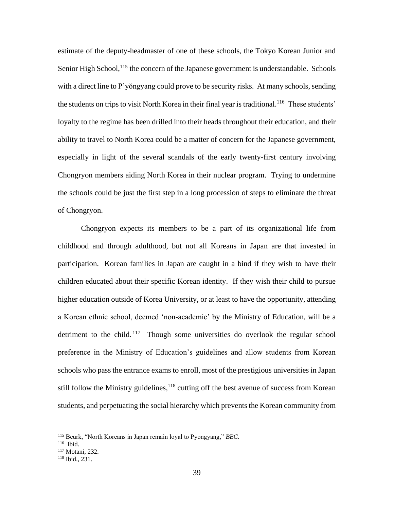estimate of the deputy-headmaster of one of these schools, the Tokyo Korean Junior and Senior High School,  $^{115}$  the concern of the Japanese government is understandable. Schools with a direct line to P'yŏngyang could prove to be security risks. At many schools, sending the students on trips to visit North Korea in their final year is traditional.<sup>116</sup> These students' loyalty to the regime has been drilled into their heads throughout their education, and their ability to travel to North Korea could be a matter of concern for the Japanese government, especially in light of the several scandals of the early twenty-first century involving Chongryon members aiding North Korea in their nuclear program. Trying to undermine the schools could be just the first step in a long procession of steps to eliminate the threat of Chongryon.

Chongryon expects its members to be a part of its organizational life from childhood and through adulthood, but not all Koreans in Japan are that invested in participation. Korean families in Japan are caught in a bind if they wish to have their children educated about their specific Korean identity. If they wish their child to pursue higher education outside of Korea University, or at least to have the opportunity, attending a Korean ethnic school, deemed 'non-academic' by the Ministry of Education, will be a detriment to the child.<sup>117</sup> Though some universities do overlook the regular school preference in the Ministry of Education's guidelines and allow students from Korean schools who pass the entrance exams to enroll, most of the prestigious universities in Japan still follow the Ministry guidelines,  $118$  cutting off the best avenue of success from Korean students, and perpetuating the social hierarchy which prevents the Korean community from

<sup>115</sup> Beurk, "North Koreans in Japan remain loyal to Pyongyang," *BBC*.

<sup>116</sup> Ibid.

<sup>117</sup> Motani, 232.

<sup>118</sup> Ibid., 231.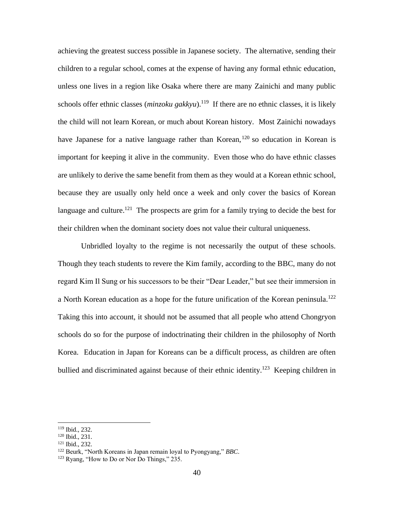achieving the greatest success possible in Japanese society. The alternative, sending their children to a regular school, comes at the expense of having any formal ethnic education, unless one lives in a region like Osaka where there are many Zainichi and many public schools offer ethnic classes (*minzoku gakkyu*).<sup>119</sup> If there are no ethnic classes, it is likely the child will not learn Korean, or much about Korean history. Most Zainichi nowadays have Japanese for a native language rather than Korean,  $120$  so education in Korean is important for keeping it alive in the community. Even those who do have ethnic classes are unlikely to derive the same benefit from them as they would at a Korean ethnic school, because they are usually only held once a week and only cover the basics of Korean language and culture.<sup>121</sup> The prospects are grim for a family trying to decide the best for their children when the dominant society does not value their cultural uniqueness.

Unbridled loyalty to the regime is not necessarily the output of these schools. Though they teach students to revere the Kim family, according to the BBC, many do not regard Kim Il Sung or his successors to be their "Dear Leader," but see their immersion in a North Korean education as a hope for the future unification of the Korean peninsula.<sup>122</sup> Taking this into account, it should not be assumed that all people who attend Chongryon schools do so for the purpose of indoctrinating their children in the philosophy of North Korea. Education in Japan for Koreans can be a difficult process, as children are often bullied and discriminated against because of their ethnic identity.<sup>123</sup> Keeping children in

<sup>119</sup> Ibid., 232.

<sup>120</sup> Ibid., 231.

<sup>121</sup> Ibid., 232.

<sup>122</sup> Beurk, "North Koreans in Japan remain loyal to Pyongyang," *BBC*.

<sup>123</sup> Ryang, "How to Do or Nor Do Things," 235.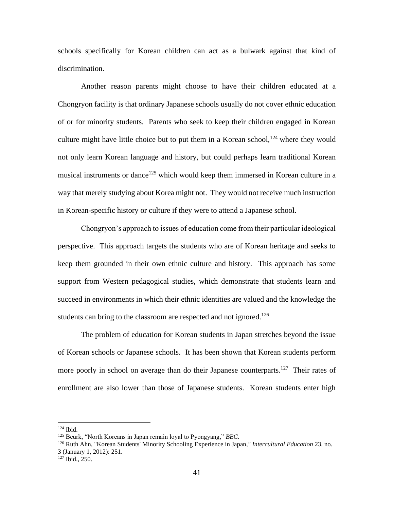schools specifically for Korean children can act as a bulwark against that kind of discrimination.

Another reason parents might choose to have their children educated at a Chongryon facility is that ordinary Japanese schools usually do not cover ethnic education of or for minority students. Parents who seek to keep their children engaged in Korean culture might have little choice but to put them in a Korean school,  $124$  where they would not only learn Korean language and history, but could perhaps learn traditional Korean musical instruments or dance<sup>125</sup> which would keep them immersed in Korean culture in a way that merely studying about Korea might not. They would not receive much instruction in Korean-specific history or culture if they were to attend a Japanese school.

Chongryon's approach to issues of education come from their particular ideological perspective. This approach targets the students who are of Korean heritage and seeks to keep them grounded in their own ethnic culture and history. This approach has some support from Western pedagogical studies, which demonstrate that students learn and succeed in environments in which their ethnic identities are valued and the knowledge the students can bring to the classroom are respected and not ignored.<sup>126</sup>

The problem of education for Korean students in Japan stretches beyond the issue of Korean schools or Japanese schools. It has been shown that Korean students perform more poorly in school on average than do their Japanese counterparts.<sup>127</sup> Their rates of enrollment are also lower than those of Japanese students. Korean students enter high

<sup>124</sup> Ibid.

<sup>125</sup> Beurk, "North Koreans in Japan remain loyal to Pyongyang," *BBC*.

<sup>126</sup> Ruth Ahn, "Korean Students' Minority Schooling Experience in Japan*," Intercultural Education* 23, no. 3 (January 1, 2012): 251.

<sup>&</sup>lt;sup>127</sup> Ibid., 250.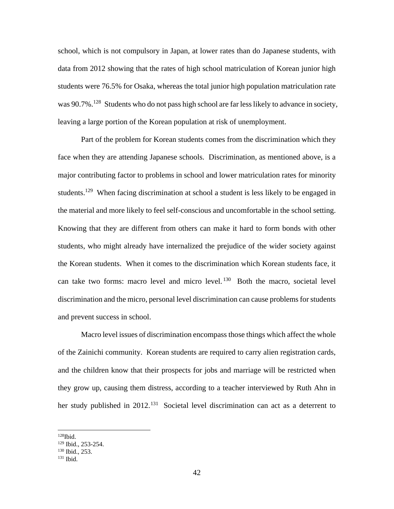school, which is not compulsory in Japan, at lower rates than do Japanese students, with data from 2012 showing that the rates of high school matriculation of Korean junior high students were 76.5% for Osaka, whereas the total junior high population matriculation rate was 90.7%.<sup>128</sup> Students who do not pass high school are far less likely to advance in society, leaving a large portion of the Korean population at risk of unemployment.

Part of the problem for Korean students comes from the discrimination which they face when they are attending Japanese schools. Discrimination, as mentioned above, is a major contributing factor to problems in school and lower matriculation rates for minority students.<sup>129</sup> When facing discrimination at school a student is less likely to be engaged in the material and more likely to feel self-conscious and uncomfortable in the school setting. Knowing that they are different from others can make it hard to form bonds with other students, who might already have internalized the prejudice of the wider society against the Korean students. When it comes to the discrimination which Korean students face, it can take two forms: macro level and micro level.<sup>130</sup> Both the macro, societal level discrimination and the micro, personal level discrimination can cause problems for students and prevent success in school.

Macro level issues of discrimination encompass those things which affect the whole of the Zainichi community. Korean students are required to carry alien registration cards, and the children know that their prospects for jobs and marriage will be restricted when they grow up, causing them distress, according to a teacher interviewed by Ruth Ahn in her study published in 2012.<sup>131</sup> Societal level discrimination can act as a deterrent to

 $128$ Ibid.

<sup>129</sup> Ibid., 253-254.

<sup>130</sup> Ibid., 253.

<sup>131</sup> Ibid.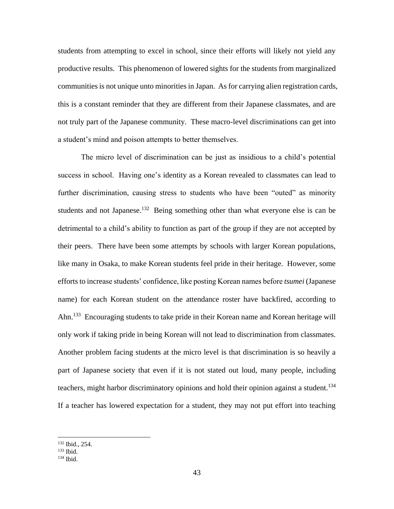students from attempting to excel in school, since their efforts will likely not yield any productive results. This phenomenon of lowered sights for the students from marginalized communities is not unique unto minorities in Japan. As for carrying alien registration cards, this is a constant reminder that they are different from their Japanese classmates, and are not truly part of the Japanese community. These macro-level discriminations can get into a student's mind and poison attempts to better themselves.

The micro level of discrimination can be just as insidious to a child's potential success in school. Having one's identity as a Korean revealed to classmates can lead to further discrimination, causing stress to students who have been "outed" as minority students and not Japanese.<sup>132</sup> Being something other than what everyone else is can be detrimental to a child's ability to function as part of the group if they are not accepted by their peers. There have been some attempts by schools with larger Korean populations, like many in Osaka, to make Korean students feel pride in their heritage. However, some efforts to increase students' confidence, like posting Korean names before *tsumei* (Japanese name) for each Korean student on the attendance roster have backfired, according to Ahn.<sup>133</sup> Encouraging students to take pride in their Korean name and Korean heritage will only work if taking pride in being Korean will not lead to discrimination from classmates. Another problem facing students at the micro level is that discrimination is so heavily a part of Japanese society that even if it is not stated out loud, many people, including teachers, might harbor discriminatory opinions and hold their opinion against a student.<sup>134</sup> If a teacher has lowered expectation for a student, they may not put effort into teaching

<sup>132</sup> Ibid., 254.

 $133$  Ibid.

<sup>134</sup> Ibid.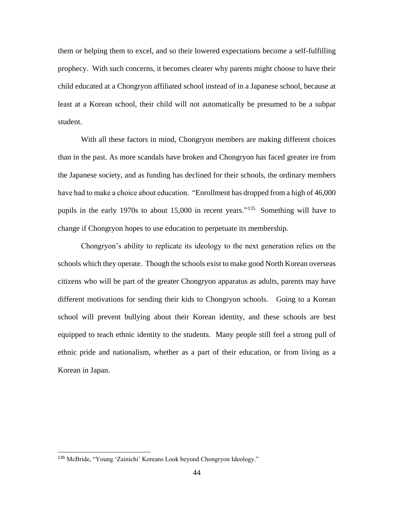them or helping them to excel, and so their lowered expectations become a self-fulfilling prophecy. With such concerns, it becomes clearer why parents might choose to have their child educated at a Chongryon affiliated school instead of in a Japanese school, because at least at a Korean school, their child will not automatically be presumed to be a subpar student.

With all these factors in mind, Chongryon members are making different choices than in the past. As more scandals have broken and Chongryon has faced greater ire from the Japanese society, and as funding has declined for their schools, the ordinary members have had to make a choice about education. "Enrollment has dropped from a high of 46,000 pupils in the early 1970s to about 15,000 in recent years."<sup>135</sup> Something will have to change if Chongryon hopes to use education to perpetuate its membership.

Chongryon's ability to replicate its ideology to the next generation relies on the schools which they operate. Though the schools exist to make good North Korean overseas citizens who will be part of the greater Chongryon apparatus as adults, parents may have different motivations for sending their kids to Chongryon schools. Going to a Korean school will prevent bullying about their Korean identity, and these schools are best equipped to teach ethnic identity to the students. Many people still feel a strong pull of ethnic pride and nationalism, whether as a part of their education, or from living as a Korean in Japan.

<sup>135</sup> McBride, "Young 'Zainichi' Koreans Look beyond Chongryon Ideology."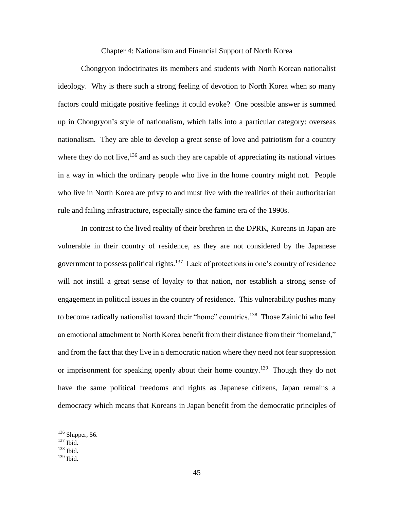### Chapter 4: Nationalism and Financial Support of North Korea

Chongryon indoctrinates its members and students with North Korean nationalist ideology. Why is there such a strong feeling of devotion to North Korea when so many factors could mitigate positive feelings it could evoke? One possible answer is summed up in Chongryon's style of nationalism, which falls into a particular category: overseas nationalism. They are able to develop a great sense of love and patriotism for a country where they do not live,  $^{136}$  and as such they are capable of appreciating its national virtues in a way in which the ordinary people who live in the home country might not. People who live in North Korea are privy to and must live with the realities of their authoritarian rule and failing infrastructure, especially since the famine era of the 1990s.

In contrast to the lived reality of their brethren in the DPRK, Koreans in Japan are vulnerable in their country of residence, as they are not considered by the Japanese government to possess political rights.<sup>137</sup> Lack of protections in one's country of residence will not instill a great sense of loyalty to that nation, nor establish a strong sense of engagement in political issues in the country of residence. This vulnerability pushes many to become radically nationalist toward their "home" countries.<sup>138</sup> Those Zainichi who feel an emotional attachment to North Korea benefit from their distance from their "homeland," and from the fact that they live in a democratic nation where they need not fear suppression or imprisonment for speaking openly about their home country.<sup>139</sup> Though they do not have the same political freedoms and rights as Japanese citizens, Japan remains a democracy which means that Koreans in Japan benefit from the democratic principles of

 $136$  Shipper, 56.

<sup>137</sup> Ibid.

 $138$  Ibid.

<sup>139</sup> Ibid.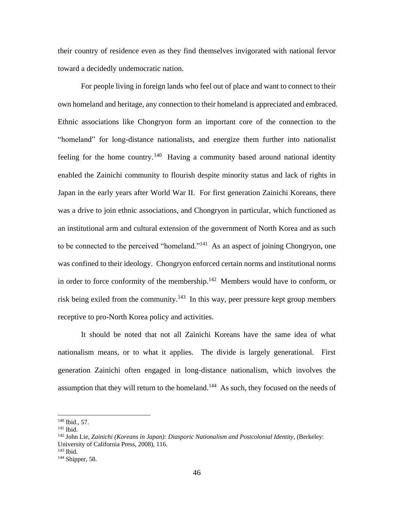their country of residence even as they find themselves invigorated with national fervor toward a decidedly undemocratic nation.

For people living in foreign lands who feel out of place and want to connect to their own homeland and heritage, any connection to their homeland is appreciated and embraced. Ethnic associations like Chongryon form an important core of the connection to the "homeland" for long-distance nationalists, and energize them further into nationalist feeling for the home country.<sup>140</sup> Having a community based around national identity enabled the Zainichi community to flourish despite minority status and lack of rights in Japan in the early years after World War II. For first generation Zainichi Koreans, there was a drive to join ethnic associations, and Chongryon in particular, which functioned as an institutional arm and cultural extension of the government of North Korea and as such to be connected to the perceived "homeland."<sup>141</sup> As an aspect of joining Chongryon, one was confined to their ideology. Chongryon enforced certain norms and institutional norms in order to force conformity of the membership. $142$  Members would have to conform, or risk being exiled from the community.<sup>143</sup> In this way, peer pressure kept group members receptive to pro-North Korea policy and activities.

It should be noted that not all Zainichi Koreans have the same idea of what nationalism means, or to what it applies. The divide is largely generational. First generation Zainichi often engaged in long-distance nationalism, which involves the assumption that they will return to the homeland.<sup>144</sup> As such, they focused on the needs of

<sup>140</sup> Ibid., 57.

<sup>141</sup> Ibid.

<sup>142</sup> John Lie, *Zainichi (Koreans in Japan): Diasporic Nationalism and Postcolonial Identity*, (Berkeley: University of California Press, 2008), 116.

<sup>143</sup> Ibid.

<sup>144</sup> Shipper, 58.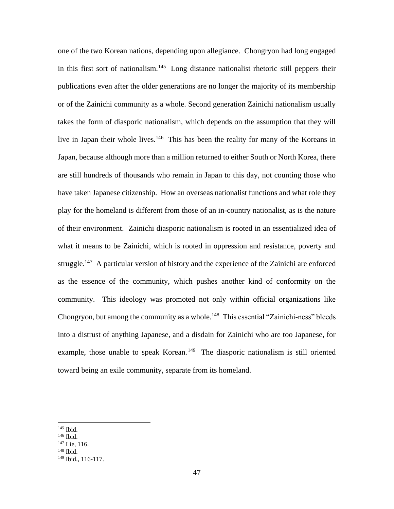one of the two Korean nations, depending upon allegiance. Chongryon had long engaged in this first sort of nationalism.<sup>145</sup> Long distance nationalist rhetoric still peppers their publications even after the older generations are no longer the majority of its membership or of the Zainichi community as a whole. Second generation Zainichi nationalism usually takes the form of diasporic nationalism, which depends on the assumption that they will live in Japan their whole lives.<sup>146</sup> This has been the reality for many of the Koreans in Japan, because although more than a million returned to either South or North Korea, there are still hundreds of thousands who remain in Japan to this day, not counting those who have taken Japanese citizenship. How an overseas nationalist functions and what role they play for the homeland is different from those of an in-country nationalist, as is the nature of their environment. Zainichi diasporic nationalism is rooted in an essentialized idea of what it means to be Zainichi, which is rooted in oppression and resistance, poverty and struggle.<sup>147</sup> A particular version of history and the experience of the Zainichi are enforced as the essence of the community, which pushes another kind of conformity on the community. This ideology was promoted not only within official organizations like Chongryon, but among the community as a whole.<sup>148</sup> This essential "Zainichi-ness" bleeds into a distrust of anything Japanese, and a disdain for Zainichi who are too Japanese, for example, those unable to speak Korean.<sup>149</sup> The diasporic nationalism is still oriented toward being an exile community, separate from its homeland.

<sup>145</sup> Ibid.

<sup>146</sup> Ibid.

<sup>147</sup> Lie, 116.

<sup>148</sup> Ibid.

<sup>149</sup> Ibid., 116-117.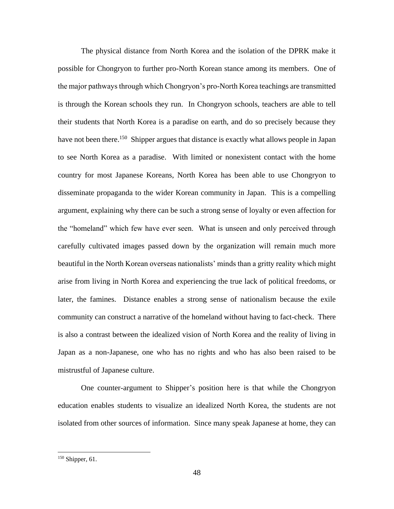The physical distance from North Korea and the isolation of the DPRK make it possible for Chongryon to further pro-North Korean stance among its members. One of the major pathways through which Chongryon's pro-North Korea teachings are transmitted is through the Korean schools they run. In Chongryon schools, teachers are able to tell their students that North Korea is a paradise on earth, and do so precisely because they have not been there.<sup>150</sup> Shipper argues that distance is exactly what allows people in Japan to see North Korea as a paradise. With limited or nonexistent contact with the home country for most Japanese Koreans, North Korea has been able to use Chongryon to disseminate propaganda to the wider Korean community in Japan. This is a compelling argument, explaining why there can be such a strong sense of loyalty or even affection for the "homeland" which few have ever seen. What is unseen and only perceived through carefully cultivated images passed down by the organization will remain much more beautiful in the North Korean overseas nationalists' minds than a gritty reality which might arise from living in North Korea and experiencing the true lack of political freedoms, or later, the famines. Distance enables a strong sense of nationalism because the exile community can construct a narrative of the homeland without having to fact-check. There is also a contrast between the idealized vision of North Korea and the reality of living in Japan as a non-Japanese, one who has no rights and who has also been raised to be mistrustful of Japanese culture.

One counter-argument to Shipper's position here is that while the Chongryon education enables students to visualize an idealized North Korea, the students are not isolated from other sources of information. Since many speak Japanese at home, they can

 $150$  Shipper, 61.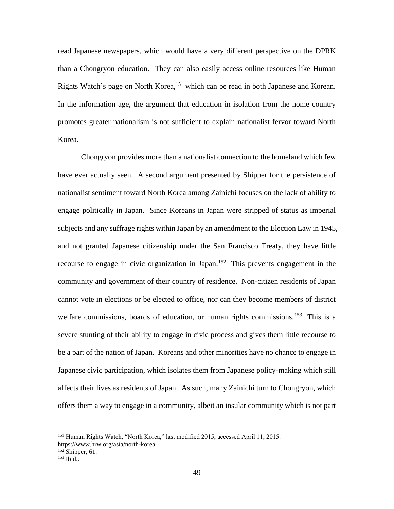read Japanese newspapers, which would have a very different perspective on the DPRK than a Chongryon education. They can also easily access online resources like Human Rights Watch's page on North Korea,<sup>151</sup> which can be read in both Japanese and Korean. In the information age, the argument that education in isolation from the home country promotes greater nationalism is not sufficient to explain nationalist fervor toward North Korea.

Chongryon provides more than a nationalist connection to the homeland which few have ever actually seen. A second argument presented by Shipper for the persistence of nationalist sentiment toward North Korea among Zainichi focuses on the lack of ability to engage politically in Japan. Since Koreans in Japan were stripped of status as imperial subjects and any suffrage rights within Japan by an amendment to the Election Law in 1945, and not granted Japanese citizenship under the San Francisco Treaty, they have little recourse to engage in civic organization in Japan.<sup>152</sup> This prevents engagement in the community and government of their country of residence. Non-citizen residents of Japan cannot vote in elections or be elected to office, nor can they become members of district welfare commissions, boards of education, or human rights commissions.<sup>153</sup> This is a severe stunting of their ability to engage in civic process and gives them little recourse to be a part of the nation of Japan. Koreans and other minorities have no chance to engage in Japanese civic participation, which isolates them from Japanese policy-making which still affects their lives as residents of Japan. As such, many Zainichi turn to Chongryon, which offers them a way to engage in a community, albeit an insular community which is not part

<sup>&</sup>lt;sup>151</sup> Human Rights Watch, "North Korea," last modified 2015, accessed April 11, 2015.

https://www.hrw.org/asia/north-korea

 $152$  Shipper, 61.

 $153$  Ibid..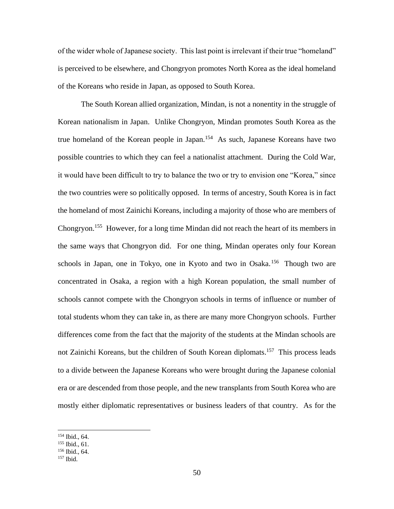of the wider whole of Japanese society. This last point is irrelevant if their true "homeland" is perceived to be elsewhere, and Chongryon promotes North Korea as the ideal homeland of the Koreans who reside in Japan, as opposed to South Korea.

The South Korean allied organization, Mindan, is not a nonentity in the struggle of Korean nationalism in Japan. Unlike Chongryon, Mindan promotes South Korea as the true homeland of the Korean people in Japan.<sup>154</sup> As such, Japanese Koreans have two possible countries to which they can feel a nationalist attachment. During the Cold War, it would have been difficult to try to balance the two or try to envision one "Korea," since the two countries were so politically opposed. In terms of ancestry, South Korea is in fact the homeland of most Zainichi Koreans, including a majority of those who are members of Chongryon.<sup>155</sup> However, for a long time Mindan did not reach the heart of its members in the same ways that Chongryon did. For one thing, Mindan operates only four Korean schools in Japan, one in Tokyo, one in Kyoto and two in Osaka.<sup>156</sup> Though two are concentrated in Osaka, a region with a high Korean population, the small number of schools cannot compete with the Chongryon schools in terms of influence or number of total students whom they can take in, as there are many more Chongryon schools. Further differences come from the fact that the majority of the students at the Mindan schools are not Zainichi Koreans, but the children of South Korean diplomats.<sup>157</sup> This process leads to a divide between the Japanese Koreans who were brought during the Japanese colonial era or are descended from those people, and the new transplants from South Korea who are mostly either diplomatic representatives or business leaders of that country. As for the

<sup>154</sup> Ibid., 64.

<sup>155</sup> Ibid., 61.

<sup>156</sup> Ibid., 64.

<sup>157</sup> Ibid.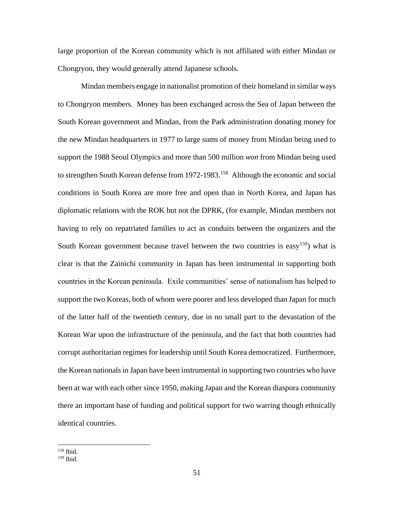large proportion of the Korean community which is not affiliated with either Mindan or Chongryon, they would generally attend Japanese schools.

Mindan members engage in nationalist promotion of their homeland in similar ways to Chongryon members. Money has been exchanged across the Sea of Japan between the South Korean government and Mindan, from the Park administration donating money for the new Mindan headquarters in 1977 to large sums of money from Mindan being used to support the 1988 Seoul Olympics and more than 500 million *won* from Mindan being used to strengthen South Korean defense from 1972-1983.<sup>158</sup> Although the economic and social conditions in South Korea are more free and open than in North Korea, and Japan has diplomatic relations with the ROK but not the DPRK, (for example, Mindan members not having to rely on repatriated families to act as conduits between the organizers and the South Korean government because travel between the two countries is easy<sup>159</sup>) what is clear is that the Zainichi community in Japan has been instrumental in supporting both countries in the Korean peninsula. Exile communities' sense of nationalism has helped to support the two Koreas, both of whom were poorer and less developed than Japan for much of the latter half of the twentieth century, due in no small part to the devastation of the Korean War upon the infrastructure of the peninsula, and the fact that both countries had corrupt authoritarian regimes for leadership until South Korea democratized. Furthermore, the Korean nationals in Japan have been instrumental in supporting two countries who have been at war with each other since 1950, making Japan and the Korean diaspora community there an important base of funding and political support for two warring though ethnically identical countries.

<sup>158</sup> Ibid.

<sup>159</sup> Ibid.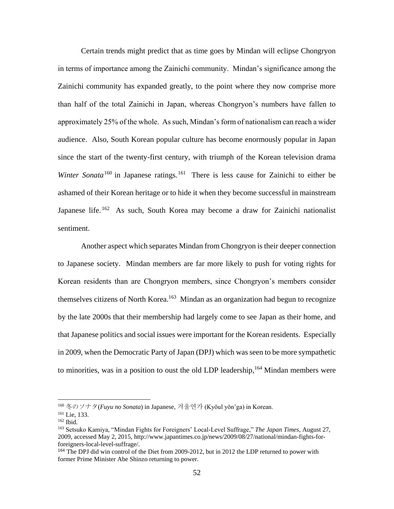Certain trends might predict that as time goes by Mindan will eclipse Chongryon in terms of importance among the Zainichi community. Mindan's significance among the Zainichi community has expanded greatly, to the point where they now comprise more than half of the total Zainichi in Japan, whereas Chongryon's numbers have fallen to approximately 25% of the whole. As such, Mindan's form of nationalism can reach a wider audience. Also, South Korean popular culture has become enormously popular in Japan since the start of the twenty-first century, with triumph of the Korean television drama *Winter Sonata*<sup>160</sup> in Japanese ratings.<sup>161</sup> There is less cause for Zainichi to either be ashamed of their Korean heritage or to hide it when they become successful in mainstream Japanese life.<sup>162</sup> As such, South Korea may become a draw for Zainichi nationalist sentiment.

Another aspect which separates Mindan from Chongryon is their deeper connection to Japanese society. Mindan members are far more likely to push for voting rights for Korean residents than are Chongryon members, since Chongryon's members consider themselves citizens of North Korea.<sup>163</sup> Mindan as an organization had begun to recognize by the late 2000s that their membership had largely come to see Japan as their home, and that Japanese politics and social issues were important for the Korean residents. Especially in 2009, when the Democratic Party of Japan (DPJ) which was seen to be more sympathetic to minorities, was in a position to oust the old LDP leadership,  $164$  Mindan members were

<sup>160</sup> 冬のソナタ(*Fuyu no Sonata*) in Japanese, 겨울연가 (Kyŏul yŏn'ga) in Korean.

<sup>161</sup> Lie, 133.

<sup>162</sup> Ibid.

<sup>163</sup> Setsuko Kamiya, "Mindan Fights for Foreigners' Local-Level Suffrage," *The Japan Times*, August 27, 2009, accessed May 2, 2015, http://www.japantimes.co.jp/news/2009/08/27/national/mindan-fights-forforeigners-local-level-suffrage/.

<sup>&</sup>lt;sup>164</sup> The DPJ did win control of the Diet from 2009-2012, but in 2012 the LDP returned to power with former Prime Minister Abe Shinzo returning to power.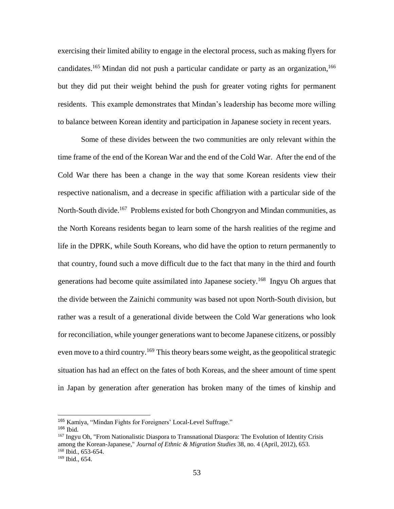exercising their limited ability to engage in the electoral process, such as making flyers for candidates.<sup>165</sup> Mindan did not push a particular candidate or party as an organization,<sup>166</sup> but they did put their weight behind the push for greater voting rights for permanent residents. This example demonstrates that Mindan's leadership has become more willing to balance between Korean identity and participation in Japanese society in recent years.

Some of these divides between the two communities are only relevant within the time frame of the end of the Korean War and the end of the Cold War. After the end of the Cold War there has been a change in the way that some Korean residents view their respective nationalism, and a decrease in specific affiliation with a particular side of the North-South divide.<sup>167</sup> Problems existed for both Chongryon and Mindan communities, as the North Koreans residents began to learn some of the harsh realities of the regime and life in the DPRK, while South Koreans, who did have the option to return permanently to that country, found such a move difficult due to the fact that many in the third and fourth generations had become quite assimilated into Japanese society.<sup>168</sup> Ingyu Oh argues that the divide between the Zainichi community was based not upon North-South division, but rather was a result of a generational divide between the Cold War generations who look for reconciliation, while younger generations want to become Japanese citizens, or possibly even move to a third country.<sup>169</sup> This theory bears some weight, as the geopolitical strategic situation has had an effect on the fates of both Koreas, and the sheer amount of time spent in Japan by generation after generation has broken many of the times of kinship and

<sup>165</sup> Kamiya, "Mindan Fights for Foreigners' Local-Level Suffrage."

<sup>166</sup> Ibid.

<sup>167</sup> Ingyu Oh, "From Nationalistic Diaspora to Transnational Diaspora: The Evolution of Identity Crisis among the Korean-Japanese," *Journal of Ethnic & Migration Studies* 38, no. 4 (April, 2012), 653. <sup>168</sup> Ibid., 653-654.

<sup>169</sup> Ibid., 654.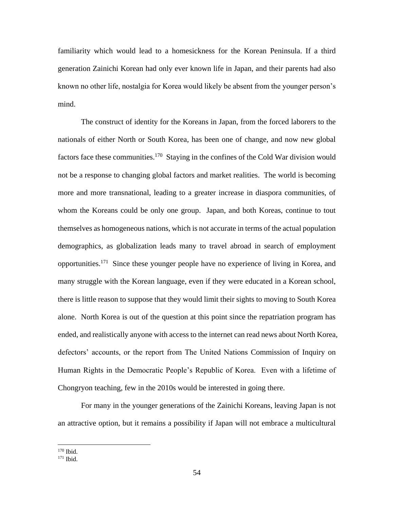familiarity which would lead to a homesickness for the Korean Peninsula. If a third generation Zainichi Korean had only ever known life in Japan, and their parents had also known no other life, nostalgia for Korea would likely be absent from the younger person's mind.

The construct of identity for the Koreans in Japan, from the forced laborers to the nationals of either North or South Korea, has been one of change, and now new global factors face these communities.<sup>170</sup> Staying in the confines of the Cold War division would not be a response to changing global factors and market realities. The world is becoming more and more transnational, leading to a greater increase in diaspora communities, of whom the Koreans could be only one group. Japan, and both Koreas, continue to tout themselves as homogeneous nations, which is not accurate in terms of the actual population demographics, as globalization leads many to travel abroad in search of employment opportunities.<sup>171</sup> Since these younger people have no experience of living in Korea, and many struggle with the Korean language, even if they were educated in a Korean school, there is little reason to suppose that they would limit their sights to moving to South Korea alone. North Korea is out of the question at this point since the repatriation program has ended, and realistically anyone with access to the internet can read news about North Korea, defectors' accounts, or the report from The United Nations Commission of Inquiry on Human Rights in the Democratic People's Republic of Korea. Even with a lifetime of Chongryon teaching, few in the 2010s would be interested in going there.

For many in the younger generations of the Zainichi Koreans, leaving Japan is not an attractive option, but it remains a possibility if Japan will not embrace a multicultural

<sup>170</sup> Ibid.

<sup>171</sup> Ibid.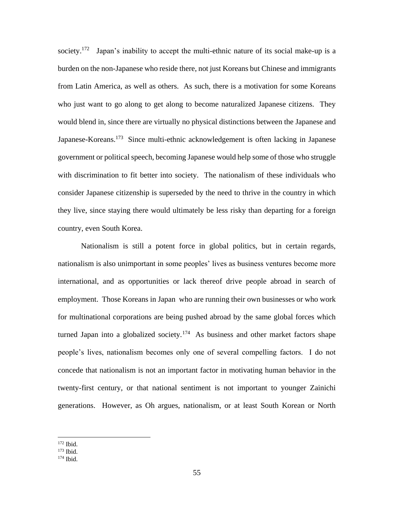society.<sup>172</sup> Japan's inability to accept the multi-ethnic nature of its social make-up is a burden on the non-Japanese who reside there, not just Koreans but Chinese and immigrants from Latin America, as well as others. As such, there is a motivation for some Koreans who just want to go along to get along to become naturalized Japanese citizens. They would blend in, since there are virtually no physical distinctions between the Japanese and Japanese-Koreans.<sup>173</sup> Since multi-ethnic acknowledgement is often lacking in Japanese government or political speech, becoming Japanese would help some of those who struggle with discrimination to fit better into society. The nationalism of these individuals who consider Japanese citizenship is superseded by the need to thrive in the country in which they live, since staying there would ultimately be less risky than departing for a foreign country, even South Korea.

Nationalism is still a potent force in global politics, but in certain regards, nationalism is also unimportant in some peoples' lives as business ventures become more international, and as opportunities or lack thereof drive people abroad in search of employment. Those Koreans in Japan who are running their own businesses or who work for multinational corporations are being pushed abroad by the same global forces which turned Japan into a globalized society.<sup>174</sup> As business and other market factors shape people's lives, nationalism becomes only one of several compelling factors. I do not concede that nationalism is not an important factor in motivating human behavior in the twenty-first century, or that national sentiment is not important to younger Zainichi generations. However, as Oh argues, nationalism, or at least South Korean or North

<sup>172</sup> Ibid.

<sup>173</sup> Ibid.

<sup>174</sup> Ibid.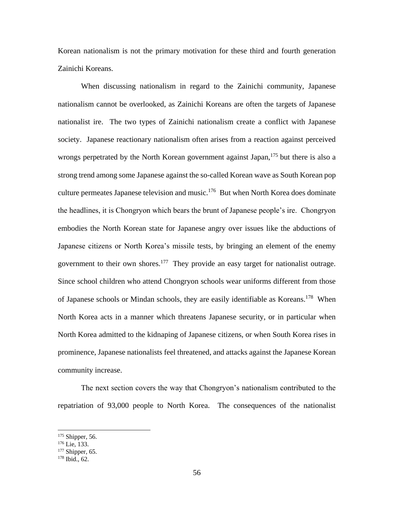Korean nationalism is not the primary motivation for these third and fourth generation Zainichi Koreans.

When discussing nationalism in regard to the Zainichi community, Japanese nationalism cannot be overlooked, as Zainichi Koreans are often the targets of Japanese nationalist ire. The two types of Zainichi nationalism create a conflict with Japanese society. Japanese reactionary nationalism often arises from a reaction against perceived wrongs perpetrated by the North Korean government against Japan,  $175$  but there is also a strong trend among some Japanese against the so-called Korean wave as South Korean pop culture permeates Japanese television and music.<sup>176</sup> But when North Korea does dominate the headlines, it is Chongryon which bears the brunt of Japanese people's ire. Chongryon embodies the North Korean state for Japanese angry over issues like the abductions of Japanese citizens or North Korea's missile tests, by bringing an element of the enemy government to their own shores.<sup>177</sup> They provide an easy target for nationalist outrage. Since school children who attend Chongryon schools wear uniforms different from those of Japanese schools or Mindan schools, they are easily identifiable as Koreans.<sup>178</sup> When North Korea acts in a manner which threatens Japanese security, or in particular when North Korea admitted to the kidnaping of Japanese citizens, or when South Korea rises in prominence, Japanese nationalists feel threatened, and attacks against the Japanese Korean community increase.

The next section covers the way that Chongryon's nationalism contributed to the repatriation of 93,000 people to North Korea. The consequences of the nationalist

<sup>&</sup>lt;sup>175</sup> Shipper, 56.

 $176$  Lie, 133.

<sup>177</sup> Shipper, 65.

<sup>178</sup> Ibid., 62.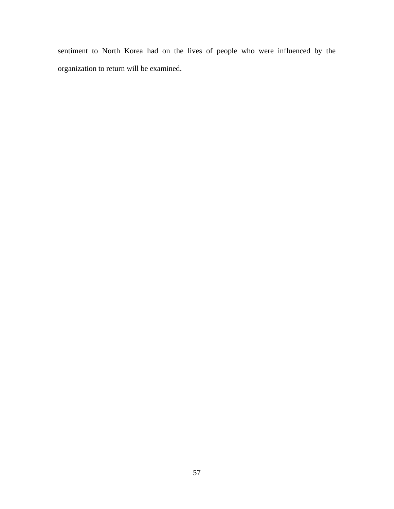sentiment to North Korea had on the lives of people who were influenced by the organization to return will be examined.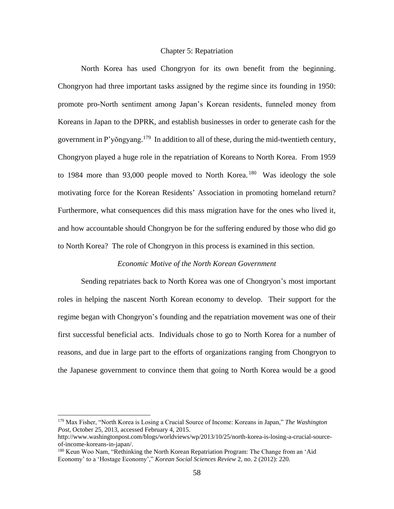# Chapter 5: Repatriation

North Korea has used Chongryon for its own benefit from the beginning. Chongryon had three important tasks assigned by the regime since its founding in 1950: promote pro-North sentiment among Japan's Korean residents, funneled money from Koreans in Japan to the DPRK, and establish businesses in order to generate cash for the government in P'yŏngyang.<sup>179</sup> In addition to all of these, during the mid-twentieth century, Chongryon played a huge role in the repatriation of Koreans to North Korea. From 1959 to 1984 more than 93,000 people moved to North Korea.<sup>180</sup> Was ideology the sole motivating force for the Korean Residents' Association in promoting homeland return? Furthermore, what consequences did this mass migration have for the ones who lived it, and how accountable should Chongryon be for the suffering endured by those who did go to North Korea? The role of Chongryon in this process is examined in this section.

## *Economic Motive of the North Korean Government*

Sending repatriates back to North Korea was one of Chongryon's most important roles in helping the nascent North Korean economy to develop. Their support for the regime began with Chongryon's founding and the repatriation movement was one of their first successful beneficial acts. Individuals chose to go to North Korea for a number of reasons, and due in large part to the efforts of organizations ranging from Chongryon to the Japanese government to convince them that going to North Korea would be a good

<sup>179</sup> Max Fisher, "North Korea is Losing a Crucial Source of Income: Koreans in Japan," *The Washington Post*, October 25, 2013, accessed February 4, 2015.

http://www.washingtonpost.com/blogs/worldviews/wp/2013/10/25/north-korea-is-losing-a-crucial-sourceof-income-koreans-in-japan/.

<sup>180</sup> Keun Woo Nam, "Rethinking the North Korean Repatriation Program: The Change from an 'Aid Economy' to a 'Hostage Economy'," *Korean Social Sciences Review* 2, no. 2 (2012): 220.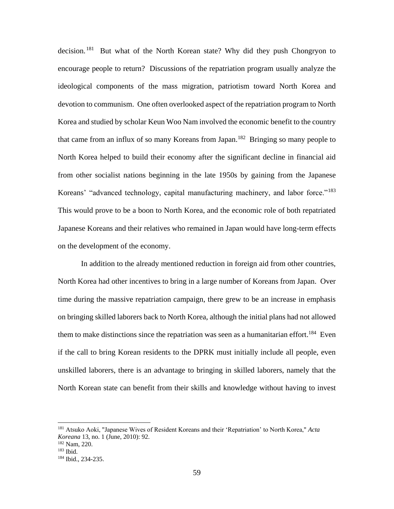decision.<sup>181</sup> But what of the North Korean state? Why did they push Chongryon to encourage people to return? Discussions of the repatriation program usually analyze the ideological components of the mass migration, patriotism toward North Korea and devotion to communism. One often overlooked aspect of the repatriation program to North Korea and studied by scholar Keun Woo Nam involved the economic benefit to the country that came from an influx of so many Koreans from Japan.<sup>182</sup> Bringing so many people to North Korea helped to build their economy after the significant decline in financial aid from other socialist nations beginning in the late 1950s by gaining from the Japanese Koreans' "advanced technology, capital manufacturing machinery, and labor force."<sup>183</sup> This would prove to be a boon to North Korea, and the economic role of both repatriated Japanese Koreans and their relatives who remained in Japan would have long-term effects on the development of the economy.

In addition to the already mentioned reduction in foreign aid from other countries, North Korea had other incentives to bring in a large number of Koreans from Japan. Over time during the massive repatriation campaign, there grew to be an increase in emphasis on bringing skilled laborers back to North Korea, although the initial plans had not allowed them to make distinctions since the repatriation was seen as a humanitarian effort.<sup>184</sup> Even if the call to bring Korean residents to the DPRK must initially include all people, even unskilled laborers, there is an advantage to bringing in skilled laborers, namely that the North Korean state can benefit from their skills and knowledge without having to invest

<sup>181</sup> Atsuko Aoki, "Japanese Wives of Resident Koreans and their 'Repatriation' to North Korea," *Acta Koreana* 13, no. 1 (June, 2010): 92.

<sup>182</sup> Nam, 220.

<sup>183</sup> Ibid.

<sup>184</sup> Ibid., 234-235.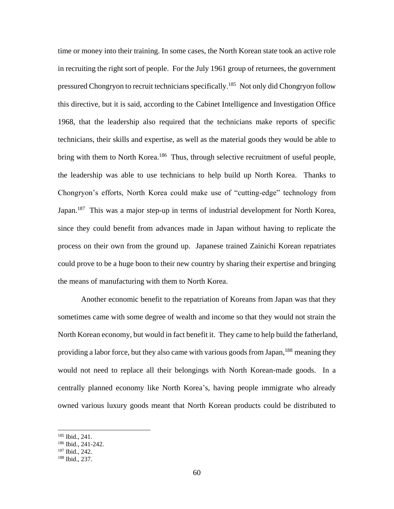time or money into their training. In some cases, the North Korean state took an active role in recruiting the right sort of people. For the July 1961 group of returnees, the government pressured Chongryon to recruit technicians specifically.<sup>185</sup> Not only did Chongryon follow this directive, but it is said, according to the Cabinet Intelligence and Investigation Office 1968, that the leadership also required that the technicians make reports of specific technicians, their skills and expertise, as well as the material goods they would be able to bring with them to North Korea.<sup>186</sup> Thus, through selective recruitment of useful people, the leadership was able to use technicians to help build up North Korea. Thanks to Chongryon's efforts, North Korea could make use of "cutting-edge" technology from Japan.<sup>187</sup> This was a major step-up in terms of industrial development for North Korea, since they could benefit from advances made in Japan without having to replicate the process on their own from the ground up. Japanese trained Zainichi Korean repatriates could prove to be a huge boon to their new country by sharing their expertise and bringing the means of manufacturing with them to North Korea.

Another economic benefit to the repatriation of Koreans from Japan was that they sometimes came with some degree of wealth and income so that they would not strain the North Korean economy, but would in fact benefit it. They came to help build the fatherland, providing a labor force, but they also came with various goods from Japan,<sup>188</sup> meaning they would not need to replace all their belongings with North Korean-made goods. In a centrally planned economy like North Korea's, having people immigrate who already owned various luxury goods meant that North Korean products could be distributed to

<sup>185</sup> Ibid., 241.

<sup>186</sup> Ibid., 241-242.

<sup>187</sup> Ibid., 242.

<sup>188</sup> Ibid., 237.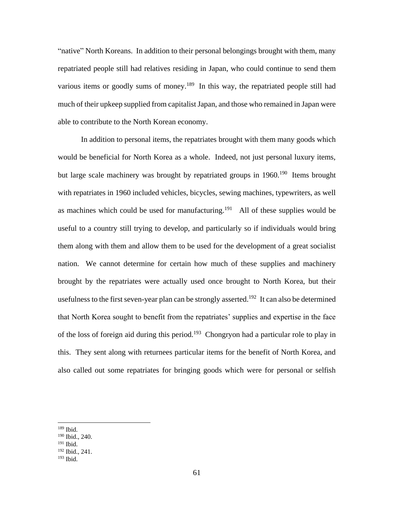"native" North Koreans. In addition to their personal belongings brought with them, many repatriated people still had relatives residing in Japan, who could continue to send them various items or goodly sums of money.<sup>189</sup> In this way, the repatriated people still had much of their upkeep supplied from capitalist Japan, and those who remained in Japan were able to contribute to the North Korean economy.

In addition to personal items, the repatriates brought with them many goods which would be beneficial for North Korea as a whole. Indeed, not just personal luxury items, but large scale machinery was brought by repatriated groups in  $1960$ .<sup>190</sup> Items brought with repatriates in 1960 included vehicles, bicycles, sewing machines, typewriters, as well as machines which could be used for manufacturing.<sup>191</sup> All of these supplies would be useful to a country still trying to develop, and particularly so if individuals would bring them along with them and allow them to be used for the development of a great socialist nation. We cannot determine for certain how much of these supplies and machinery brought by the repatriates were actually used once brought to North Korea, but their usefulness to the first seven-year plan can be strongly asserted.<sup>192</sup> It can also be determined that North Korea sought to benefit from the repatriates' supplies and expertise in the face of the loss of foreign aid during this period.<sup>193</sup> Chongryon had a particular role to play in this. They sent along with returnees particular items for the benefit of North Korea, and also called out some repatriates for bringing goods which were for personal or selfish

<sup>189</sup> Ibid.

<sup>190</sup> Ibid., 240.

<sup>191</sup> Ibid.

<sup>192</sup> Ibid., 241.

<sup>193</sup> Ibid.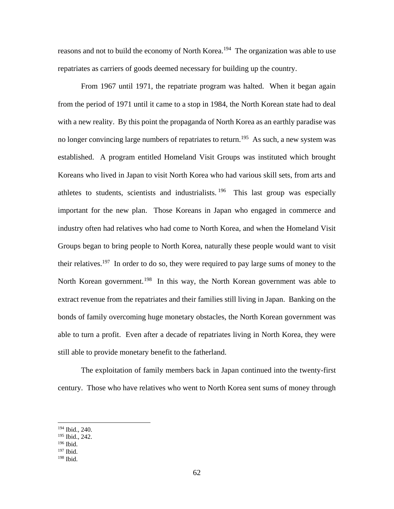reasons and not to build the economy of North Korea.<sup>194</sup> The organization was able to use repatriates as carriers of goods deemed necessary for building up the country.

From 1967 until 1971, the repatriate program was halted. When it began again from the period of 1971 until it came to a stop in 1984, the North Korean state had to deal with a new reality. By this point the propaganda of North Korea as an earthly paradise was no longer convincing large numbers of repatriates to return.<sup>195</sup> As such, a new system was established. A program entitled Homeland Visit Groups was instituted which brought Koreans who lived in Japan to visit North Korea who had various skill sets, from arts and athletes to students, scientists and industrialists.<sup>196</sup> This last group was especially important for the new plan. Those Koreans in Japan who engaged in commerce and industry often had relatives who had come to North Korea, and when the Homeland Visit Groups began to bring people to North Korea, naturally these people would want to visit their relatives.<sup>197</sup> In order to do so, they were required to pay large sums of money to the North Korean government.<sup>198</sup> In this way, the North Korean government was able to extract revenue from the repatriates and their families still living in Japan. Banking on the bonds of family overcoming huge monetary obstacles, the North Korean government was able to turn a profit. Even after a decade of repatriates living in North Korea, they were still able to provide monetary benefit to the fatherland.

The exploitation of family members back in Japan continued into the twenty-first century. Those who have relatives who went to North Korea sent sums of money through

<sup>194</sup> Ibid., 240.

<sup>195</sup> Ibid., 242.

<sup>&</sup>lt;sup>196</sup> Ibid.

<sup>197</sup> Ibid.

<sup>198</sup> Ibid.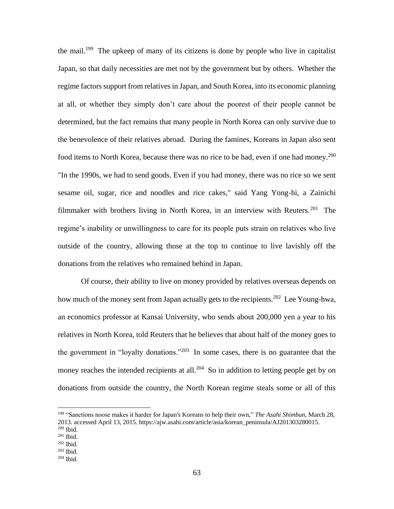the mail.<sup>199</sup> The upkeep of many of its citizens is done by people who live in capitalist Japan, so that daily necessities are met not by the government but by others. Whether the regime factors support from relatives in Japan, and South Korea, into its economic planning at all, or whether they simply don't care about the poorest of their people cannot be determined, but the fact remains that many people in North Korea can only survive due to the benevolence of their relatives abroad. During the famines, Koreans in Japan also sent food items to North Korea, because there was no rice to be had, even if one had money.<sup>200</sup> "In the 1990s, we had to send goods. Even if you had money, there was no rice so we sent sesame oil, sugar, rice and noodles and rice cakes," said Yang Yong-hi, a Zainichi filmmaker with brothers living in North Korea, in an interview with Reuters.<sup>201</sup> The regime's inability or unwillingness to care for its people puts strain on relatives who live outside of the country, allowing those at the top to continue to live lavishly off the donations from the relatives who remained behind in Japan.

Of course, their ability to live on money provided by relatives overseas depends on how much of the money sent from Japan actually gets to the recipients.<sup>202</sup> Lee Young-hwa, an economics professor at Kansai University, who sends about 200,000 yen a year to his relatives in North Korea, told Reuters that he believes that about half of the money goes to the government in "loyalty donations."<sup>203</sup> In some cases, there is no guarantee that the money reaches the intended recipients at all.<sup>204</sup> So in addition to letting people get by on donations from outside the country, the North Korean regime steals some or all of this

<sup>199</sup> "Sanctions noose makes it harder for Japan's Koreans to help their own," *The Asahi Shimbun*, March 28, 2013. accessed April 13, 2015. https://ajw.asahi.com/article/asia/korean\_peninsula/AJ201303280015.

<sup>200</sup> Ibid.

<sup>201</sup> Ibid.

 $202$  Ibid.

<sup>203</sup> Ibid.

<sup>204</sup> Ibid.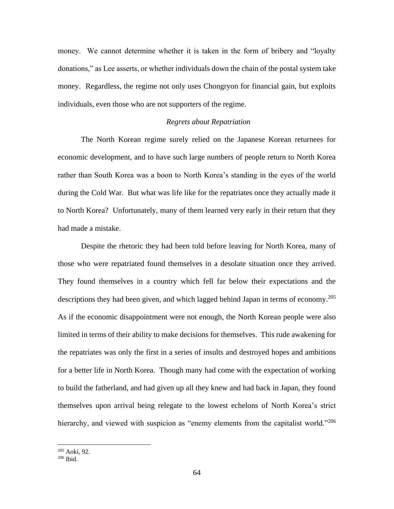money. We cannot determine whether it is taken in the form of bribery and "loyalty donations," as Lee asserts, or whether individuals down the chain of the postal system take money. Regardless, the regime not only uses Chongryon for financial gain, but exploits individuals, even those who are not supporters of the regime.

### *Regrets about Repatriation*

The North Korean regime surely relied on the Japanese Korean returnees for economic development, and to have such large numbers of people return to North Korea rather than South Korea was a boon to North Korea's standing in the eyes of the world during the Cold War. But what was life like for the repatriates once they actually made it to North Korea? Unfortunately, many of them learned very early in their return that they had made a mistake.

Despite the rhetoric they had been told before leaving for North Korea, many of those who were repatriated found themselves in a desolate situation once they arrived. They found themselves in a country which fell far below their expectations and the descriptions they had been given, and which lagged behind Japan in terms of economy.<sup>205</sup> As if the economic disappointment were not enough, the North Korean people were also limited in terms of their ability to make decisions for themselves. This rude awakening for the repatriates was only the first in a series of insults and destroyed hopes and ambitions for a better life in North Korea. Though many had come with the expectation of working to build the fatherland, and had given up all they knew and had back in Japan, they found themselves upon arrival being relegate to the lowest echelons of North Korea's strict hierarchy, and viewed with suspicion as "enemy elements from the capitalist world."<sup>206</sup>

<sup>205</sup> Aoki, 92.

<sup>206</sup> Ibid.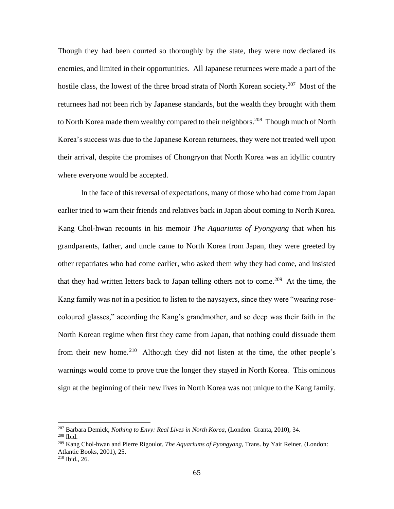Though they had been courted so thoroughly by the state, they were now declared its enemies, and limited in their opportunities. All Japanese returnees were made a part of the hostile class, the lowest of the three broad strata of North Korean society.<sup>207</sup> Most of the returnees had not been rich by Japanese standards, but the wealth they brought with them to North Korea made them wealthy compared to their neighbors.<sup>208</sup> Though much of North Korea's success was due to the Japanese Korean returnees, they were not treated well upon their arrival, despite the promises of Chongryon that North Korea was an idyllic country where everyone would be accepted.

In the face of this reversal of expectations, many of those who had come from Japan earlier tried to warn their friends and relatives back in Japan about coming to North Korea. Kang Chol-hwan recounts in his memoir *The Aquariums of Pyongyang* that when his grandparents, father, and uncle came to North Korea from Japan, they were greeted by other repatriates who had come earlier, who asked them why they had come, and insisted that they had written letters back to Japan telling others not to come.<sup>209</sup> At the time, the Kang family was not in a position to listen to the naysayers, since they were "wearing rosecoloured glasses," according the Kang's grandmother, and so deep was their faith in the North Korean regime when first they came from Japan, that nothing could dissuade them from their new home.<sup>210</sup> Although they did not listen at the time, the other people's warnings would come to prove true the longer they stayed in North Korea. This ominous sign at the beginning of their new lives in North Korea was not unique to the Kang family.

<sup>207</sup> Barbara Demick, *Nothing to Envy: Real Lives in North Korea*, (London: Granta, 2010), 34.

<sup>208</sup> Ibid.

<sup>209</sup> Kang Chol-hwan and Pierre Rigoulot, *The Aquariums of Pyongyang*, Trans. by Yair Reiner, (London: Atlantic Books, 2001), 25.

<sup>210</sup> Ibid., 26.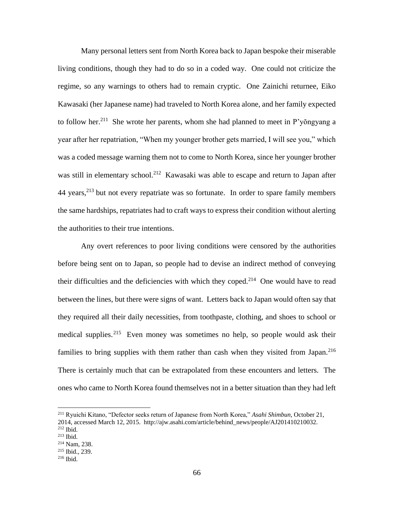Many personal letters sent from North Korea back to Japan bespoke their miserable living conditions, though they had to do so in a coded way. One could not criticize the regime, so any warnings to others had to remain cryptic. One Zainichi returnee, Eiko Kawasaki (her Japanese name) had traveled to North Korea alone, and her family expected to follow her.<sup>211</sup> She wrote her parents, whom she had planned to meet in P'yongyang a year after her repatriation, "When my younger brother gets married, I will see you," which was a coded message warning them not to come to North Korea, since her younger brother was still in elementary school.<sup>212</sup> Kawasaki was able to escape and return to Japan after 44 years,<sup>213</sup> but not every repatriate was so fortunate. In order to spare family members the same hardships, repatriates had to craft ways to express their condition without alerting the authorities to their true intentions.

Any overt references to poor living conditions were censored by the authorities before being sent on to Japan, so people had to devise an indirect method of conveying their difficulties and the deficiencies with which they coped.<sup>214</sup> One would have to read between the lines, but there were signs of want. Letters back to Japan would often say that they required all their daily necessities, from toothpaste, clothing, and shoes to school or medical supplies.<sup>215</sup> Even money was sometimes no help, so people would ask their families to bring supplies with them rather than cash when they visited from Japan.<sup>216</sup> There is certainly much that can be extrapolated from these encounters and letters. The ones who came to North Korea found themselves not in a better situation than they had left

<sup>211</sup> Ryuichi Kitano, "Defector seeks return of Japanese from North Korea," *Asahi Shimbun*, October 21, 2014, accessed March 12, 2015. http://ajw.asahi.com/article/behind\_news/people/AJ201410210032.

<sup>212</sup> Ibid.

<sup>213</sup> Ibid.

<sup>214</sup> Nam, 238.

<sup>215</sup> Ibid., 239.

<sup>216</sup> Ibid.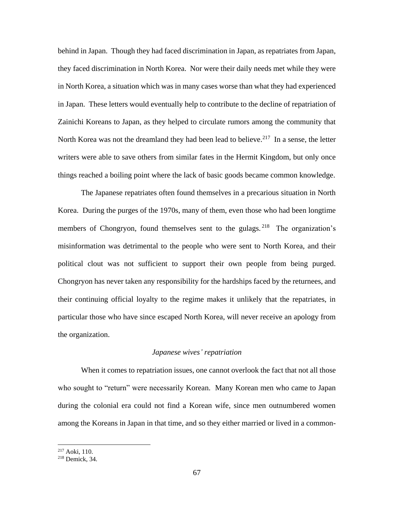behind in Japan. Though they had faced discrimination in Japan, as repatriates from Japan, they faced discrimination in North Korea. Nor were their daily needs met while they were in North Korea, a situation which was in many cases worse than what they had experienced in Japan. These letters would eventually help to contribute to the decline of repatriation of Zainichi Koreans to Japan, as they helped to circulate rumors among the community that North Korea was not the dreamland they had been lead to believe.<sup>217</sup> In a sense, the letter writers were able to save others from similar fates in the Hermit Kingdom, but only once things reached a boiling point where the lack of basic goods became common knowledge.

The Japanese repatriates often found themselves in a precarious situation in North Korea. During the purges of the 1970s, many of them, even those who had been longtime members of Chongryon, found themselves sent to the gulags.<sup>218</sup> The organization's misinformation was detrimental to the people who were sent to North Korea, and their political clout was not sufficient to support their own people from being purged. Chongryon has never taken any responsibility for the hardships faced by the returnees, and their continuing official loyalty to the regime makes it unlikely that the repatriates, in particular those who have since escaped North Korea, will never receive an apology from the organization.

#### *Japanese wives' repatriation*

When it comes to repatriation issues, one cannot overlook the fact that not all those who sought to "return" were necessarily Korean. Many Korean men who came to Japan during the colonial era could not find a Korean wife, since men outnumbered women among the Koreans in Japan in that time, and so they either married or lived in a common-

<sup>217</sup> Aoki, 110.

<sup>218</sup> Demick, 34.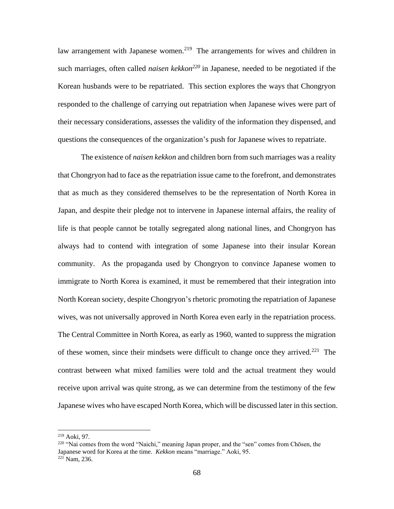law arrangement with Japanese women.<sup>219</sup> The arrangements for wives and children in such marriages, often called *naisen kekkon<sup>220</sup>* in Japanese, needed to be negotiated if the Korean husbands were to be repatriated. This section explores the ways that Chongryon responded to the challenge of carrying out repatriation when Japanese wives were part of their necessary considerations, assesses the validity of the information they dispensed, and questions the consequences of the organization's push for Japanese wives to repatriate.

The existence of *naisen kekkon* and children born from such marriages was a reality that Chongryon had to face as the repatriation issue came to the forefront, and demonstrates that as much as they considered themselves to be the representation of North Korea in Japan, and despite their pledge not to intervene in Japanese internal affairs, the reality of life is that people cannot be totally segregated along national lines, and Chongryon has always had to contend with integration of some Japanese into their insular Korean community. As the propaganda used by Chongryon to convince Japanese women to immigrate to North Korea is examined, it must be remembered that their integration into North Korean society, despite Chongryon's rhetoric promoting the repatriation of Japanese wives, was not universally approved in North Korea even early in the repatriation process. The Central Committee in North Korea, as early as 1960, wanted to suppress the migration of these women, since their mindsets were difficult to change once they arrived.<sup>221</sup> The contrast between what mixed families were told and the actual treatment they would receive upon arrival was quite strong, as we can determine from the testimony of the few Japanese wives who have escaped North Korea, which will be discussed later in this section.

<sup>219</sup> Aoki, 97.

<sup>220</sup> "Nai comes from the word "Naichi," meaning Japan proper, and the "sen" comes from Chōsen, the Japanese word for Korea at the time. *Kekkon* means "marriage." Aoki, 95.  $221$  Nam, 236.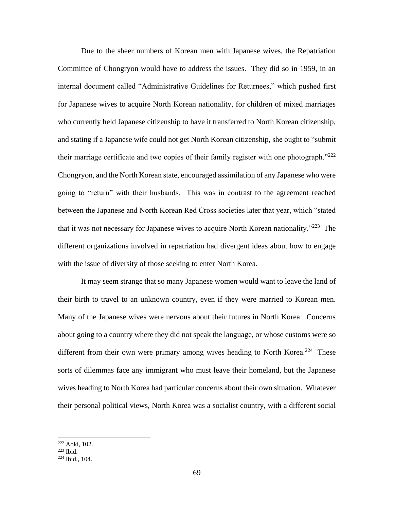Due to the sheer numbers of Korean men with Japanese wives, the Repatriation Committee of Chongryon would have to address the issues. They did so in 1959, in an internal document called "Administrative Guidelines for Returnees," which pushed first for Japanese wives to acquire North Korean nationality, for children of mixed marriages who currently held Japanese citizenship to have it transferred to North Korean citizenship, and stating if a Japanese wife could not get North Korean citizenship, she ought to "submit their marriage certificate and two copies of their family register with one photograph."<sup>222</sup> Chongryon, and the North Korean state, encouraged assimilation of any Japanese who were going to "return" with their husbands. This was in contrast to the agreement reached between the Japanese and North Korean Red Cross societies later that year, which "stated that it was not necessary for Japanese wives to acquire North Korean nationality."<sup>223</sup> The different organizations involved in repatriation had divergent ideas about how to engage with the issue of diversity of those seeking to enter North Korea.

It may seem strange that so many Japanese women would want to leave the land of their birth to travel to an unknown country, even if they were married to Korean men. Many of the Japanese wives were nervous about their futures in North Korea. Concerns about going to a country where they did not speak the language, or whose customs were so different from their own were primary among wives heading to North Korea.<sup>224</sup> These sorts of dilemmas face any immigrant who must leave their homeland, but the Japanese wives heading to North Korea had particular concerns about their own situation. Whatever their personal political views, North Korea was a socialist country, with a different social

<sup>222</sup> Aoki, 102.

<sup>223</sup> Ibid.

<sup>224</sup> Ibid., 104.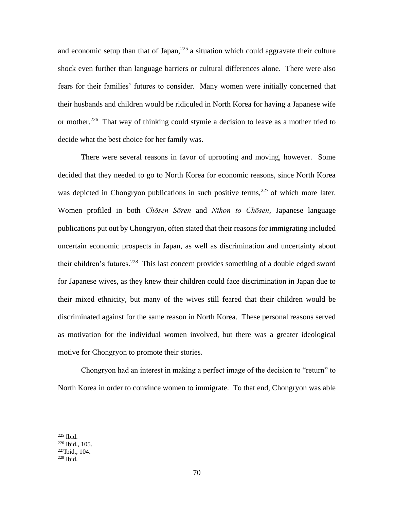and economic setup than that of Japan, $225$  a situation which could aggravate their culture shock even further than language barriers or cultural differences alone. There were also fears for their families' futures to consider. Many women were initially concerned that their husbands and children would be ridiculed in North Korea for having a Japanese wife or mother.<sup>226</sup> That way of thinking could stymie a decision to leave as a mother tried to decide what the best choice for her family was.

There were several reasons in favor of uprooting and moving, however. Some decided that they needed to go to North Korea for economic reasons, since North Korea was depicted in Chongryon publications in such positive terms,  $227$  of which more later. Women profiled in both *Chōsen Sōren* and *Nihon to Chōsen*, Japanese language publications put out by Chongryon, often stated that their reasons for immigrating included uncertain economic prospects in Japan, as well as discrimination and uncertainty about their children's futures.<sup>228</sup> This last concern provides something of a double edged sword for Japanese wives, as they knew their children could face discrimination in Japan due to their mixed ethnicity, but many of the wives still feared that their children would be discriminated against for the same reason in North Korea. These personal reasons served as motivation for the individual women involved, but there was a greater ideological motive for Chongryon to promote their stories.

Chongryon had an interest in making a perfect image of the decision to "return" to North Korea in order to convince women to immigrate. To that end, Chongryon was able

  $225$  Ibid.

<sup>226</sup> Ibid., 105.

<sup>227</sup>Ibid., 104.

<sup>228</sup> Ibid.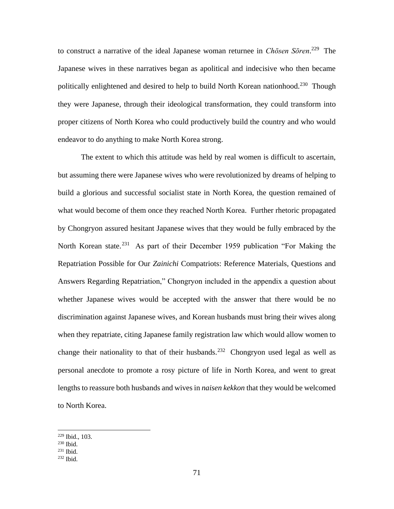to construct a narrative of the ideal Japanese woman returnee in *Chōsen Sōren*. 229 The Japanese wives in these narratives began as apolitical and indecisive who then became politically enlightened and desired to help to build North Korean nationhood.<sup>230</sup> Though they were Japanese, through their ideological transformation, they could transform into proper citizens of North Korea who could productively build the country and who would endeavor to do anything to make North Korea strong.

The extent to which this attitude was held by real women is difficult to ascertain, but assuming there were Japanese wives who were revolutionized by dreams of helping to build a glorious and successful socialist state in North Korea, the question remained of what would become of them once they reached North Korea. Further rhetoric propagated by Chongryon assured hesitant Japanese wives that they would be fully embraced by the North Korean state.<sup>231</sup> As part of their December 1959 publication "For Making the Repatriation Possible for Our *Zainichi* Compatriots: Reference Materials, Questions and Answers Regarding Repatriation," Chongryon included in the appendix a question about whether Japanese wives would be accepted with the answer that there would be no discrimination against Japanese wives, and Korean husbands must bring their wives along when they repatriate, citing Japanese family registration law which would allow women to change their nationality to that of their husbands.<sup>232</sup> Chongryon used legal as well as personal anecdote to promote a rosy picture of life in North Korea, and went to great lengths to reassure both husbands and wives in *naisen kekkon* that they would be welcomed to North Korea.

<sup>229</sup> Ibid., 103.

 $230$  Ibid.

<sup>231</sup> Ibid.

<sup>232</sup> Ibid.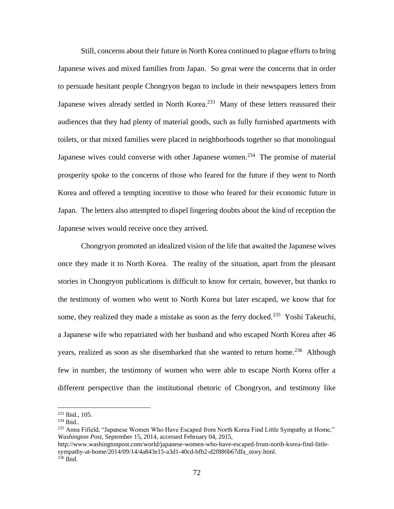Still, concerns about their future in North Korea continued to plague efforts to bring Japanese wives and mixed families from Japan. So great were the concerns that in order to persuade hesitant people Chongryon began to include in their newspapers letters from Japanese wives already settled in North Korea.<sup>233</sup> Many of these letters reassured their audiences that they had plenty of material goods, such as fully furnished apartments with toilets, or that mixed families were placed in neighborhoods together so that monolingual Japanese wives could converse with other Japanese women.<sup>234</sup> The promise of material prosperity spoke to the concerns of those who feared for the future if they went to North Korea and offered a tempting incentive to those who feared for their economic future in Japan. The letters also attempted to dispel lingering doubts about the kind of reception the Japanese wives would receive once they arrived.

Chongryon promoted an idealized vision of the life that awaited the Japanese wives once they made it to North Korea. The reality of the situation, apart from the pleasant stories in Chongryon publications is difficult to know for certain, however, but thanks to the testimony of women who went to North Korea but later escaped, we know that for some, they realized they made a mistake as soon as the ferry docked.<sup>235</sup> Yoshi Takeuchi, a Japanese wife who repatriated with her husband and who escaped North Korea after 46 years, realized as soon as she disembarked that she wanted to return home.<sup>236</sup> Although few in number, the testimony of women who were able to escape North Korea offer a different perspective than the institutional rhetoric of Chongryon, and testimony like

<sup>233</sup> Ibid., 105.

 $234$  Ibid..

<sup>&</sup>lt;sup>235</sup> Anna Fifield, "Japanese Women Who Have Escaped from North Korea Find Little Sympathy at Home," *Washington Post*, September 15, 2014, accessed February 04, 2015,

http://www.washingtonpost.com/world/japanese-women-who-have-escaped-from-north-korea-find-littlesympathy-at-home/2014/09/14/4a843e15-a3d1-40cd-bfb2-d2f886b67dfa\_story.html. <sup>236</sup> Ibid.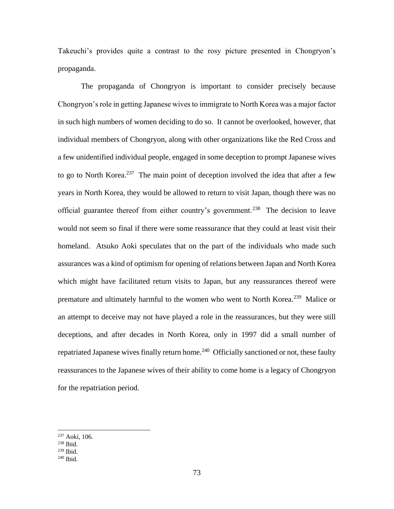Takeuchi's provides quite a contrast to the rosy picture presented in Chongryon's propaganda.

The propaganda of Chongryon is important to consider precisely because Chongryon's role in getting Japanese wives to immigrate to North Korea was a major factor in such high numbers of women deciding to do so. It cannot be overlooked, however, that individual members of Chongryon, along with other organizations like the Red Cross and a few unidentified individual people, engaged in some deception to prompt Japanese wives to go to North Korea.<sup>237</sup> The main point of deception involved the idea that after a few years in North Korea, they would be allowed to return to visit Japan, though there was no official guarantee thereof from either country's government.<sup>238</sup> The decision to leave would not seem so final if there were some reassurance that they could at least visit their homeland. Atsuko Aoki speculates that on the part of the individuals who made such assurances was a kind of optimism for opening of relations between Japan and North Korea which might have facilitated return visits to Japan, but any reassurances thereof were premature and ultimately harmful to the women who went to North Korea.<sup>239</sup> Malice or an attempt to deceive may not have played a role in the reassurances, but they were still deceptions, and after decades in North Korea, only in 1997 did a small number of repatriated Japanese wives finally return home.<sup>240</sup> Officially sanctioned or not, these faulty reassurances to the Japanese wives of their ability to come home is a legacy of Chongryon for the repatriation period.

<sup>237</sup> Aoki, 106.

 $238$  Ibid.

<sup>239</sup> Ibid.

<sup>240</sup> Ibid.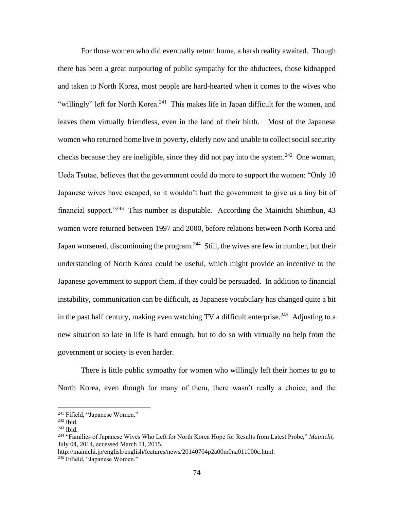For those women who did eventually return home, a harsh reality awaited. Though there has been a great outpouring of public sympathy for the abductees, those kidnapped and taken to North Korea, most people are hard-hearted when it comes to the wives who "willingly" left for North Korea.<sup>241</sup> This makes life in Japan difficult for the women, and leaves them virtually friendless, even in the land of their birth. Most of the Japanese women who returned home live in poverty, elderly now and unable to collect social security checks because they are ineligible, since they did not pay into the system.<sup>242</sup> One woman, Ueda Tsutae, believes that the government could do more to support the women: "Only 10 Japanese wives have escaped, so it wouldn't hurt the government to give us a tiny bit of financial support."<sup>243</sup> This number is disputable. According the Mainichi Shimbun, 43 women were returned between 1997 and 2000, before relations between North Korea and Japan worsened, discontinuing the program.<sup>244</sup> Still, the wives are few in number, but their understanding of North Korea could be useful, which might provide an incentive to the Japanese government to support them, if they could be persuaded. In addition to financial instability, communication can be difficult, as Japanese vocabulary has changed quite a bit in the past half century, making even watching  $TV$  a difficult enterprise.<sup>245</sup> Adjusting to a new situation so late in life is hard enough, but to do so with virtually no help from the government or society is even harder.

There is little public sympathy for women who willingly left their homes to go to North Korea, even though for many of them, there wasn't really a choice, and the

<sup>241</sup> Fifield, "Japanese Women."

 $242$  Ibid.

<sup>243</sup> Ibid.

<sup>244</sup> "Families of Japanese Wives Who Left for North Korea Hope for Results from Latest Probe," *Mainichi*, July 04, 2014, accessed March 11, 2015.

http://mainichi.jp/english/english/features/news/20140704p2a00m0na011000c.html.

<sup>&</sup>lt;sup>245</sup> Fifield, "Japanese Women."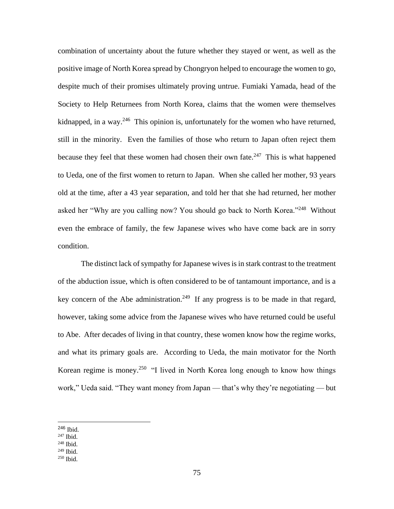combination of uncertainty about the future whether they stayed or went, as well as the positive image of North Korea spread by Chongryon helped to encourage the women to go, despite much of their promises ultimately proving untrue. Fumiaki Yamada, head of the Society to Help Returnees from North Korea, claims that the women were themselves kidnapped, in a way.<sup>246</sup> This opinion is, unfortunately for the women who have returned, still in the minority. Even the families of those who return to Japan often reject them because they feel that these women had chosen their own fate. $247$  This is what happened to Ueda, one of the first women to return to Japan. When she called her mother, 93 years old at the time, after a 43 year separation, and told her that she had returned, her mother asked her "Why are you calling now? You should go back to North Korea."<sup>248</sup> Without even the embrace of family, the few Japanese wives who have come back are in sorry condition.

The distinct lack of sympathy for Japanese wives is in stark contrast to the treatment of the abduction issue, which is often considered to be of tantamount importance, and is a key concern of the Abe administration.<sup>249</sup> If any progress is to be made in that regard, however, taking some advice from the Japanese wives who have returned could be useful to Abe. After decades of living in that country, these women know how the regime works, and what its primary goals are. According to Ueda, the main motivator for the North Korean regime is money.<sup>250</sup> "I lived in North Korea long enough to know how things work," Ueda said. "They want money from Japan — that's why they're negotiating — but

<sup>246</sup> Ibid.

<sup>247</sup> Ibid.

- $249$  Ibid.
- <sup>250</sup> Ibid.

<sup>248</sup> Ibid.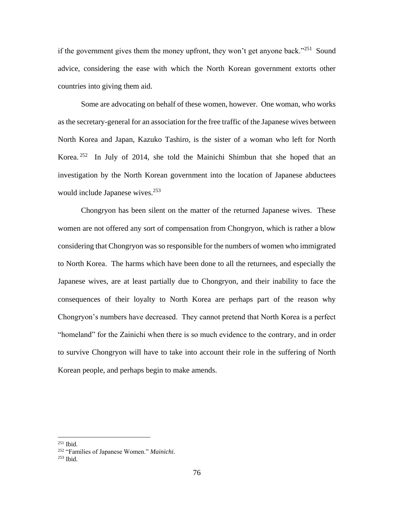if the government gives them the money upfront, they won't get anyone back."<sup>251</sup> Sound advice, considering the ease with which the North Korean government extorts other countries into giving them aid.

Some are advocating on behalf of these women, however. One woman, who works as the secretary-general for an association for the free traffic of the Japanese wives between North Korea and Japan, Kazuko Tashiro, is the sister of a woman who left for North Korea.<sup>252</sup> In July of 2014, she told the Mainichi Shimbun that she hoped that an investigation by the North Korean government into the location of Japanese abductees would include Japanese wives.<sup>253</sup>

Chongryon has been silent on the matter of the returned Japanese wives. These women are not offered any sort of compensation from Chongryon, which is rather a blow considering that Chongryon was so responsible for the numbers of women who immigrated to North Korea. The harms which have been done to all the returnees, and especially the Japanese wives, are at least partially due to Chongryon, and their inability to face the consequences of their loyalty to North Korea are perhaps part of the reason why Chongryon's numbers have decreased. They cannot pretend that North Korea is a perfect "homeland" for the Zainichi when there is so much evidence to the contrary, and in order to survive Chongryon will have to take into account their role in the suffering of North Korean people, and perhaps begin to make amends.

<sup>251</sup> Ibid.

<sup>252</sup> "Families of Japanese Women." *Mainichi*.

 $253$  Ibid.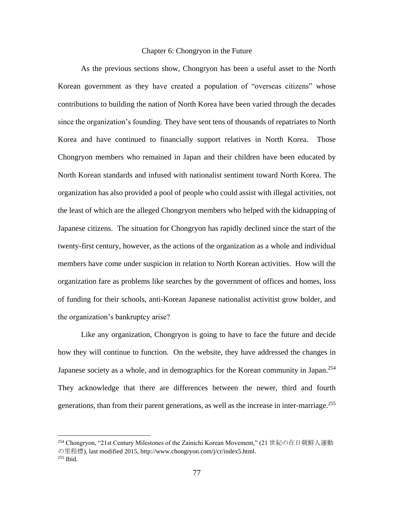## Chapter 6: Chongryon in the Future

As the previous sections show, Chongryon has been a useful asset to the North Korean government as they have created a population of "overseas citizens" whose contributions to building the nation of North Korea have been varied through the decades since the organization's founding. They have sent tens of thousands of repatriates to North Korea and have continued to financially support relatives in North Korea. Those Chongryon members who remained in Japan and their children have been educated by North Korean standards and infused with nationalist sentiment toward North Korea. The organization has also provided a pool of people who could assist with illegal activities, not the least of which are the alleged Chongryon members who helped with the kidnapping of Japanese citizens. The situation for Chongryon has rapidly declined since the start of the twenty-first century, however, as the actions of the organization as a whole and individual members have come under suspicion in relation to North Korean activities. How will the organization fare as problems like searches by the government of offices and homes, loss of funding for their schools, anti-Korean Japanese nationalist activitist grow bolder, and the organization's bankruptcy arise?

Like any organization, Chongryon is going to have to face the future and decide how they will continue to function. On the website, they have addressed the changes in Japanese society as a whole, and in demographics for the Korean community in Japan.<sup>254</sup> They acknowledge that there are differences between the newer, third and fourth generations, than from their parent generations, as well as the increase in inter-marriage. 255

<sup>254</sup> Chongryon, "21st Century Milestones of the Zainichi Korean Movement," (21 世紀の在日朝鮮人運動 の里程標), last modified 2015, http://www.chongryon.com/j/cr/index5.html. <sup>255</sup> Ibid.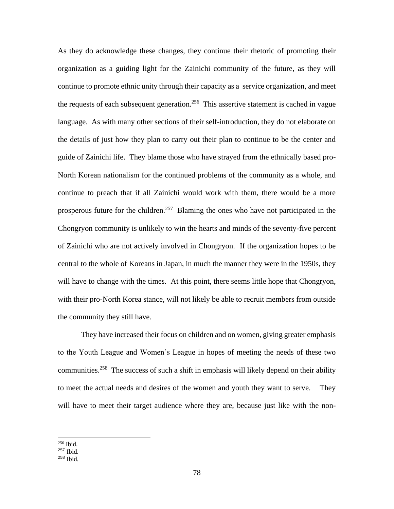As they do acknowledge these changes, they continue their rhetoric of promoting their organization as a guiding light for the Zainichi community of the future, as they will continue to promote ethnic unity through their capacity as a service organization, and meet the requests of each subsequent generation.<sup>256</sup> This assertive statement is cached in vague language. As with many other sections of their self-introduction, they do not elaborate on the details of just how they plan to carry out their plan to continue to be the center and guide of Zainichi life. They blame those who have strayed from the ethnically based pro-North Korean nationalism for the continued problems of the community as a whole, and continue to preach that if all Zainichi would work with them, there would be a more prosperous future for the children.<sup>257</sup> Blaming the ones who have not participated in the Chongryon community is unlikely to win the hearts and minds of the seventy-five percent of Zainichi who are not actively involved in Chongryon. If the organization hopes to be central to the whole of Koreans in Japan, in much the manner they were in the 1950s, they will have to change with the times. At this point, there seems little hope that Chongryon, with their pro-North Korea stance, will not likely be able to recruit members from outside the community they still have.

They have increased their focus on children and on women, giving greater emphasis to the Youth League and Women's League in hopes of meeting the needs of these two communities.<sup>258</sup> The success of such a shift in emphasis will likely depend on their ability to meet the actual needs and desires of the women and youth they want to serve. They will have to meet their target audience where they are, because just like with the non-

<sup>256</sup> Ibid.

<sup>257</sup> Ibid.

<sup>258</sup> Ibid.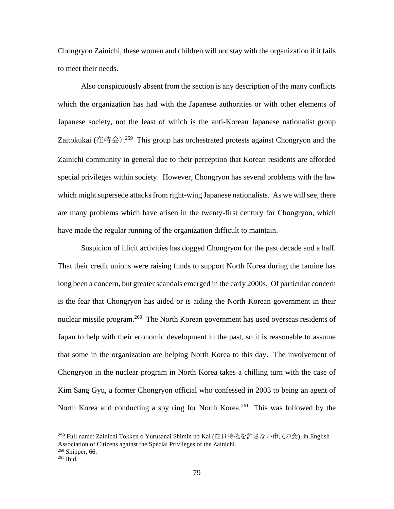Chongryon Zainichi, these women and children will not stay with the organization if it fails to meet their needs.

Also conspicuously absent from the section is any description of the many conflicts which the organization has had with the Japanese authorities or with other elements of Japanese society, not the least of which is the anti-Korean Japanese nationalist group Zaitokukai (在特会).<sup>259</sup> This group has orchestrated protests against Chongryon and the Zainichi community in general due to their perception that Korean residents are afforded special privileges within society. However, Chongryon has several problems with the law which might supersede attacks from right-wing Japanese nationalists. As we will see, there are many problems which have arisen in the twenty-first century for Chongryon, which have made the regular running of the organization difficult to maintain.

Suspicion of illicit activities has dogged Chongryon for the past decade and a half. That their credit unions were raising funds to support North Korea during the famine has long been a concern, but greater scandals emerged in the early 2000s. Of particular concern is the fear that Chongryon has aided or is aiding the North Korean government in their nuclear missile program.<sup>260</sup> The North Korean government has used overseas residents of Japan to help with their economic development in the past, so it is reasonable to assume that some in the organization are helping North Korea to this day. The involvement of Chongryon in the nuclear program in North Korea takes a chilling turn with the case of Kim Sang Gyu, a former Chongryon official who confessed in 2003 to being an agent of North Korea and conducting a spy ring for North Korea.<sup>261</sup> This was followed by the

<sup>259</sup> Full name: Zainichi Tokken o Yurusanai Shimin no Kai (在日特権を許さない市民の会), in English Association of Citizens against the Special Privileges of the Zainichi.

<sup>260</sup> Shipper, 66.

<sup>261</sup> Ibid.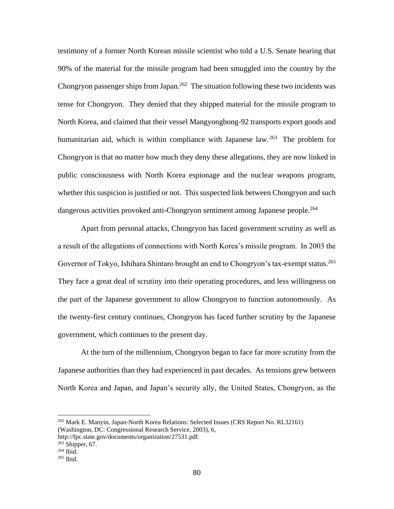testimony of a former North Korean missile scientist who told a U.S. Senate hearing that 90% of the material for the missile program had been smuggled into the country by the Chongryon passenger ships from Japan.<sup>262</sup> The situation following these two incidents was tense for Chongryon. They denied that they shipped material for the missile program to North Korea, and claimed that their vessel Mangyongbong-92 transports export goods and humanitarian aid, which is within compliance with Japanese law.<sup>263</sup> The problem for Chongryon is that no matter how much they deny these allegations, they are now linked in public consciousness with North Korea espionage and the nuclear weapons program, whether this suspicion is justified or not. This suspected link between Chongryon and such dangerous activities provoked anti-Chongryon sentiment among Japanese people.<sup>264</sup>

Apart from personal attacks, Chongryon has faced government scrutiny as well as a result of the allegations of connections with North Korea's missile program. In 2003 the Governor of Tokyo, Ishihara Shintaro brought an end to Chongryon's tax-exempt status.<sup>265</sup> They face a great deal of scrutiny into their operating procedures, and less willingness on the part of the Japanese government to allow Chongryon to function autonomously. As the twenty-first century continues, Chongryon has faced further scrutiny by the Japanese government, which continues to the present day.

At the turn of the millennium, Chongryon began to face far more scrutiny from the Japanese authorities than they had experienced in past decades. As tensions grew between North Korea and Japan, and Japan's security ally, the United States, Chongryon, as the

<sup>262</sup> Mark E. Manyin, Japan-North Korea Relations: Selected Issues (CRS Report No. RL32161) (Washington, DC: Congressional Research Service, 2003), 6,

http://fpc.state.gov/documents/organization/27531.pdf.

 $263$  Shipper, 67.

 $264$  Ibid.

 $265$  Ibid.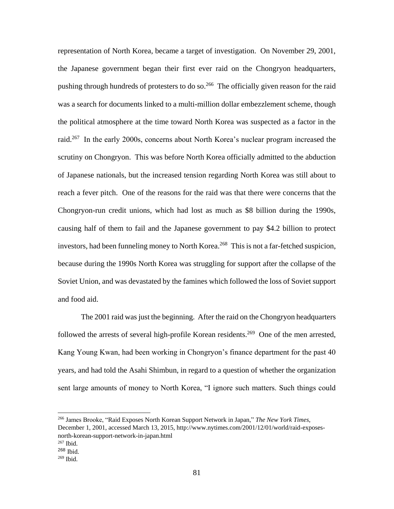representation of North Korea, became a target of investigation. On November 29, 2001, the Japanese government began their first ever raid on the Chongryon headquarters, pushing through hundreds of protesters to do so.<sup>266</sup> The officially given reason for the raid was a search for documents linked to a multi-million dollar embezzlement scheme, though the political atmosphere at the time toward North Korea was suspected as a factor in the raid.<sup>267</sup> In the early 2000s, concerns about North Korea's nuclear program increased the scrutiny on Chongryon. This was before North Korea officially admitted to the abduction of Japanese nationals, but the increased tension regarding North Korea was still about to reach a fever pitch. One of the reasons for the raid was that there were concerns that the Chongryon-run credit unions, which had lost as much as \$8 billion during the 1990s, causing half of them to fail and the Japanese government to pay \$4.2 billion to protect investors, had been funneling money to North Korea.<sup>268</sup> This is not a far-fetched suspicion, because during the 1990s North Korea was struggling for support after the collapse of the Soviet Union, and was devastated by the famines which followed the loss of Soviet support and food aid.

The 2001 raid was just the beginning. After the raid on the Chongryon headquarters followed the arrests of several high-profile Korean residents.<sup>269</sup> One of the men arrested, Kang Young Kwan, had been working in Chongryon's finance department for the past 40 years, and had told the Asahi Shimbun, in regard to a question of whether the organization sent large amounts of money to North Korea, "I ignore such matters. Such things could

<sup>266</sup> James Brooke, "Raid Exposes North Korean Support Network in Japan," *The New York Times*, December 1, 2001, accessed March 13, 2015, http://www.nytimes.com/2001/12/01/world/raid-exposesnorth-korean-support-network-in-japan.html

 $267$  Ibid.

<sup>268</sup> Ibid.

<sup>269</sup> Ibid.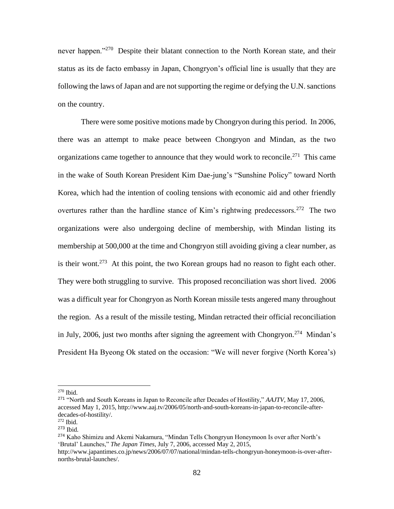never happen."<sup>270</sup> Despite their blatant connection to the North Korean state, and their status as its de facto embassy in Japan, Chongryon's official line is usually that they are following the laws of Japan and are not supporting the regime or defying the U.N. sanctions on the country.

There were some positive motions made by Chongryon during this period. In 2006, there was an attempt to make peace between Chongryon and Mindan, as the two organizations came together to announce that they would work to reconcile.<sup>271</sup> This came in the wake of South Korean President Kim Dae-jung's "Sunshine Policy" toward North Korea, which had the intention of cooling tensions with economic aid and other friendly overtures rather than the hardline stance of Kim's rightwing predecessors.<sup>272</sup> The two organizations were also undergoing decline of membership, with Mindan listing its membership at 500,000 at the time and Chongryon still avoiding giving a clear number, as is their wont.<sup>273</sup> At this point, the two Korean groups had no reason to fight each other. They were both struggling to survive. This proposed reconciliation was short lived. 2006 was a difficult year for Chongryon as North Korean missile tests angered many throughout the region. As a result of the missile testing, Mindan retracted their official reconciliation in July, 2006, just two months after signing the agreement with Chongryon.<sup>274</sup> Mindan's President Ha Byeong Ok stated on the occasion: "We will never forgive (North Korea's)

 $270$  Ibid.

<sup>271</sup> "North and South Koreans in Japan to Reconcile after Decades of Hostility," *AAJTV*, May 17, 2006, accessed May 1, 2015, http://www.aaj.tv/2006/05/north-and-south-koreans-in-japan-to-reconcile-afterdecades-of-hostility/.

<sup>272</sup> Ibid.

<sup>273</sup> Ibid.

<sup>274</sup> Kaho Shimizu and Akemi Nakamura, "Mindan Tells Chongryun Honeymoon Is over after North's 'Brutal' Launches," *The Japan Times*, July 7, 2006, accessed May 2, 2015,

http://www.japantimes.co.jp/news/2006/07/07/national/mindan-tells-chongryun-honeymoon-is-over-afternorths-brutal-launches/.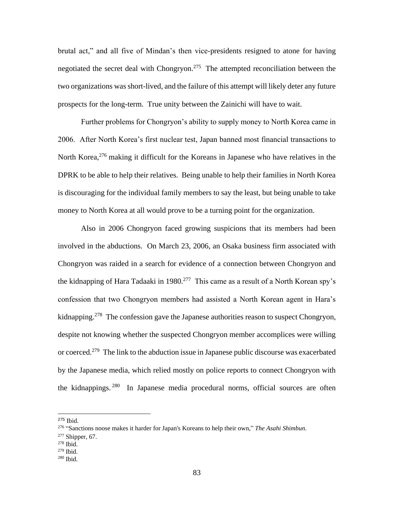brutal act," and all five of Mindan's then vice-presidents resigned to atone for having negotiated the secret deal with Chongryon.<sup>275</sup> The attempted reconciliation between the two organizations was short-lived, and the failure of this attempt will likely deter any future prospects for the long-term. True unity between the Zainichi will have to wait.

Further problems for Chongryon's ability to supply money to North Korea came in 2006. After North Korea's first nuclear test, Japan banned most financial transactions to North Korea,<sup>276</sup> making it difficult for the Koreans in Japanese who have relatives in the DPRK to be able to help their relatives. Being unable to help their families in North Korea is discouraging for the individual family members to say the least, but being unable to take money to North Korea at all would prove to be a turning point for the organization.

Also in 2006 Chongryon faced growing suspicions that its members had been involved in the abductions. On March 23, 2006, an Osaka business firm associated with Chongryon was raided in a search for evidence of a connection between Chongryon and the kidnapping of Hara Tadaaki in 1980.<sup>277</sup> This came as a result of a North Korean spy's confession that two Chongryon members had assisted a North Korean agent in Hara's kidnapping.<sup>278</sup> The confession gave the Japanese authorities reason to suspect Chongryon, despite not knowing whether the suspected Chongryon member accomplices were willing or coerced.<sup>279</sup> The link to the abduction issue in Japanese public discourse was exacerbated by the Japanese media, which relied mostly on police reports to connect Chongryon with the kidnappings.<sup>280</sup> In Japanese media procedural norms, official sources are often

 $277$  Shipper, 67.

<sup>275</sup> Ibid.

<sup>276</sup> "Sanctions noose makes it harder for Japan's Koreans to help their own," *The Asahi Shimbun*.

 $278$  Ibid.

<sup>279</sup> Ibid.

<sup>280</sup> Ibid.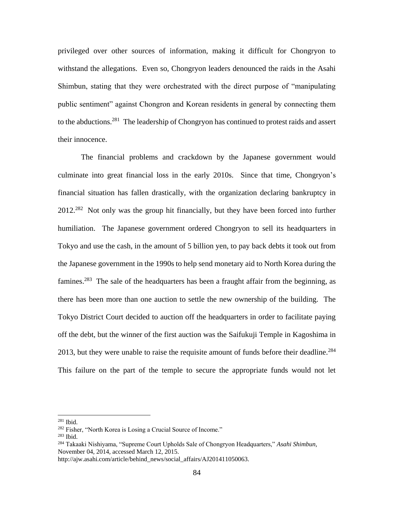privileged over other sources of information, making it difficult for Chongryon to withstand the allegations. Even so, Chongryon leaders denounced the raids in the Asahi Shimbun, stating that they were orchestrated with the direct purpose of "manipulating public sentiment" against Chongron and Korean residents in general by connecting them to the abductions.<sup>281</sup> The leadership of Chongryon has continued to protest raids and assert their innocence.

The financial problems and crackdown by the Japanese government would culminate into great financial loss in the early 2010s. Since that time, Chongryon's financial situation has fallen drastically, with the organization declaring bankruptcy in 2012.<sup>282</sup> Not only was the group hit financially, but they have been forced into further humiliation. The Japanese government ordered Chongryon to sell its headquarters in Tokyo and use the cash, in the amount of 5 billion yen, to pay back debts it took out from the Japanese government in the 1990s to help send monetary aid to North Korea during the famines.<sup>283</sup> The sale of the headquarters has been a fraught affair from the beginning, as there has been more than one auction to settle the new ownership of the building. The Tokyo District Court decided to auction off the headquarters in order to facilitate paying off the debt, but the winner of the first auction was the Saifukuji Temple in Kagoshima in 2013, but they were unable to raise the requisite amount of funds before their deadline.<sup>284</sup> This failure on the part of the temple to secure the appropriate funds would not let

 $281$  Ibid.

<sup>282</sup> Fisher, "North Korea is Losing a Crucial Source of Income."

<sup>283</sup> Ibid.

<sup>284</sup> Takaaki Nishiyama, "Supreme Court Upholds Sale of Chongryon Headquarters," *Asahi Shimbun*, November 04, 2014, accessed March 12, 2015.

http://ajw.asahi.com/article/behind\_news/social\_affairs/AJ201411050063.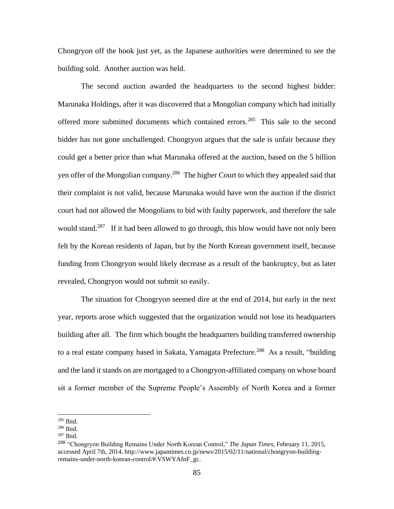Chongryon off the hook just yet, as the Japanese authorities were determined to see the building sold. Another auction was held.

The second auction awarded the headquarters to the second highest bidder: Marunaka Holdings, after it was discovered that a Mongolian company which had initially offered more submitted documents which contained errors.<sup>285</sup> This sale to the second bidder has not gone unchallenged. Chongryon argues that the sale is unfair because they could get a better price than what Marunaka offered at the auction, based on the 5 billion yen offer of the Mongolian company.<sup>286</sup> The higher Court to which they appealed said that their complaint is not valid, because Marunaka would have won the auction if the district court had not allowed the Mongolians to bid with faulty paperwork, and therefore the sale would stand.<sup>287</sup> If it had been allowed to go through, this blow would have not only been felt by the Korean residents of Japan, but by the North Korean government itself, because funding from Chongryon would likely decrease as a result of the bankruptcy, but as later revealed, Chongryon would not submit so easily.

The situation for Chongryon seemed dire at the end of 2014, but early in the next year, reports arose which suggested that the organization would not lose its headquarters building after all. The firm which bought the headquarters building transferred ownership to a real estate company based in Sakata, Yamagata Prefecture.<sup>288</sup> As a result, "building and the land it stands on are mortgaged to a Chongryon-affiliated company on whose board sit a former member of the Supreme People's Assembly of North Korea and a former

<sup>285</sup> Ibid.

<sup>286</sup> Ibid.

<sup>287</sup> Ibid.

<sup>288</sup> "Chongryon Building Remains Under North Korean Control," *The Japan Times*, February 11, 2015, accessed April 7th, 2014. http://www.japantimes.co.jp/news/2015/02/11/national/chongryon-buildingremains-under-north-korean-control/#.VSWYAfnF\_gc.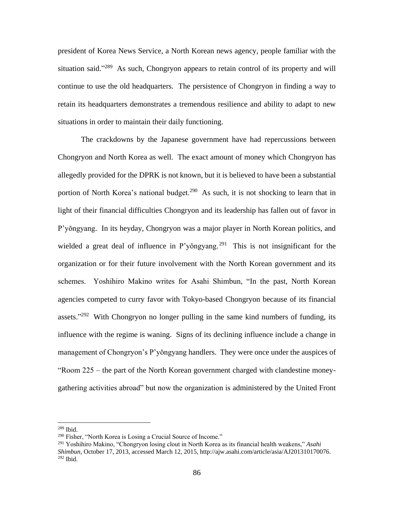president of Korea News Service, a North Korean news agency, people familiar with the situation said."<sup>289</sup> As such, Chongryon appears to retain control of its property and will continue to use the old headquarters. The persistence of Chongryon in finding a way to retain its headquarters demonstrates a tremendous resilience and ability to adapt to new situations in order to maintain their daily functioning.

The crackdowns by the Japanese government have had repercussions between Chongryon and North Korea as well. The exact amount of money which Chongryon has allegedly provided for the DPRK is not known, but it is believed to have been a substantial portion of North Korea's national budget.<sup>290</sup> As such, it is not shocking to learn that in light of their financial difficulties Chongryon and its leadership has fallen out of favor in P'yŏngyang. In its heyday, Chongryon was a major player in North Korean politics, and wielded a great deal of influence in P'yŏngyang.<sup>291</sup> This is not insignificant for the organization or for their future involvement with the North Korean government and its schemes. Yoshihiro Makino writes for Asahi Shimbun, "In the past, North Korean agencies competed to curry favor with Tokyo-based Chongryon because of its financial assets." $292$  With Chongryon no longer pulling in the same kind numbers of funding, its influence with the regime is waning. Signs of its declining influence include a change in management of Chongryon's P'yŏngyang handlers. They were once under the auspices of "Room 225 – the part of the North Korean government charged with clandestine moneygathering activities abroad" but now the organization is administered by the United Front

<sup>289</sup> Ibid.

<sup>290</sup> Fisher, "North Korea is Losing a Crucial Source of Income."

<sup>291</sup> Yoshihiro Makino, "Chongryon losing clout in North Korea as its financial health weakens," *Asahi Shimbun*, October 17, 2013, accessed March 12, 2015, http://ajw.asahi.com/article/asia/AJ201310170076. <sup>292</sup> Ibid.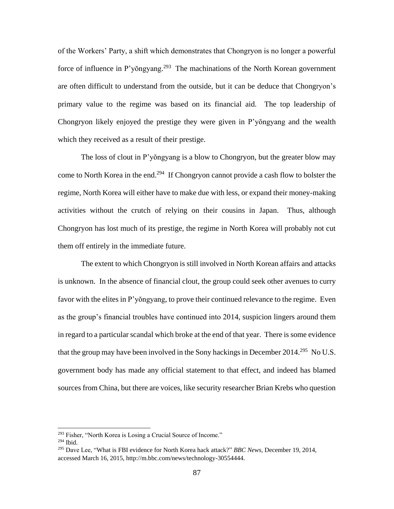of the Workers' Party, a shift which demonstrates that Chongryon is no longer a powerful force of influence in P'yŏngyang.<sup>293</sup> The machinations of the North Korean government are often difficult to understand from the outside, but it can be deduce that Chongryon's primary value to the regime was based on its financial aid. The top leadership of Chongryon likely enjoyed the prestige they were given in P'yŏngyang and the wealth which they received as a result of their prestige.

The loss of clout in P'yŏngyang is a blow to Chongryon, but the greater blow may come to North Korea in the end.<sup>294</sup> If Chongryon cannot provide a cash flow to bolster the regime, North Korea will either have to make due with less, or expand their money-making activities without the crutch of relying on their cousins in Japan. Thus, although Chongryon has lost much of its prestige, the regime in North Korea will probably not cut them off entirely in the immediate future.

The extent to which Chongryon is still involved in North Korean affairs and attacks is unknown. In the absence of financial clout, the group could seek other avenues to curry favor with the elites in P'yŏngyang, to prove their continued relevance to the regime. Even as the group's financial troubles have continued into 2014, suspicion lingers around them in regard to a particular scandal which broke at the end of that year. There is some evidence that the group may have been involved in the Sony hackings in December 2014.<sup>295</sup> No U.S. government body has made any official statement to that effect, and indeed has blamed sources from China, but there are voices, like security researcher Brian Krebs who question

<sup>&</sup>lt;sup>293</sup> Fisher, "North Korea is Losing a Crucial Source of Income."

<sup>294</sup> Ibid.

<sup>295</sup> Dave Lee, "What is FBI evidence for North Korea hack attack?" *BBC News*, December 19, 2014, accessed March 16, 2015, http://m.bbc.com/news/technology-30554444.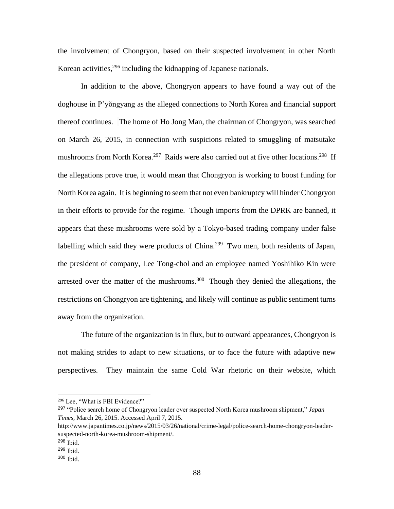the involvement of Chongryon, based on their suspected involvement in other North Korean activities,  $296$  including the kidnapping of Japanese nationals.

In addition to the above, Chongryon appears to have found a way out of the doghouse in P'yŏngyang as the alleged connections to North Korea and financial support thereof continues. The home of Ho Jong Man, the chairman of Chongryon, was searched on March 26, 2015, in connection with suspicions related to smuggling of matsutake mushrooms from North Korea.<sup>297</sup> Raids were also carried out at five other locations.<sup>298</sup> If the allegations prove true, it would mean that Chongryon is working to boost funding for North Korea again. It is beginning to seem that not even bankruptcy will hinder Chongryon in their efforts to provide for the regime. Though imports from the DPRK are banned, it appears that these mushrooms were sold by a Tokyo-based trading company under false labelling which said they were products of China.<sup>299</sup> Two men, both residents of Japan, the president of company, Lee Tong-chol and an employee named Yoshihiko Kin were arrested over the matter of the mushrooms.<sup>300</sup> Though they denied the allegations, the restrictions on Chongryon are tightening, and likely will continue as public sentiment turns away from the organization.

The future of the organization is in flux, but to outward appearances, Chongryon is not making strides to adapt to new situations, or to face the future with adaptive new perspectives. They maintain the same Cold War rhetoric on their website, which

<sup>296</sup> Lee, "What is FBI Evidence?"

<sup>297</sup> "Police search home of Chongryon leader over suspected North Korea mushroom shipment," *Japan Times*, March 26, 2015. Accessed April 7, 2015.

http://www.japantimes.co.jp/news/2015/03/26/national/crime-legal/police-search-home-chongryon-leadersuspected-north-korea-mushroom-shipment/.

<sup>298</sup> Ibid.

<sup>299</sup> Ibid.

<sup>300</sup> Ibid.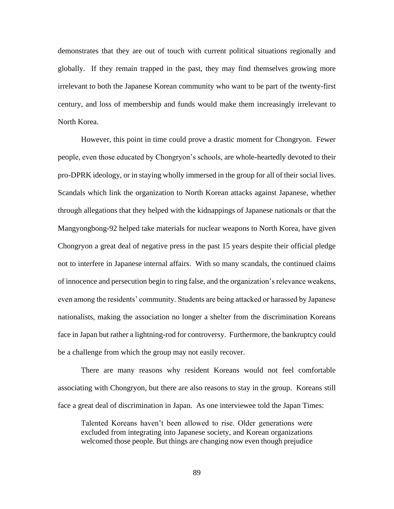demonstrates that they are out of touch with current political situations regionally and globally. If they remain trapped in the past, they may find themselves growing more irrelevant to both the Japanese Korean community who want to be part of the twenty-first century, and loss of membership and funds would make them increasingly irrelevant to North Korea.

However, this point in time could prove a drastic moment for Chongryon. Fewer people, even those educated by Chongryon's schools, are whole-heartedly devoted to their pro-DPRK ideology, or in staying wholly immersed in the group for all of their social lives. Scandals which link the organization to North Korean attacks against Japanese, whether through allegations that they helped with the kidnappings of Japanese nationals or that the Mangyongbong-92 helped take materials for nuclear weapons to North Korea, have given Chongryon a great deal of negative press in the past 15 years despite their official pledge not to interfere in Japanese internal affairs. With so many scandals, the continued claims of innocence and persecution begin to ring false, and the organization's relevance weakens, even among the residents' community. Students are being attacked or harassed by Japanese nationalists, making the association no longer a shelter from the discrimination Koreans face in Japan but rather a lightning-rod for controversy. Furthermore, the bankruptcy could be a challenge from which the group may not easily recover.

There are many reasons why resident Koreans would not feel comfortable associating with Chongryon, but there are also reasons to stay in the group. Koreans still face a great deal of discrimination in Japan. As one interviewee told the Japan Times:

Talented Koreans haven't been allowed to rise. Older generations were excluded from integrating into Japanese society, and Korean organizations welcomed those people. But things are changing now even though prejudice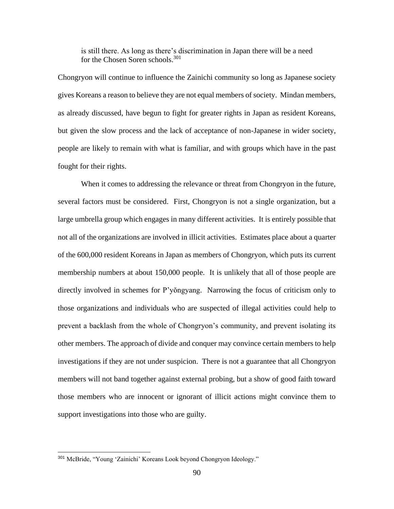is still there. As long as there's discrimination in Japan there will be a need for the Chosen Soren schools.<sup>301</sup>

Chongryon will continue to influence the Zainichi community so long as Japanese society gives Koreans a reason to believe they are not equal members of society. Mindan members, as already discussed, have begun to fight for greater rights in Japan as resident Koreans, but given the slow process and the lack of acceptance of non-Japanese in wider society, people are likely to remain with what is familiar, and with groups which have in the past fought for their rights.

When it comes to addressing the relevance or threat from Chongryon in the future, several factors must be considered. First, Chongryon is not a single organization, but a large umbrella group which engages in many different activities. It is entirely possible that not all of the organizations are involved in illicit activities. Estimates place about a quarter of the 600,000 resident Koreans in Japan as members of Chongryon, which puts its current membership numbers at about 150,000 people. It is unlikely that all of those people are directly involved in schemes for P'yŏngyang. Narrowing the focus of criticism only to those organizations and individuals who are suspected of illegal activities could help to prevent a backlash from the whole of Chongryon's community, and prevent isolating its other members. The approach of divide and conquer may convince certain members to help investigations if they are not under suspicion. There is not a guarantee that all Chongryon members will not band together against external probing, but a show of good faith toward those members who are innocent or ignorant of illicit actions might convince them to support investigations into those who are guilty.

<sup>301</sup> McBride, "Young 'Zainichi' Koreans Look beyond Chongryon Ideology."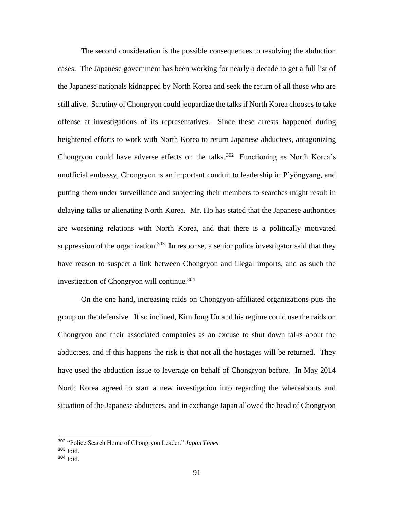The second consideration is the possible consequences to resolving the abduction cases. The Japanese government has been working for nearly a decade to get a full list of the Japanese nationals kidnapped by North Korea and seek the return of all those who are still alive. Scrutiny of Chongryon could jeopardize the talks if North Korea chooses to take offense at investigations of its representatives. Since these arrests happened during heightened efforts to work with North Korea to return Japanese abductees, antagonizing Chongryon could have adverse effects on the talks.<sup>302</sup> Functioning as North Korea's unofficial embassy, Chongryon is an important conduit to leadership in P'yŏngyang, and putting them under surveillance and subjecting their members to searches might result in delaying talks or alienating North Korea. Mr. Ho has stated that the Japanese authorities are worsening relations with North Korea, and that there is a politically motivated suppression of the organization.<sup>303</sup> In response, a senior police investigator said that they have reason to suspect a link between Chongryon and illegal imports, and as such the investigation of Chongryon will continue.<sup>304</sup>

On the one hand, increasing raids on Chongryon-affiliated organizations puts the group on the defensive. If so inclined, Kim Jong Un and his regime could use the raids on Chongryon and their associated companies as an excuse to shut down talks about the abductees, and if this happens the risk is that not all the hostages will be returned. They have used the abduction issue to leverage on behalf of Chongryon before. In May 2014 North Korea agreed to start a new investigation into regarding the whereabouts and situation of the Japanese abductees, and in exchange Japan allowed the head of Chongryon

<sup>302</sup> "Police Search Home of Chongryon Leader." *Japan Times*. <sup>303</sup> Ibid.

<sup>304</sup> Ibid.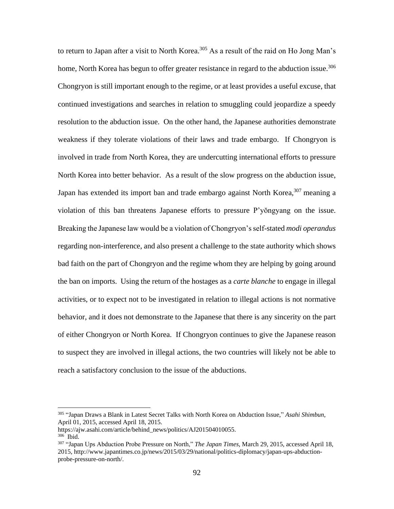to return to Japan after a visit to North Korea.<sup>305</sup> As a result of the raid on Ho Jong Man's home, North Korea has begun to offer greater resistance in regard to the abduction issue.<sup>306</sup> Chongryon is still important enough to the regime, or at least provides a useful excuse, that continued investigations and searches in relation to smuggling could jeopardize a speedy resolution to the abduction issue. On the other hand, the Japanese authorities demonstrate weakness if they tolerate violations of their laws and trade embargo. If Chongryon is involved in trade from North Korea, they are undercutting international efforts to pressure North Korea into better behavior. As a result of the slow progress on the abduction issue, Japan has extended its import ban and trade embargo against North Korea,  $307$  meaning a violation of this ban threatens Japanese efforts to pressure P'yŏngyang on the issue. Breaking the Japanese law would be a violation of Chongryon's self-stated *modi operandus* regarding non-interference, and also present a challenge to the state authority which shows bad faith on the part of Chongryon and the regime whom they are helping by going around the ban on imports. Using the return of the hostages as a *carte blanche* to engage in illegal activities, or to expect not to be investigated in relation to illegal actions is not normative behavior, and it does not demonstrate to the Japanese that there is any sincerity on the part of either Chongryon or North Korea. If Chongryon continues to give the Japanese reason to suspect they are involved in illegal actions, the two countries will likely not be able to reach a satisfactory conclusion to the issue of the abductions.

<sup>305</sup> "Japan Draws a Blank in Latest Secret Talks with North Korea on Abduction Issue," *Asahi Shimbun*, April 01, 2015, accessed April 18, 2015.

https://ajw.asahi.com/article/behind\_news/politics/AJ201504010055.

<sup>306</sup> Ibid.

<sup>307</sup> "Japan Ups Abduction Probe Pressure on North," *The Japan Times*, March 29, 2015, accessed April 18, 2015, http://www.japantimes.co.jp/news/2015/03/29/national/politics-diplomacy/japan-ups-abductionprobe-pressure-on-north/.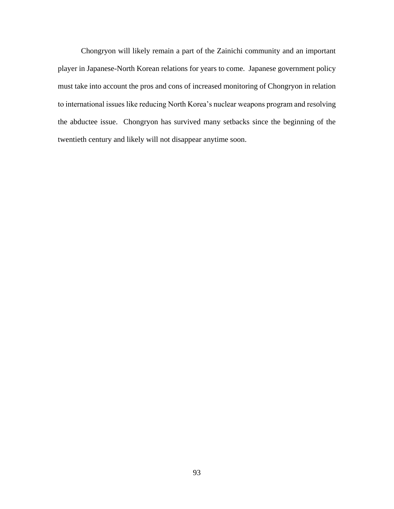Chongryon will likely remain a part of the Zainichi community and an important player in Japanese-North Korean relations for years to come. Japanese government policy must take into account the pros and cons of increased monitoring of Chongryon in relation to international issues like reducing North Korea's nuclear weapons program and resolving the abductee issue. Chongryon has survived many setbacks since the beginning of the twentieth century and likely will not disappear anytime soon.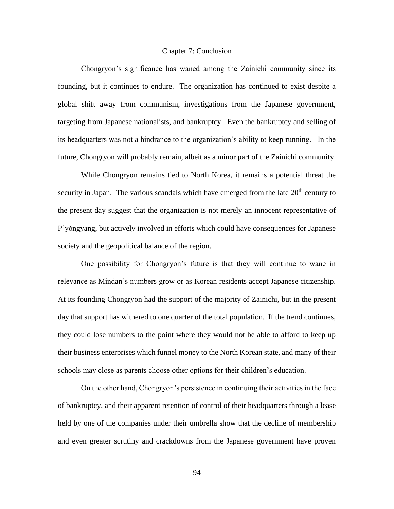## Chapter 7: Conclusion

Chongryon's significance has waned among the Zainichi community since its founding, but it continues to endure. The organization has continued to exist despite a global shift away from communism, investigations from the Japanese government, targeting from Japanese nationalists, and bankruptcy. Even the bankruptcy and selling of its headquarters was not a hindrance to the organization's ability to keep running. In the future, Chongryon will probably remain, albeit as a minor part of the Zainichi community.

While Chongryon remains tied to North Korea, it remains a potential threat the security in Japan. The various scandals which have emerged from the late  $20<sup>th</sup>$  century to the present day suggest that the organization is not merely an innocent representative of P'yŏngyang, but actively involved in efforts which could have consequences for Japanese society and the geopolitical balance of the region.

One possibility for Chongryon's future is that they will continue to wane in relevance as Mindan's numbers grow or as Korean residents accept Japanese citizenship. At its founding Chongryon had the support of the majority of Zainichi, but in the present day that support has withered to one quarter of the total population. If the trend continues, they could lose numbers to the point where they would not be able to afford to keep up their business enterprises which funnel money to the North Korean state, and many of their schools may close as parents choose other options for their children's education.

On the other hand, Chongryon's persistence in continuing their activities in the face of bankruptcy, and their apparent retention of control of their headquarters through a lease held by one of the companies under their umbrella show that the decline of membership and even greater scrutiny and crackdowns from the Japanese government have proven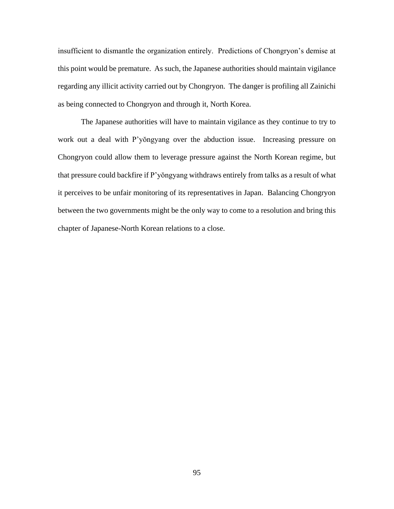insufficient to dismantle the organization entirely. Predictions of Chongryon's demise at this point would be premature. As such, the Japanese authorities should maintain vigilance regarding any illicit activity carried out by Chongryon. The danger is profiling all Zainichi as being connected to Chongryon and through it, North Korea.

The Japanese authorities will have to maintain vigilance as they continue to try to work out a deal with P'yŏngyang over the abduction issue. Increasing pressure on Chongryon could allow them to leverage pressure against the North Korean regime, but that pressure could backfire if P'yŏngyang withdraws entirely from talks as a result of what it perceives to be unfair monitoring of its representatives in Japan. Balancing Chongryon between the two governments might be the only way to come to a resolution and bring this chapter of Japanese-North Korean relations to a close.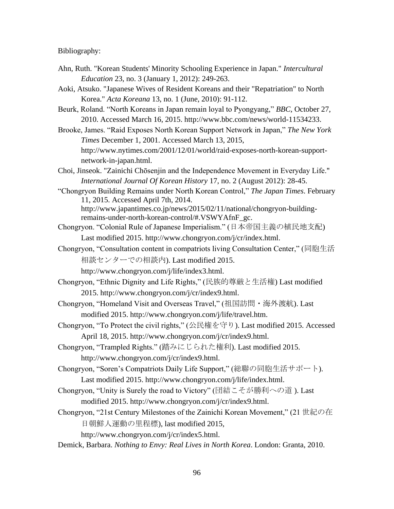Bibliography:

- Ahn, Ruth. "Korean Students' Minority Schooling Experience in Japan." *Intercultural Education* 23, no. 3 (January 1, 2012): 249-263.
- Aoki, Atsuko. "Japanese Wives of Resident Koreans and their "Repatriation" to North Korea." *Acta Koreana* 13, no. 1 (June, 2010): 91-112.
- Beurk, Roland. "North Koreans in Japan remain loyal to Pyongyang," *BBC*, October 27, 2010. Accessed March 16, 2015. http://www.bbc.com/news/world-11534233.
- Brooke, James. "Raid Exposes North Korean Support Network in Japan," *The New York Times* December 1, 2001. Accessed March 13, 2015, http://www.nytimes.com/2001/12/01/world/raid-exposes-north-korean-supportnetwork-in-japan.html.
- Choi, Jinseok. "Zainichi Chōsenjin and the Independence Movement in Everyday Life." *International Journal Of Korean History* 17, no. 2 (August 2012): 28-45.
- "Chongryon Building Remains under North Korean Control," *The Japan Times*. February 11, 2015. Accessed April 7th, 2014. http://www.japantimes.co.jp/news/2015/02/11/national/chongryon-building-

remains-under-north-korean-control/#.VSWYAfnF\_gc.

- Chongryon. "Colonial Rule of Japanese Imperialism." (日本帝国主義の植民地支配) Last modified 2015. http://www.chongryon.com/j/cr/index.html.
- Chongryon, "Consultation content in compatriots living Consultation Center," (同胞生活 相談センターでの相談内). Last modified 2015.
	- http://www.chongryon.com/j/life/index3.html.
- Chongryon, "Ethnic Dignity and Life Rights," (民族的尊厳と生活権) Last modified 2015. http://www.chongryon.com/j/cr/index9.html.
- Chongryon, "Homeland Visit and Overseas Travel," (祖国訪問・海外渡航). Last modified 2015. http://www.chongryon.com/j/life/travel.htm.
- Chongryon, "To Protect the civil rights," (公民権を守り). Last modified 2015. Accessed April 18, 2015. http://www.chongryon.com/j/cr/index9.html.
- Chongryon, "Trampled Rights." (踏みにじられた権利). Last modified 2015. http://www.chongryon.com/j/cr/index9.html.
- Chongryon, "Soren's Compatriots Daily Life Support," (総聯の同胞生活サポート).

Last modified 2015. http://www.chongryon.com/j/life/index.html.

- Chongryon, "Unity is Surely the road to Victory" (団結こそが勝利への道 ). Last modified 2015. http://www.chongryon.com/j/cr/index9.html.
- Chongryon, "21st Century Milestones of the Zainichi Korean Movement," (21 世紀の在 日朝鮮人運動の里程標), last modified 2015,

http://www.chongryon.com/j/cr/index5.html.

Demick, Barbara. *Nothing to Envy: Real Lives in North Korea*. London: Granta, 2010.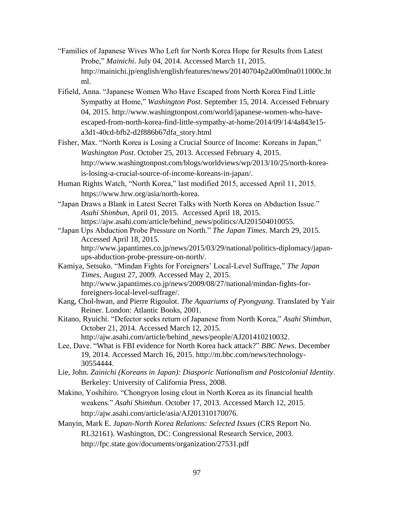- "Families of Japanese Wives Who Left for North Korea Hope for Results from Latest Probe," *Mainichi*. July 04, 2014. Accessed March 11, 2015. http://mainichi.jp/english/english/features/news/20140704p2a00m0na011000c.ht ml.
- Fifield, Anna. "Japanese Women Who Have Escaped from North Korea Find Little Sympathy at Home," *Washington Post*. September 15, 2014. Accessed February 04, 2015. http://www.washingtonpost.com/world/japanese-women-who-haveescaped-from-north-korea-find-little-sympathy-at-home/2014/09/14/4a843e15 a3d1-40cd-bfb2-d2f886b67dfa\_story.html
- Fisher, Max. "North Korea is Losing a Crucial Source of Income: Koreans in Japan," *Washington Post*. October 25, 2013. Accessed February 4, 2015. http://www.washingtonpost.com/blogs/worldviews/wp/2013/10/25/north-koreais-losing-a-crucial-source-of-income-koreans-in-japan/.
- Human Rights Watch, "North Korea," last modified 2015, accessed April 11, 2015. https://www.hrw.org/asia/north-korea.
- "Japan Draws a Blank in Latest Secret Talks with North Korea on Abduction Issue." *Asahi Shimbun*, April 01, 2015. Accessed April 18, 2015. https://ajw.asahi.com/article/behind\_news/politics/AJ201504010055.
- "Japan Ups Abduction Probe Pressure on North." *The Japan Times*. March 29, 2015. Accessed April 18, 2015. http://www.japantimes.co.jp/news/2015/03/29/national/politics-diplomacy/japanups-abduction-probe-pressure-on-north/.
- Kamiya, Setsuko. "Mindan Fights for Foreigners' Local-Level Suffrage," *The Japan Times*, August 27, 2009. Accessed May 2, 2015. http://www.japantimes.co.jp/news/2009/08/27/national/mindan-fights-forforeigners-local-level-suffrage/.
- Kang, Chol-hwan, and Pierre Rigoulot. *The Aquariums of Pyongyang*. Translated by Yair Reiner. London: Atlantic Books, 2001.
- Kitano, Ryuichi. "Defector seeks return of Japanese from North Korea," *Asahi Shimbun*, October 21, 2014. Accessed March 12, 2015. http://ajw.asahi.com/article/behind\_news/people/AJ201410210032.
- Lee, Dave. "What is FBI evidence for North Korea hack attack?" *BBC News*. December 19, 2014. Accessed March 16, 2015. http://m.bbc.com/news/technology-30554444.
- Lie, John. *Zainichi (Koreans in Japan): Diasporic Nationalism and Postcolonial Identity*. Berkeley: University of California Press, 2008.
- Makino, Yoshihiro. "Chongryon losing clout in North Korea as its financial health weakens." *Asahi Shimbun*. October 17, 2013. Accessed March 12, 2015. http://ajw.asahi.com/article/asia/AJ201310170076.
- Manyin, Mark E. *Japan-North Korea Relations: Selected Issues* (CRS Report No. RL32161). Washington, DC: Congressional Research Service, 2003. http://fpc.state.gov/documents/organization/27531.pdf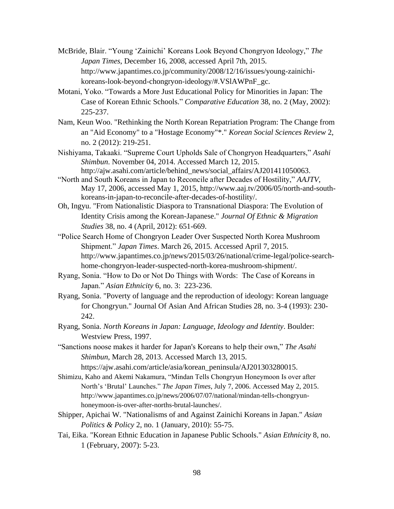- McBride, Blair. "Young 'Zainichi' Koreans Look Beyond Chongryon Ideology," *The Japan Times*, December 16, 2008, accessed April 7th, 2015. http://www.japantimes.co.jp/community/2008/12/16/issues/young-zainichikoreans-look-beyond-chongryon-ideology/#.VSlAWPnF\_gc.
- Motani, Yoko. "Towards a More Just Educational Policy for Minorities in Japan: The Case of Korean Ethnic Schools." *Comparative Education* 38, no. 2 (May, 2002): 225-237.
- Nam, Keun Woo. "Rethinking the North Korean Repatriation Program: The Change from an "Aid Economy" to a "Hostage Economy"\*." *Korean Social Sciences Review* 2, no. 2 (2012): 219-251.
- Nishiyama, Takaaki. "Supreme Court Upholds Sale of Chongryon Headquarters," *Asahi Shimbun*. November 04, 2014. Accessed March 12, 2015. http://ajw.asahi.com/article/behind\_news/social\_affairs/AJ201411050063.
- "North and South Koreans in Japan to Reconcile after Decades of Hostility," *AAJTV*, May 17, 2006, accessed May 1, 2015, http://www.aaj.tv/2006/05/north-and-southkoreans-in-japan-to-reconcile-after-decades-of-hostility/.
- Oh, Ingyu. "From Nationalistic Diaspora to Transnational Diaspora: The Evolution of Identity Crisis among the Korean-Japanese." *Journal Of Ethnic & Migration Studies* 38, no. 4 (April, 2012): 651-669.
- "Police Search Home of Chongryon Leader Over Suspected North Korea Mushroom Shipment." *Japan Times*. March 26, 2015. Accessed April 7, 2015. http://www.japantimes.co.jp/news/2015/03/26/national/crime-legal/police-searchhome-chongryon-leader-suspected-north-korea-mushroom-shipment/.
- Ryang, Sonia. "How to Do or Not Do Things with Words: The Case of Koreans in Japan." *Asian Ethnicity* 6, no. 3: 223-236.
- Ryang, Sonia. "Poverty of language and the reproduction of ideology: Korean language for Chongryun." Journal Of Asian And African Studies 28, no. 3-4 (1993): 230- 242.
- Ryang, Sonia. *North Koreans in Japan: Language, Ideology and Identity*. Boulder: Westview Press, 1997.
- "Sanctions noose makes it harder for Japan's Koreans to help their own," *The Asahi Shimbun*, March 28, 2013. Accessed March 13, 2015.
	- https://ajw.asahi.com/article/asia/korean\_peninsula/AJ201303280015.
- Shimizu, Kaho and Akemi Nakamura, "Mindan Tells Chongryun Honeymoon Is over after North's 'Brutal' Launches." *The Japan Times*, July 7, 2006. Accessed May 2, 2015. http://www.japantimes.co.jp/news/2006/07/07/national/mindan-tells-chongryunhoneymoon-is-over-after-norths-brutal-launches/.
- Shipper, Apichai W. "Nationalisms of and Against Zainichi Koreans in Japan." *Asian Politics & Policy* 2, no. 1 (January, 2010): 55-75.
- Tai, Eika. "Korean Ethnic Education in Japanese Public Schools." *Asian Ethnicity* 8, no. 1 (February, 2007): 5-23.